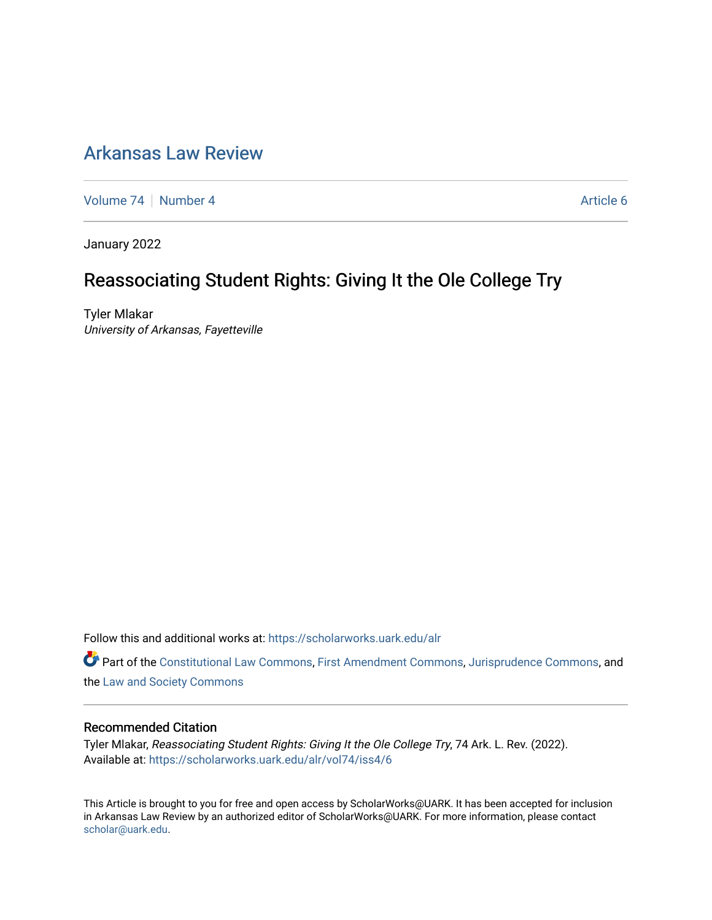## [Arkansas Law Review](https://scholarworks.uark.edu/alr)

[Volume 74](https://scholarworks.uark.edu/alr/vol74) | [Number 4](https://scholarworks.uark.edu/alr/vol74/iss4) Article 6

January 2022

# Reassociating Student Rights: Giving It the Ole College Try

Tyler Mlakar University of Arkansas, Fayetteville

Follow this and additional works at: [https://scholarworks.uark.edu/alr](https://scholarworks.uark.edu/alr?utm_source=scholarworks.uark.edu%2Falr%2Fvol74%2Fiss4%2F6&utm_medium=PDF&utm_campaign=PDFCoverPages) 

Part of the [Constitutional Law Commons,](http://network.bepress.com/hgg/discipline/589?utm_source=scholarworks.uark.edu%2Falr%2Fvol74%2Fiss4%2F6&utm_medium=PDF&utm_campaign=PDFCoverPages) [First Amendment Commons,](http://network.bepress.com/hgg/discipline/1115?utm_source=scholarworks.uark.edu%2Falr%2Fvol74%2Fiss4%2F6&utm_medium=PDF&utm_campaign=PDFCoverPages) [Jurisprudence Commons](http://network.bepress.com/hgg/discipline/610?utm_source=scholarworks.uark.edu%2Falr%2Fvol74%2Fiss4%2F6&utm_medium=PDF&utm_campaign=PDFCoverPages), and the [Law and Society Commons](http://network.bepress.com/hgg/discipline/853?utm_source=scholarworks.uark.edu%2Falr%2Fvol74%2Fiss4%2F6&utm_medium=PDF&utm_campaign=PDFCoverPages) 

#### Recommended Citation

Tyler Mlakar, Reassociating Student Rights: Giving It the Ole College Try, 74 Ark. L. Rev. (2022). Available at: [https://scholarworks.uark.edu/alr/vol74/iss4/6](https://scholarworks.uark.edu/alr/vol74/iss4/6?utm_source=scholarworks.uark.edu%2Falr%2Fvol74%2Fiss4%2F6&utm_medium=PDF&utm_campaign=PDFCoverPages)

This Article is brought to you for free and open access by ScholarWorks@UARK. It has been accepted for inclusion in Arkansas Law Review by an authorized editor of ScholarWorks@UARK. For more information, please contact [scholar@uark.edu](mailto:scholar@uark.edu).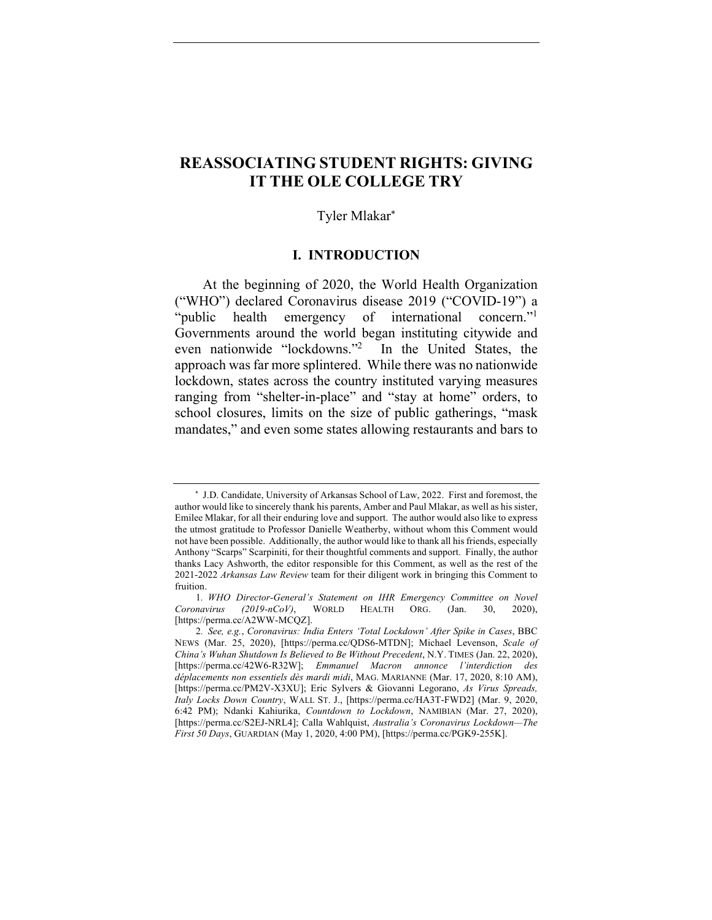## **REASSOCIATING STUDENT RIGHTS: GIVING IT THE OLE COLLEGE TRY**

#### Tyler Mlakar\*

## **I. INTRODUCTION**

At the beginning of 2020, the World Health Organization ("WHO") declared Coronavirus disease 2019 ("COVID-19") a "public health emergency of international concern." Governments around the world began instituting citywide and even nationwide "lockdowns."2 In the United States, the approach was far more splintered. While there was no nationwide lockdown, states across the country instituted varying measures ranging from "shelter-in-place" and "stay at home" orders, to school closures, limits on the size of public gatherings, "mask mandates," and even some states allowing restaurants and bars to

\* J.D. Candidate, University of Arkansas School of Law, 2022. First and foremost, the author would like to sincerely thank his parents, Amber and Paul Mlakar, as well as his sister, Emilee Mlakar, for all their enduring love and support. The author would also like to express the utmost gratitude to Professor Danielle Weatherby, without whom this Comment would not have been possible. Additionally, the author would like to thank all his friends, especially Anthony "Scarps" Scarpiniti, for their thoughtful comments and support. Finally, the author thanks Lacy Ashworth, the editor responsible for this Comment, as well as the rest of the 2021-2022 *Arkansas Law Review* team for their diligent work in bringing this Comment to fruition.

<sup>1</sup>*. WHO Director-General's Statement on IHR Emergency Committee on Novel Coronavirus (2019-nCoV)*, WORLD HEALTH ORG. (Jan. 30, 2020), [https://perma.cc/A2WW-MCQZ].

<sup>2</sup>*. See, e.g.*, *Coronavirus: India Enters 'Total Lockdown' After Spike in Cases*, BBC NEWS (Mar. 25, 2020), [https://perma.cc/QDS6-MTDN]; Michael Levenson, *Scale of China's Wuhan Shutdown Is Believed to Be Without Precedent*, N.Y. TIMES (Jan. 22, 2020), [https://perma.cc/42W6-R32W]; *Emmanuel Macron annonce l'interdiction des déplacements non essentiels dès mardi midi*, MAG. MARIANNE (Mar. 17, 2020, 8:10 AM), [https://perma.cc/PM2V-X3XU]; Eric Sylvers & Giovanni Legorano, *As Virus Spreads, Italy Locks Down Country*, WALL ST. J., [https://perma.cc/HA3T-FWD2] (Mar. 9, 2020, 6:42 PM); Ndanki Kahiurika, *Countdown to Lockdown*, NAMIBIAN (Mar. 27, 2020), [https://perma.cc/S2EJ-NRL4]; Calla Wahlquist, *Australia's Coronavirus Lockdown—The First 50 Days*, GUARDIAN (May 1, 2020, 4:00 PM), [https://perma.cc/PGK9-255K].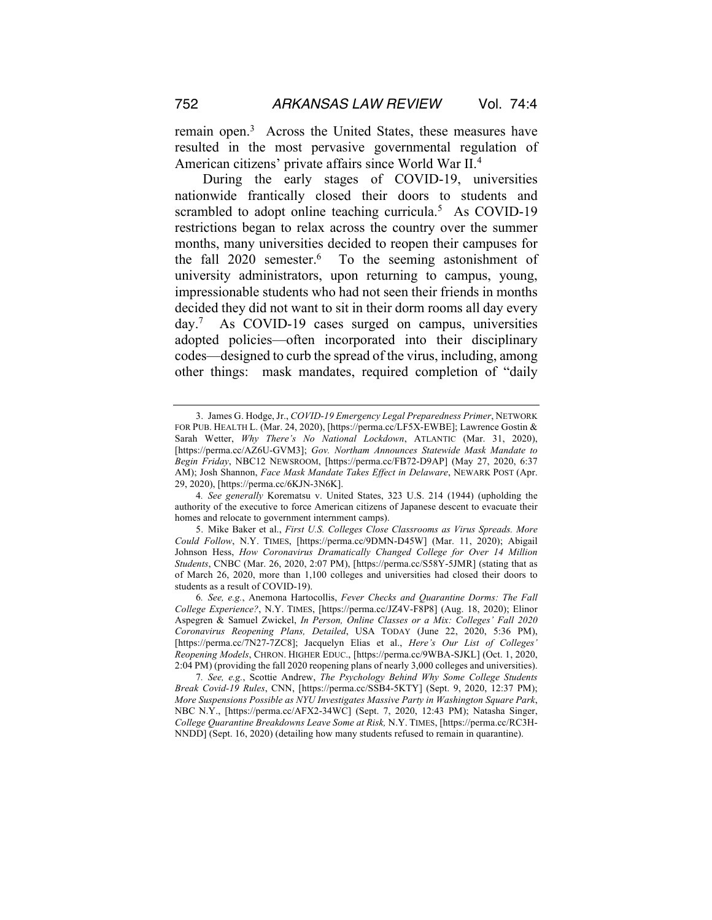remain open.<sup>3</sup> Across the United States, these measures have resulted in the most pervasive governmental regulation of American citizens' private affairs since World War II.4

During the early stages of COVID-19, universities nationwide frantically closed their doors to students and scrambled to adopt online teaching curricula.<sup>5</sup> As COVID-19 restrictions began to relax across the country over the summer months, many universities decided to reopen their campuses for the fall  $2020$  semester.<sup>6</sup> To the seeming astonishment of university administrators, upon returning to campus, young, impressionable students who had not seen their friends in months decided they did not want to sit in their dorm rooms all day every day.7 As COVID-19 cases surged on campus, universities adopted policies—often incorporated into their disciplinary codes—designed to curb the spread of the virus, including, among other things: mask mandates, required completion of "daily

<sup>3.</sup> James G. Hodge, Jr., *COVID-19 Emergency Legal Preparedness Primer*, NETWORK FOR PUB. HEALTH L. (Mar. 24, 2020), [https://perma.cc/LF5X-EWBE]; Lawrence Gostin & Sarah Wetter, *Why There's No National Lockdown*, ATLANTIC (Mar. 31, 2020), [https://perma.cc/AZ6U-GVM3]; *Gov. Northam Announces Statewide Mask Mandate to Begin Friday*, NBC12 NEWSROOM, [https://perma.cc/FB72-D9AP] (May 27, 2020, 6:37 AM); Josh Shannon, *Face Mask Mandate Takes Effect in Delaware*, NEWARK POST (Apr. 29, 2020), [https://perma.cc/6KJN-3N6K].

<sup>4</sup>*. See generally* Korematsu v. United States, 323 U.S. 214 (1944) (upholding the authority of the executive to force American citizens of Japanese descent to evacuate their homes and relocate to government internment camps).

<sup>5.</sup> Mike Baker et al., *First U.S. Colleges Close Classrooms as Virus Spreads. More Could Follow*, N.Y. TIMES, [https://perma.cc/9DMN-D45W] (Mar. 11, 2020); Abigail Johnson Hess, *How Coronavirus Dramatically Changed College for Over 14 Million Students*, CNBC (Mar. 26, 2020, 2:07 PM), [https://perma.cc/S58Y-5JMR] (stating that as of March 26, 2020, more than 1,100 colleges and universities had closed their doors to students as a result of COVID-19).

<sup>6</sup>*. See, e.g.*, Anemona Hartocollis, *Fever Checks and Quarantine Dorms: The Fall College Experience?*, N.Y. TIMES, [https://perma.cc/JZ4V-F8P8] (Aug. 18, 2020); Elinor Aspegren & Samuel Zwickel, *In Person, Online Classes or a Mix: Colleges' Fall 2020 Coronavirus Reopening Plans, Detailed*, USA TODAY (June 22, 2020, 5:36 PM), [https://perma.cc/7N27-7ZC8]; Jacquelyn Elias et al., *Here's Our List of Colleges' Reopening Models*, CHRON. HIGHER EDUC., [https://perma.cc/9WBA-SJKL] (Oct. 1, 2020, 2:04 PM) (providing the fall 2020 reopening plans of nearly 3,000 colleges and universities).

<sup>7</sup>*. See, e.g.*, Scottie Andrew, *The Psychology Behind Why Some College Students Break Covid-19 Rules*, CNN, [https://perma.cc/SSB4-5KTY] (Sept. 9, 2020, 12:37 PM); *More Suspensions Possible as NYU Investigates Massive Party in Washington Square Park*, NBC N.Y., [https://perma.cc/AFX2-34WC] (Sept. 7, 2020, 12:43 PM); Natasha Singer, *College Quarantine Breakdowns Leave Some at Risk,* N.Y. TIMES, [https://perma.cc/RC3H-NNDD] (Sept. 16, 2020) (detailing how many students refused to remain in quarantine).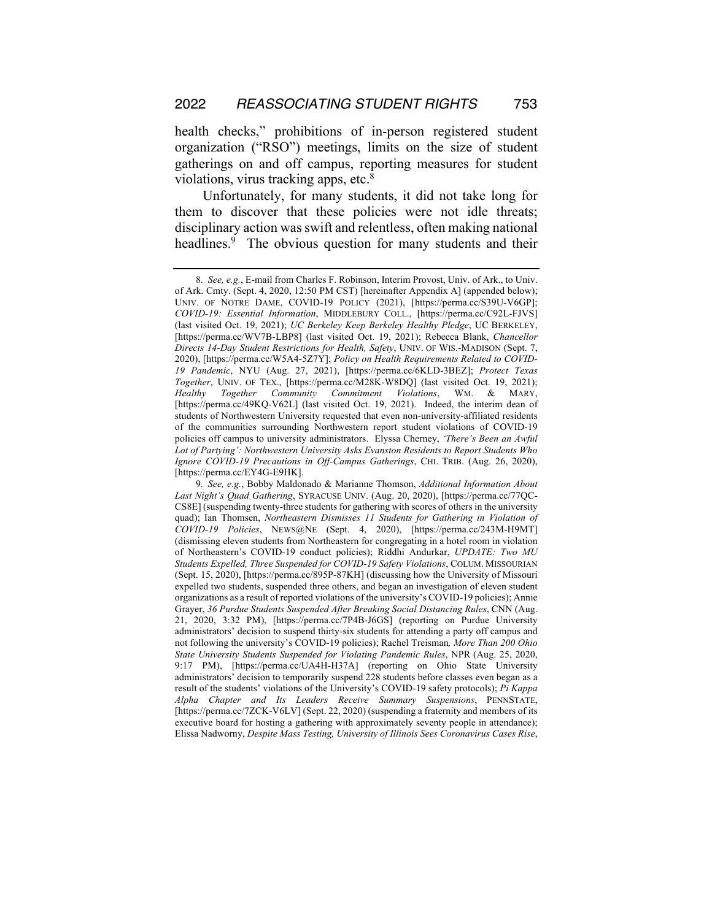health checks," prohibitions of in-person registered student organization ("RSO") meetings, limits on the size of student gatherings on and off campus, reporting measures for student violations, virus tracking apps, etc.8

Unfortunately, for many students, it did not take long for them to discover that these policies were not idle threats; disciplinary action was swift and relentless, often making national headlines.<sup>9</sup> The obvious question for many students and their

<sup>8</sup>*. See, e.g.*, E-mail from Charles F. Robinson, Interim Provost, Univ. of Ark., to Univ. of Ark. Cmty. (Sept. 4, 2020, 12:50 PM CST) [hereinafter Appendix A] (appended below); UNIV. OF NOTRE DAME, COVID-19 POLICY (2021), [https://perma.cc/S39U-V6GP]; *COVID-19: Essential Information*, MIDDLEBURY COLL., [https://perma.cc/C92L-FJVS] (last visited Oct. 19, 2021); *UC Berkeley Keep Berkeley Healthy Pledge*, UC BERKELEY, [https://perma.cc/WV7B-LBP8] (last visited Oct. 19, 2021); Rebecca Blank, *Chancellor Directs 14-Day Student Restrictions for Health, Safety*, UNIV. OF WIS.-MADISON (Sept. 7, 2020), [https://perma.cc/W5A4-5Z7Y]; *Policy on Health Requirements Related to COVID-19 Pandemic*, NYU (Aug. 27, 2021), [https://perma.cc/6KLD-3BEZ]; *Protect Texas Together*, UNIV. OF TEX., [https://perma.cc/M28K-W8DQ] (last visited Oct. 19, 2021); *Healthy Together Community Commitment Violations*, WM. & MARY, [https://perma.cc/49KQ-V62L] (last visited Oct. 19, 2021). Indeed, the interim dean of students of Northwestern University requested that even non-university-affiliated residents of the communities surrounding Northwestern report student violations of COVID-19 policies off campus to university administrators. Elyssa Cherney, *'There's Been an Awful Lot of Partying': Northwestern University Asks Evanston Residents to Report Students Who Ignore COVID-19 Precautions in Off-Campus Gatherings*, CHI. TRIB. (Aug. 26, 2020), [https://perma.cc/EY4G-E9HK].

<sup>9</sup>*. See, e.g.*, Bobby Maldonado & Marianne Thomson, *Additional Information About Last Night's Quad Gathering*, SYRACUSE UNIV. (Aug. 20, 2020), [https://perma.cc/77QC-CS8E] (suspending twenty-three students for gathering with scores of others in the university quad); Ian Thomsen, *Northeastern Dismisses 11 Students for Gathering in Violation of COVID-19 Policies*, NEWS@NE (Sept. 4, 2020), [https://perma.cc/243M-H9MT] (dismissing eleven students from Northeastern for congregating in a hotel room in violation of Northeastern's COVID-19 conduct policies); Riddhi Andurkar, *UPDATE: Two MU Students Expelled, Three Suspended for COVID-19 Safety Violations*, COLUM. MISSOURIAN (Sept. 15, 2020), [https://perma.cc/895P-87KH] (discussing how the University of Missouri expelled two students, suspended three others, and began an investigation of eleven student organizations as a result of reported violations of the university's COVID-19 policies); Annie Grayer, *36 Purdue Students Suspended After Breaking Social Distancing Rules*, CNN (Aug. 21, 2020, 3:32 PM), [https://perma.cc/7P4B-J6GS] (reporting on Purdue University administrators' decision to suspend thirty-six students for attending a party off campus and not following the university's COVID-19 policies); Rachel Treisman*, More Than 200 Ohio State University Students Suspended for Violating Pandemic Rules*, NPR (Aug. 25, 2020, 9:17 PM), [https://perma.cc/UA4H-H37A] (reporting on Ohio State University administrators' decision to temporarily suspend 228 students before classes even began as a result of the students' violations of the University's COVID-19 safety protocols); *Pi Kappa Alpha Chapter and Its Leaders Receive Summary Suspensions*, PENNSTATE, [https://perma.cc/7ZCK-V6LV] (Sept. 22, 2020) (suspending a fraternity and members of its executive board for hosting a gathering with approximately seventy people in attendance); Elissa Nadworny, *Despite Mass Testing, University of Illinois Sees Coronavirus Cases Rise*,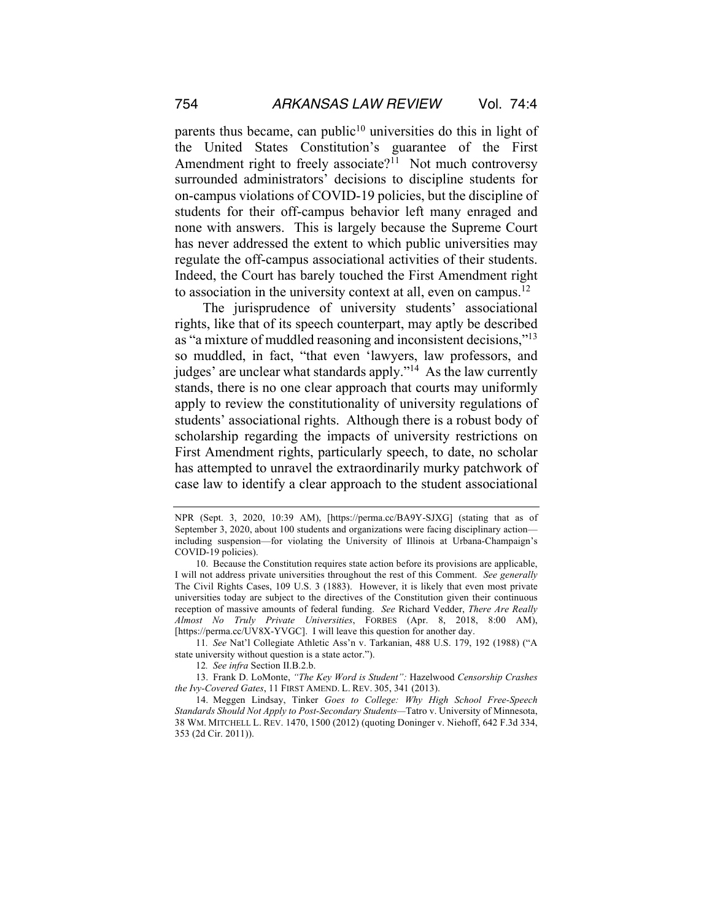parents thus became, can public<sup>10</sup> universities do this in light of the United States Constitution's guarantee of the First Amendment right to freely associate?<sup>11</sup> Not much controversy surrounded administrators' decisions to discipline students for on-campus violations of COVID-19 policies, but the discipline of students for their off-campus behavior left many enraged and none with answers. This is largely because the Supreme Court has never addressed the extent to which public universities may regulate the off-campus associational activities of their students. Indeed, the Court has barely touched the First Amendment right to association in the university context at all, even on campus.<sup>12</sup>

The jurisprudence of university students' associational rights, like that of its speech counterpart, may aptly be described as "a mixture of muddled reasoning and inconsistent decisions,"13 so muddled, in fact, "that even 'lawyers, law professors, and judges' are unclear what standards apply."<sup>14</sup> As the law currently stands, there is no one clear approach that courts may uniformly apply to review the constitutionality of university regulations of students' associational rights. Although there is a robust body of scholarship regarding the impacts of university restrictions on First Amendment rights, particularly speech, to date, no scholar has attempted to unravel the extraordinarily murky patchwork of case law to identify a clear approach to the student associational

11*. See* Nat'l Collegiate Athletic Ass'n v. Tarkanian, 488 U.S. 179, 192 (1988) ("A state university without question is a state actor.").

13. Frank D. LoMonte, *"The Key Word is Student":* Hazelwood *Censorship Crashes the Ivy-Covered Gates*, 11 FIRST AMEND. L. REV. 305, 341 (2013).

NPR (Sept. 3, 2020, 10:39 AM), [https://perma.cc/BA9Y-SJXG] (stating that as of September 3, 2020, about 100 students and organizations were facing disciplinary action including suspension—for violating the University of Illinois at Urbana-Champaign's COVID-19 policies).

<sup>10.</sup> Because the Constitution requires state action before its provisions are applicable, I will not address private universities throughout the rest of this Comment. *See generally*  The Civil Rights Cases, 109 U.S. 3 (1883). However, it is likely that even most private universities today are subject to the directives of the Constitution given their continuous reception of massive amounts of federal funding. *See* Richard Vedder, *There Are Really Almost No Truly Private Universities*, FORBES (Apr. 8, 2018, 8:00 AM), [https://perma.cc/UV8X-YVGC]. I will leave this question for another day.

<sup>12</sup>*. See infra* Section II.B.2.b.

<sup>14.</sup> Meggen Lindsay, Tinker *Goes to College: Why High School Free-Speech Standards Should Not Apply to Post-Secondary Students—*Tatro v. University of Minnesota, 38 WM. MITCHELL L. REV. 1470, 1500 (2012) (quoting Doninger v. Niehoff, 642 F.3d 334, 353 (2d Cir. 2011)).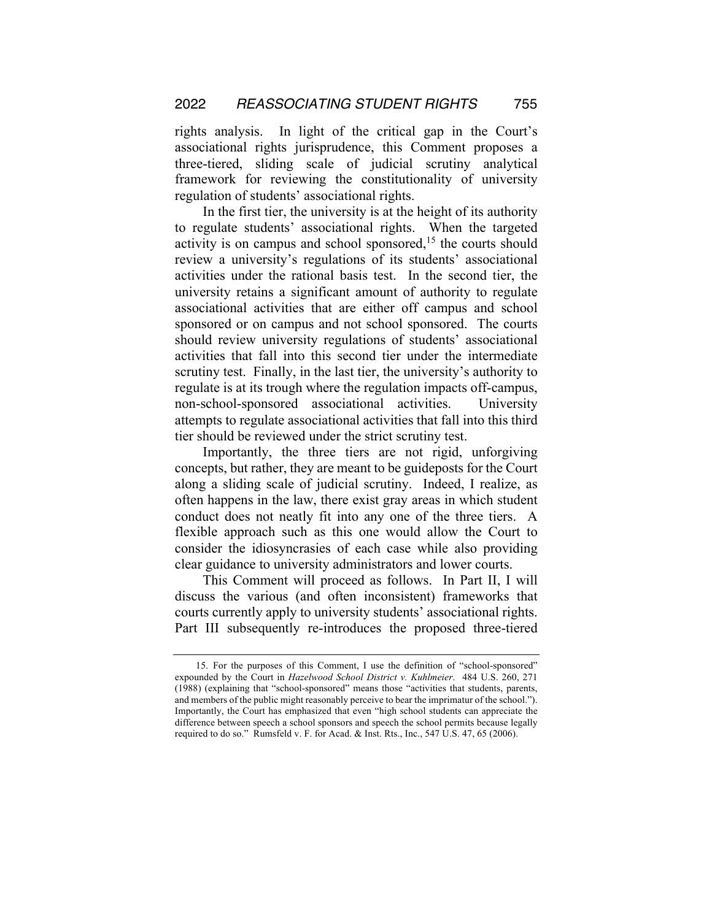rights analysis. In light of the critical gap in the Court's associational rights jurisprudence, this Comment proposes a three-tiered, sliding scale of judicial scrutiny analytical framework for reviewing the constitutionality of university regulation of students' associational rights.

In the first tier, the university is at the height of its authority to regulate students' associational rights. When the targeted activity is on campus and school sponsored,<sup>15</sup> the courts should review a university's regulations of its students' associational activities under the rational basis test. In the second tier, the university retains a significant amount of authority to regulate associational activities that are either off campus and school sponsored or on campus and not school sponsored. The courts should review university regulations of students' associational activities that fall into this second tier under the intermediate scrutiny test. Finally, in the last tier, the university's authority to regulate is at its trough where the regulation impacts off-campus, non-school-sponsored associational activities. University attempts to regulate associational activities that fall into this third tier should be reviewed under the strict scrutiny test.

Importantly, the three tiers are not rigid, unforgiving concepts, but rather, they are meant to be guideposts for the Court along a sliding scale of judicial scrutiny. Indeed, I realize, as often happens in the law, there exist gray areas in which student conduct does not neatly fit into any one of the three tiers. A flexible approach such as this one would allow the Court to consider the idiosyncrasies of each case while also providing clear guidance to university administrators and lower courts.

This Comment will proceed as follows. In Part II, I will discuss the various (and often inconsistent) frameworks that courts currently apply to university students' associational rights. Part III subsequently re-introduces the proposed three-tiered

<sup>15.</sup> For the purposes of this Comment, I use the definition of "school-sponsored" expounded by the Court in *Hazelwood School District v. Kuhlmeier*. 484 U.S. 260, 271 (1988) (explaining that "school-sponsored" means those "activities that students, parents, and members of the public might reasonably perceive to bear the imprimatur of the school."). Importantly, the Court has emphasized that even "high school students can appreciate the difference between speech a school sponsors and speech the school permits because legally required to do so." Rumsfeld v. F. for Acad. & Inst. Rts., Inc., 547 U.S. 47, 65 (2006).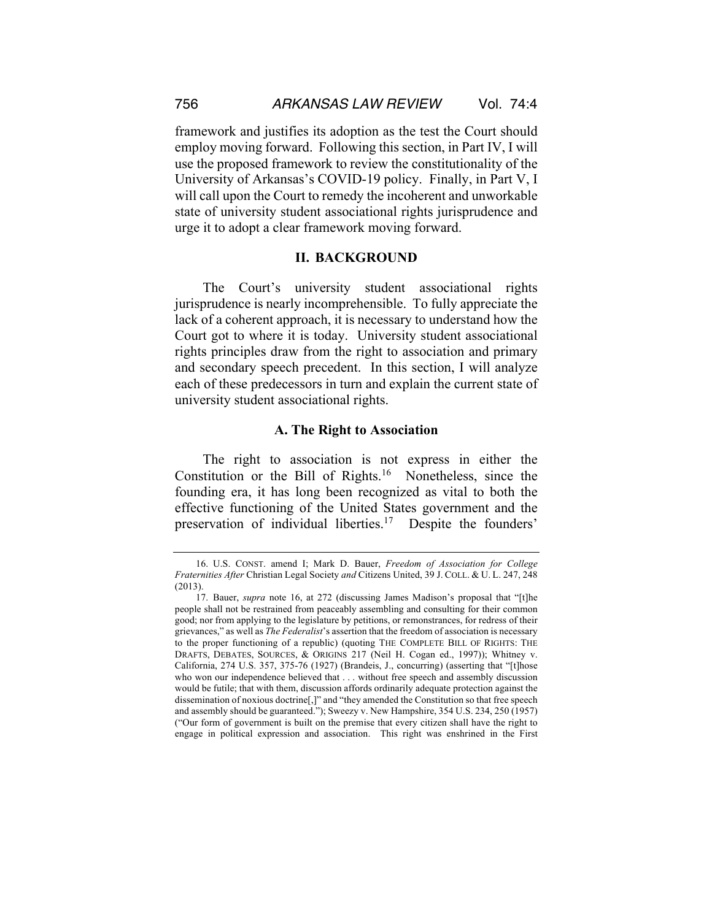framework and justifies its adoption as the test the Court should employ moving forward. Following this section, in Part IV, I will use the proposed framework to review the constitutionality of the University of Arkansas's COVID-19 policy. Finally, in Part V, I will call upon the Court to remedy the incoherent and unworkable state of university student associational rights jurisprudence and urge it to adopt a clear framework moving forward.

#### **II. BACKGROUND**

The Court's university student associational rights jurisprudence is nearly incomprehensible. To fully appreciate the lack of a coherent approach, it is necessary to understand how the Court got to where it is today. University student associational rights principles draw from the right to association and primary and secondary speech precedent. In this section, I will analyze each of these predecessors in turn and explain the current state of university student associational rights.

## **A. The Right to Association**

The right to association is not express in either the Constitution or the Bill of Rights.<sup>16</sup> Nonetheless, since the founding era, it has long been recognized as vital to both the effective functioning of the United States government and the preservation of individual liberties.17 Despite the founders'

<sup>16.</sup> U.S. CONST. amend I; Mark D. Bauer, *Freedom of Association for College Fraternities After* Christian Legal Society *and* Citizens United, 39 J. COLL. & U. L. 247, 248 (2013).

<sup>17.</sup> Bauer, *supra* note 16, at 272 (discussing James Madison's proposal that "[t]he people shall not be restrained from peaceably assembling and consulting for their common good; nor from applying to the legislature by petitions, or remonstrances, for redress of their grievances," as well as *The Federalist*'s assertion that the freedom of association is necessary to the proper functioning of a republic) (quoting THE COMPLETE BILL OF RIGHTS: THE DRAFTS, DEBATES, SOURCES, & ORIGINS 217 (Neil H. Cogan ed., 1997)); Whitney v. California, 274 U.S. 357, 375-76 (1927) (Brandeis, J., concurring) (asserting that "[t]hose who won our independence believed that . . . without free speech and assembly discussion would be futile; that with them, discussion affords ordinarily adequate protection against the dissemination of noxious doctrine[,]" and "they amended the Constitution so that free speech and assembly should be guaranteed."); Sweezy v. New Hampshire, 354 U.S. 234, 250 (1957) ("Our form of government is built on the premise that every citizen shall have the right to engage in political expression and association. This right was enshrined in the First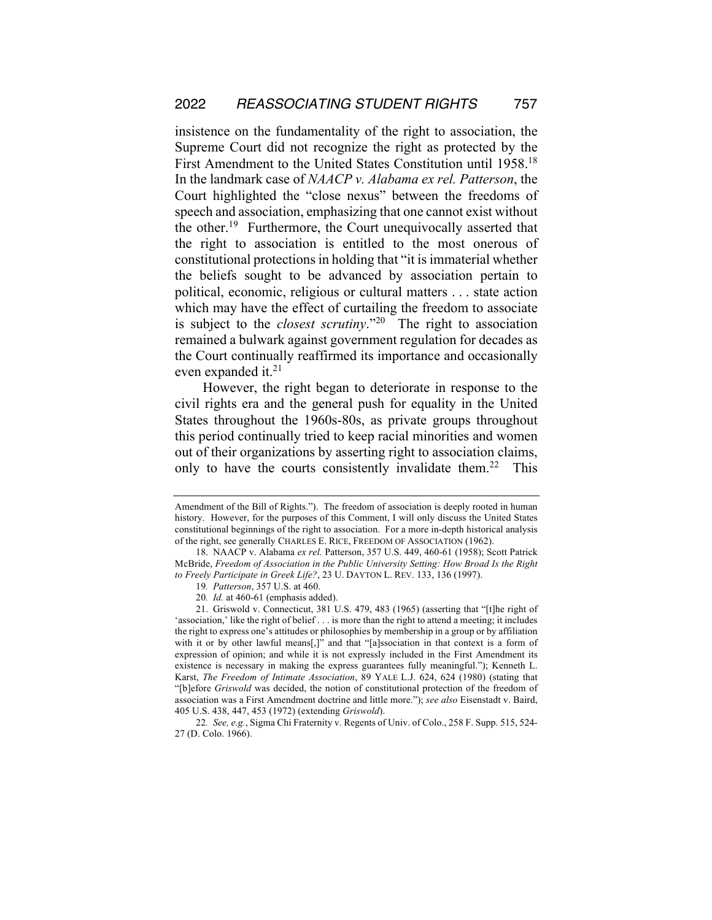insistence on the fundamentality of the right to association, the Supreme Court did not recognize the right as protected by the First Amendment to the United States Constitution until 1958.18 In the landmark case of *NAACP v. Alabama ex rel. Patterson*, the Court highlighted the "close nexus" between the freedoms of speech and association, emphasizing that one cannot exist without the other.<sup>19</sup> Furthermore, the Court unequivocally asserted that the right to association is entitled to the most onerous of constitutional protections in holding that "it is immaterial whether the beliefs sought to be advanced by association pertain to political, economic, religious or cultural matters . . . state action which may have the effect of curtailing the freedom to associate is subject to the *closest scrutiny*."20 The right to association remained a bulwark against government regulation for decades as the Court continually reaffirmed its importance and occasionally even expanded it.<sup>21</sup>

However, the right began to deteriorate in response to the civil rights era and the general push for equality in the United States throughout the 1960s-80s, as private groups throughout this period continually tried to keep racial minorities and women out of their organizations by asserting right to association claims, only to have the courts consistently invalidate them.<sup>22</sup> This

Amendment of the Bill of Rights."). The freedom of association is deeply rooted in human history. However, for the purposes of this Comment, I will only discuss the United States constitutional beginnings of the right to association. For a more in-depth historical analysis of the right, see generally CHARLES E. RICE, FREEDOM OF ASSOCIATION (1962).

<sup>18.</sup> NAACP v. Alabama *ex rel.* Patterson, 357 U.S. 449, 460-61 (1958); Scott Patrick McBride, *Freedom of Association in the Public University Setting: How Broad Is the Right to Freely Participate in Greek Life?*, 23 U. DAYTON L. REV. 133, 136 (1997).

<sup>19</sup>*. Patterson*, 357 U.S. at 460.

<sup>20</sup>*. Id.* at 460-61 (emphasis added).

<sup>21.</sup> Griswold v. Connecticut, 381 U.S. 479, 483 (1965) (asserting that "[t]he right of 'association,' like the right of belief . . . is more than the right to attend a meeting; it includes the right to express one's attitudes or philosophies by membership in a group or by affiliation with it or by other lawful means[,]" and that "[a]ssociation in that context is a form of expression of opinion; and while it is not expressly included in the First Amendment its existence is necessary in making the express guarantees fully meaningful."); Kenneth L. Karst, *The Freedom of Intimate Association*, 89 YALE L.J. 624, 624 (1980) (stating that "[b]efore *Griswold* was decided, the notion of constitutional protection of the freedom of association was a First Amendment doctrine and little more."); *see also* Eisenstadt v. Baird, 405 U.S. 438, 447, 453 (1972) (extending *Griswold*).

<sup>22</sup>*. See, e.g.*, Sigma Chi Fraternity v. Regents of Univ. of Colo., 258 F. Supp. 515, 524- 27 (D. Colo. 1966).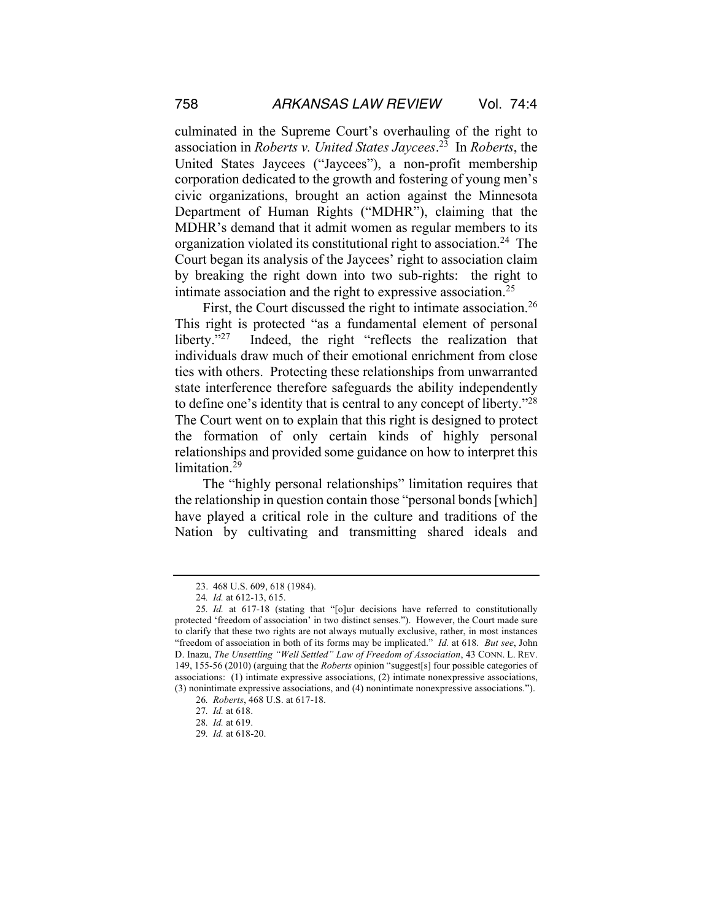culminated in the Supreme Court's overhauling of the right to association in *Roberts v. United States Jaycees*. 23 In *Roberts*, the United States Jaycees ("Jaycees"), a non-profit membership corporation dedicated to the growth and fostering of young men's civic organizations, brought an action against the Minnesota Department of Human Rights ("MDHR"), claiming that the MDHR's demand that it admit women as regular members to its organization violated its constitutional right to association.24 The Court began its analysis of the Jaycees' right to association claim by breaking the right down into two sub-rights: the right to intimate association and the right to expressive association.<sup>25</sup>

First, the Court discussed the right to intimate association.<sup>26</sup> This right is protected "as a fundamental element of personal liberty."<sup>27</sup> Indeed, the right "reflects the realization that individuals draw much of their emotional enrichment from close ties with others. Protecting these relationships from unwarranted state interference therefore safeguards the ability independently to define one's identity that is central to any concept of liberty."28 The Court went on to explain that this right is designed to protect the formation of only certain kinds of highly personal relationships and provided some guidance on how to interpret this limitation.<sup>29</sup>

The "highly personal relationships" limitation requires that the relationship in question contain those "personal bonds [which] have played a critical role in the culture and traditions of the Nation by cultivating and transmitting shared ideals and

<sup>23.</sup> 468 U.S. 609, 618 (1984).

<sup>24</sup>*. Id.* at 612-13, 615.

<sup>25</sup>*. Id.* at 617-18 (stating that "[o]ur decisions have referred to constitutionally protected 'freedom of association' in two distinct senses."). However, the Court made sure to clarify that these two rights are not always mutually exclusive, rather, in most instances "freedom of association in both of its forms may be implicated." *Id.* at 618. *But see*, John D. Inazu, *The Unsettling "Well Settled" Law of Freedom of Association*, 43 CONN. L. REV. 149, 155-56 (2010) (arguing that the *Roberts* opinion "suggest[s] four possible categories of associations: (1) intimate expressive associations, (2) intimate nonexpressive associations, (3) nonintimate expressive associations, and (4) nonintimate nonexpressive associations.").

<sup>26</sup>*. Roberts*, 468 U.S. at 617-18.

<sup>27</sup>*. Id.* at 618.

<sup>28</sup>*. Id.* at 619.

<sup>29</sup>*. Id.* at 618-20.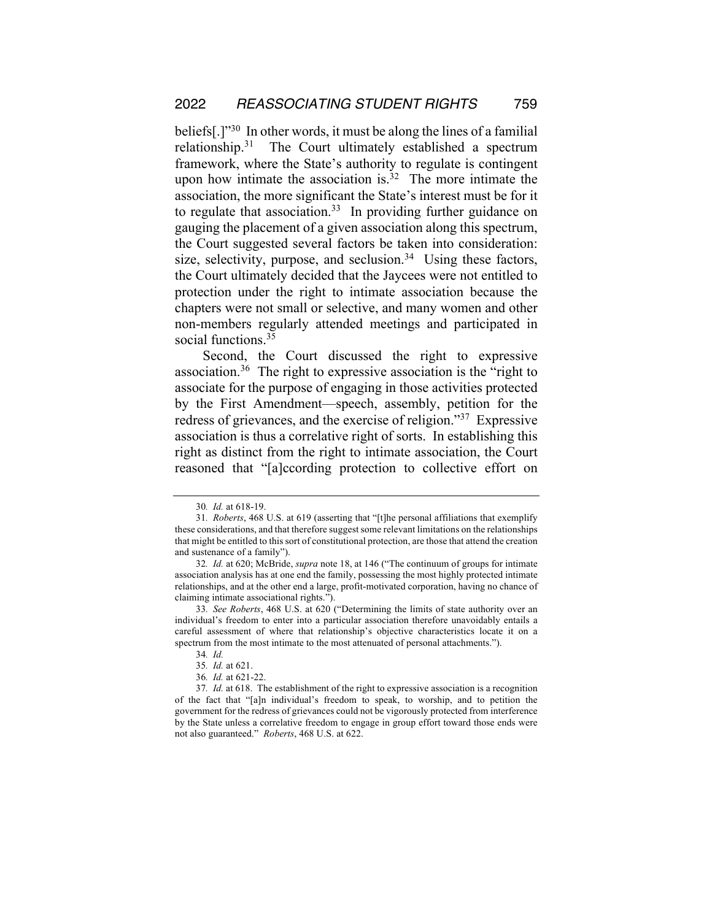beliefs[.]"30 In other words, it must be along the lines of a familial relationship.31 The Court ultimately established a spectrum framework, where the State's authority to regulate is contingent upon how intimate the association is. $32$  The more intimate the association, the more significant the State's interest must be for it to regulate that association.<sup>33</sup> In providing further guidance on gauging the placement of a given association along this spectrum, the Court suggested several factors be taken into consideration: size, selectivity, purpose, and seclusion.<sup>34</sup> Using these factors, the Court ultimately decided that the Jaycees were not entitled to protection under the right to intimate association because the chapters were not small or selective, and many women and other non-members regularly attended meetings and participated in social functions.<sup>35</sup>

Second, the Court discussed the right to expressive association.36 The right to expressive association is the "right to associate for the purpose of engaging in those activities protected by the First Amendment—speech, assembly, petition for the redress of grievances, and the exercise of religion."37 Expressive association is thus a correlative right of sorts. In establishing this right as distinct from the right to intimate association, the Court reasoned that "[a]ccording protection to collective effort on

<sup>30</sup>*. Id.* at 618-19.

<sup>31</sup>*. Roberts*, 468 U.S. at 619 (asserting that "[t]he personal affiliations that exemplify these considerations, and that therefore suggest some relevant limitations on the relationships that might be entitled to this sort of constitutional protection, are those that attend the creation and sustenance of a family").

<sup>32</sup>*. Id.* at 620; McBride, *supra* note 18, at 146 ("The continuum of groups for intimate association analysis has at one end the family, possessing the most highly protected intimate relationships, and at the other end a large, profit-motivated corporation, having no chance of claiming intimate associational rights.").

<sup>33</sup>*. See Roberts*, 468 U.S. at 620 ("Determining the limits of state authority over an individual's freedom to enter into a particular association therefore unavoidably entails a careful assessment of where that relationship's objective characteristics locate it on a spectrum from the most intimate to the most attenuated of personal attachments.").

<sup>34</sup>*. Id.*

<sup>35</sup>*. Id.* at 621.

<sup>36</sup>*. Id.* at 621-22.

<sup>37</sup>*. Id.* at 618. The establishment of the right to expressive association is a recognition of the fact that "[a]n individual's freedom to speak, to worship, and to petition the government for the redress of grievances could not be vigorously protected from interference by the State unless a correlative freedom to engage in group effort toward those ends were not also guaranteed." *Roberts*, 468 U.S. at 622.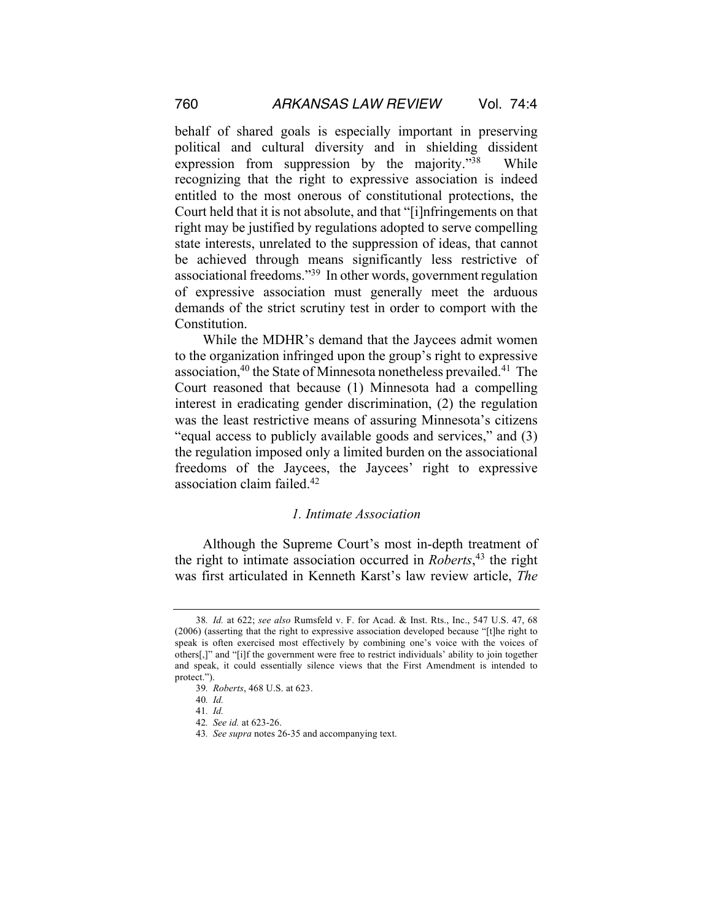behalf of shared goals is especially important in preserving political and cultural diversity and in shielding dissident expression from suppression by the majority."<sup>38</sup> While recognizing that the right to expressive association is indeed entitled to the most onerous of constitutional protections, the Court held that it is not absolute, and that "[i]nfringements on that right may be justified by regulations adopted to serve compelling state interests, unrelated to the suppression of ideas, that cannot be achieved through means significantly less restrictive of associational freedoms."39 In other words, government regulation of expressive association must generally meet the arduous demands of the strict scrutiny test in order to comport with the Constitution.

While the MDHR's demand that the Jaycees admit women to the organization infringed upon the group's right to expressive association,<sup>40</sup> the State of Minnesota nonetheless prevailed.<sup>41</sup> The Court reasoned that because (1) Minnesota had a compelling interest in eradicating gender discrimination, (2) the regulation was the least restrictive means of assuring Minnesota's citizens "equal access to publicly available goods and services," and (3) the regulation imposed only a limited burden on the associational freedoms of the Jaycees, the Jaycees' right to expressive association claim failed.42

#### *1. Intimate Association*

Although the Supreme Court's most in-depth treatment of the right to intimate association occurred in *Roberts*, <sup>43</sup> the right was first articulated in Kenneth Karst's law review article, *The* 

<sup>38</sup>*. Id.* at 622; *see also* Rumsfeld v. F. for Acad. & Inst. Rts., Inc., 547 U.S. 47, 68 (2006) (asserting that the right to expressive association developed because "[t]he right to speak is often exercised most effectively by combining one's voice with the voices of others[,]" and "[i]f the government were free to restrict individuals' ability to join together and speak, it could essentially silence views that the First Amendment is intended to protect.").

<sup>39</sup>*. Roberts*, 468 U.S. at 623.

<sup>40</sup>*. Id.*

<sup>41</sup>*. Id.*

<sup>42</sup>*. See id.* at 623-26.

<sup>43</sup>*. See supra* notes 26-35 and accompanying text.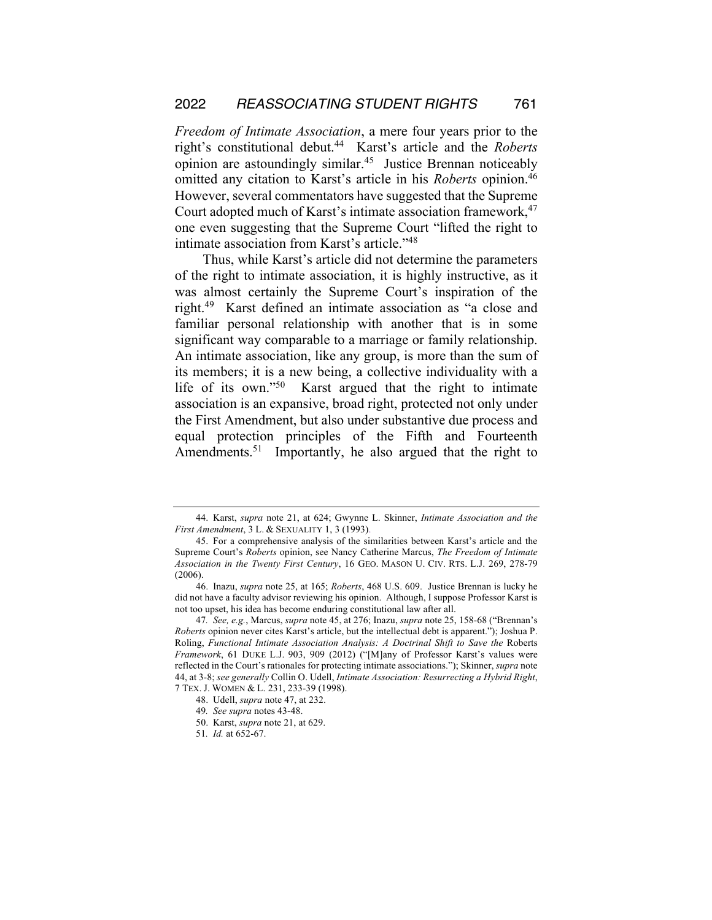*Freedom of Intimate Association*, a mere four years prior to the right's constitutional debut.44 Karst's article and the *Roberts* opinion are astoundingly similar.45 Justice Brennan noticeably omitted any citation to Karst's article in his *Roberts* opinion.46 However, several commentators have suggested that the Supreme Court adopted much of Karst's intimate association framework,<sup>47</sup> one even suggesting that the Supreme Court "lifted the right to intimate association from Karst's article."48

Thus, while Karst's article did not determine the parameters of the right to intimate association, it is highly instructive, as it was almost certainly the Supreme Court's inspiration of the right.49 Karst defined an intimate association as "a close and familiar personal relationship with another that is in some significant way comparable to a marriage or family relationship. An intimate association, like any group, is more than the sum of its members; it is a new being, a collective individuality with a life of its own."50 Karst argued that the right to intimate association is an expansive, broad right, protected not only under the First Amendment, but also under substantive due process and equal protection principles of the Fifth and Fourteenth Amendments.<sup>51</sup> Importantly, he also argued that the right to

<sup>44.</sup> Karst, *supra* note 21, at 624; Gwynne L. Skinner, *Intimate Association and the First Amendment*, 3 L. & SEXUALITY 1, 3 (1993).

<sup>45.</sup> For a comprehensive analysis of the similarities between Karst's article and the Supreme Court's *Roberts* opinion, see Nancy Catherine Marcus, *The Freedom of Intimate Association in the Twenty First Century*, 16 GEO. MASON U. CIV. RTS. L.J. 269, 278-79 (2006).

<sup>46.</sup> Inazu, *supra* note 25, at 165; *Roberts*, 468 U.S. 609. Justice Brennan is lucky he did not have a faculty advisor reviewing his opinion. Although, I suppose Professor Karst is not too upset, his idea has become enduring constitutional law after all.

<sup>47</sup>*. See, e.g.*, Marcus, *supra* note 45, at 276; Inazu, *supra* note 25, 158-68 ("Brennan's *Roberts* opinion never cites Karst's article, but the intellectual debt is apparent."); Joshua P. Roling, *Functional Intimate Association Analysis: A Doctrinal Shift to Save the* Roberts *Framework*, 61 DUKE L.J. 903, 909 (2012) ("[M]any of Professor Karst's values were reflected in the Court's rationales for protecting intimate associations."); Skinner, *supra* note 44, at 3-8; *see generally* Collin O. Udell, *Intimate Association: Resurrecting a Hybrid Right*, 7 TEX. J. WOMEN & L. 231, 233-39 (1998).

<sup>48.</sup> Udell, *supra* note 47, at 232.

<sup>49</sup>*. See supra* notes 43-48.

<sup>50.</sup> Karst, *supra* note 21, at 629.

<sup>51</sup>*. Id.* at 652-67.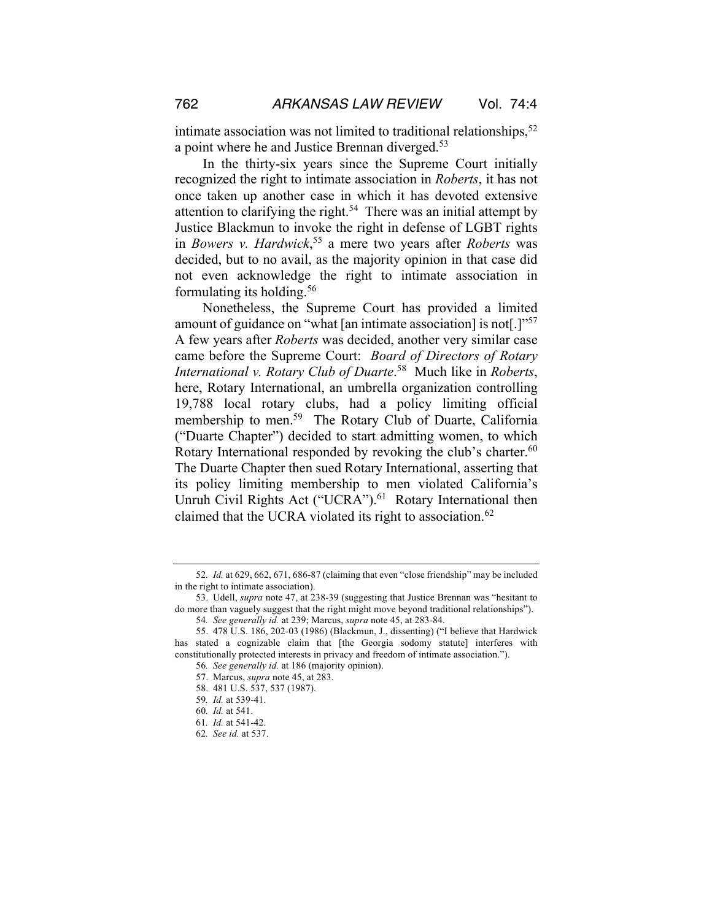intimate association was not limited to traditional relationships,  $52$ a point where he and Justice Brennan diverged.<sup>53</sup>

In the thirty-six years since the Supreme Court initially recognized the right to intimate association in *Roberts*, it has not once taken up another case in which it has devoted extensive attention to clarifying the right.<sup>54</sup> There was an initial attempt by Justice Blackmun to invoke the right in defense of LGBT rights in *Bowers v. Hardwick*, <sup>55</sup> a mere two years after *Roberts* was decided, but to no avail, as the majority opinion in that case did not even acknowledge the right to intimate association in formulating its holding.56

Nonetheless, the Supreme Court has provided a limited amount of guidance on "what [an intimate association] is not[.]"57 A few years after *Roberts* was decided, another very similar case came before the Supreme Court: *Board of Directors of Rotary International v. Rotary Club of Duarte*. 58 Much like in *Roberts*, here, Rotary International, an umbrella organization controlling 19,788 local rotary clubs, had a policy limiting official membership to men.<sup>59</sup> The Rotary Club of Duarte, California ("Duarte Chapter") decided to start admitting women, to which Rotary International responded by revoking the club's charter.<sup>60</sup> The Duarte Chapter then sued Rotary International, asserting that its policy limiting membership to men violated California's Unruh Civil Rights Act ("UCRA").<sup>61</sup> Rotary International then claimed that the UCRA violated its right to association.<sup>62</sup>

- 59*. Id.* at 539-41.
- 60*. Id.* at 541.

<sup>52</sup>*. Id.* at 629, 662, 671, 686-87 (claiming that even "close friendship" may be included in the right to intimate association).

<sup>53.</sup> Udell, *supra* note 47, at 238-39 (suggesting that Justice Brennan was "hesitant to do more than vaguely suggest that the right might move beyond traditional relationships").

<sup>54</sup>*. See generally id.* at 239; Marcus, *supra* note 45, at 283-84.

<sup>55.</sup> 478 U.S. 186, 202-03 (1986) (Blackmun, J., dissenting) ("I believe that Hardwick has stated a cognizable claim that [the Georgia sodomy statute] interferes with constitutionally protected interests in privacy and freedom of intimate association.").

<sup>56</sup>*. See generally id.* at 186 (majority opinion).

<sup>57.</sup> Marcus, *supra* note 45, at 283.

<sup>58.</sup> 481 U.S. 537, 537 (1987).

<sup>61</sup>*. Id.* at 541-42.

<sup>62</sup>*. See id.* at 537.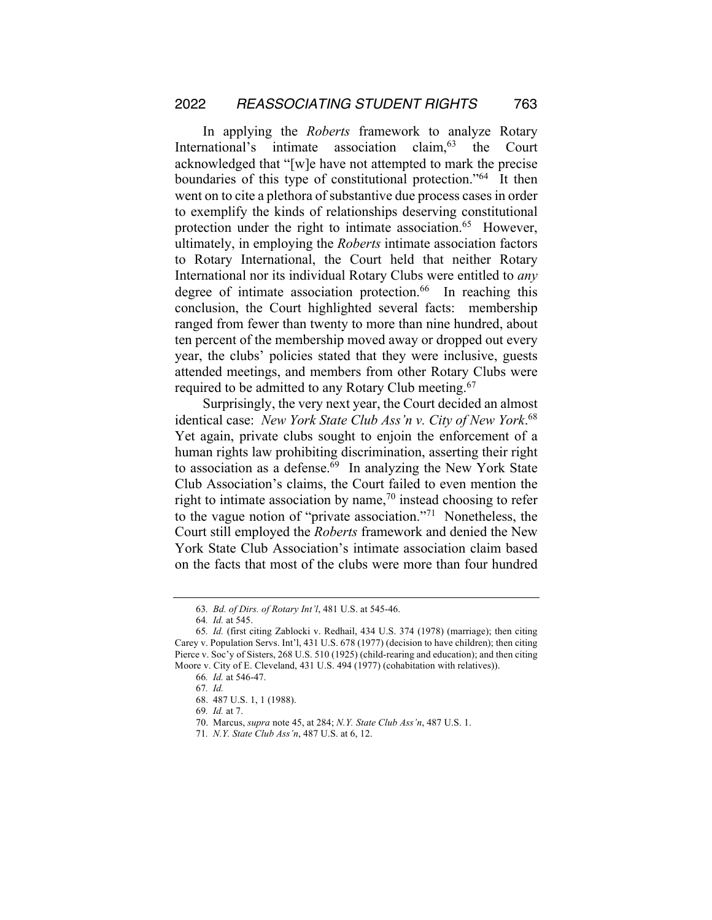In applying the *Roberts* framework to analyze Rotary International's intimate association claim, <sup>63</sup> the Court acknowledged that "[w]e have not attempted to mark the precise boundaries of this type of constitutional protection."64 It then went on to cite a plethora of substantive due process cases in order to exemplify the kinds of relationships deserving constitutional protection under the right to intimate association.<sup>65</sup> However, ultimately, in employing the *Roberts* intimate association factors to Rotary International, the Court held that neither Rotary International nor its individual Rotary Clubs were entitled to *any* degree of intimate association protection.<sup>66</sup> In reaching this conclusion, the Court highlighted several facts: membership ranged from fewer than twenty to more than nine hundred, about ten percent of the membership moved away or dropped out every year, the clubs' policies stated that they were inclusive, guests attended meetings, and members from other Rotary Clubs were required to be admitted to any Rotary Club meeting.<sup>67</sup>

Surprisingly, the very next year, the Court decided an almost identical case: *New York State Club Ass'n v. City of New York*. 68 Yet again, private clubs sought to enjoin the enforcement of a human rights law prohibiting discrimination, asserting their right to association as a defense. $69$  In analyzing the New York State Club Association's claims, the Court failed to even mention the right to intimate association by name, $70$  instead choosing to refer to the vague notion of "private association."71 Nonetheless, the Court still employed the *Roberts* framework and denied the New York State Club Association's intimate association claim based on the facts that most of the clubs were more than four hundred

<sup>63</sup>*. Bd. of Dirs. of Rotary Int'l*, 481 U.S. at 545-46.

<sup>64</sup>*. Id.* at 545.

<sup>65</sup>*. Id.* (first citing Zablocki v. Redhail, 434 U.S. 374 (1978) (marriage); then citing Carey v. Population Servs. Int'l, 431 U.S. 678 (1977) (decision to have children); then citing Pierce v. Soc'y of Sisters, 268 U.S. 510 (1925) (child-rearing and education); and then citing Moore v. City of E. Cleveland, 431 U.S. 494 (1977) (cohabitation with relatives)).

<sup>66</sup>*. Id.* at 546-47.

<sup>67</sup>*. Id.*

<sup>68.</sup> 487 U.S. 1, 1 (1988).

<sup>69</sup>*. Id.* at 7.

<sup>70.</sup> Marcus, *supra* note 45, at 284; *N.Y. State Club Ass'n*, 487 U.S. 1.

<sup>71</sup>*. N.Y. State Club Ass'n*, 487 U.S. at 6, 12.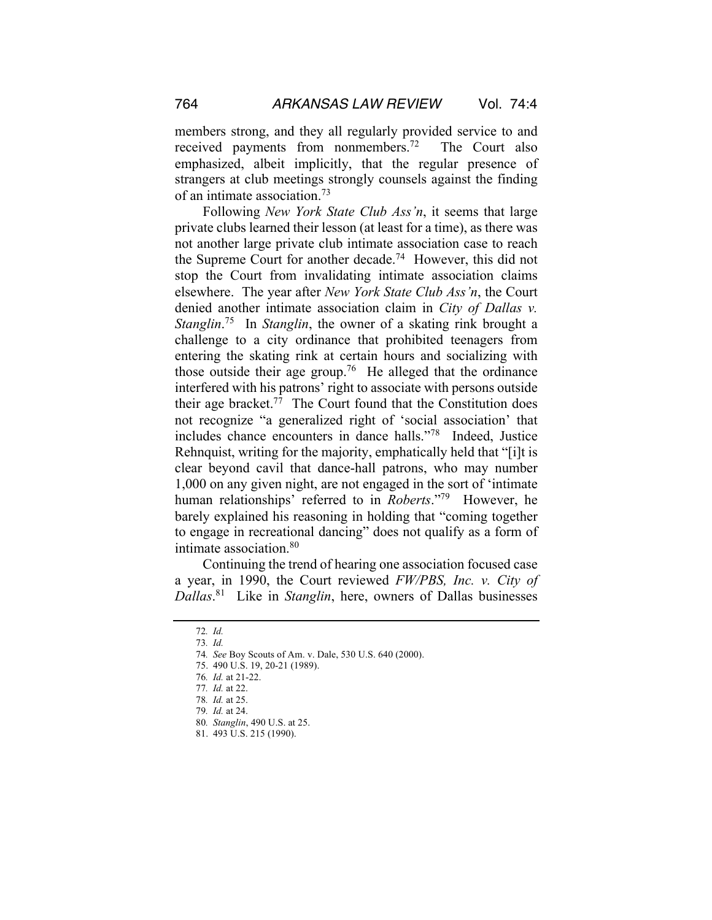members strong, and they all regularly provided service to and received payments from nonmembers.<sup>72</sup> The Court also emphasized, albeit implicitly, that the regular presence of strangers at club meetings strongly counsels against the finding of an intimate association.73

Following *New York State Club Ass'n*, it seems that large private clubs learned their lesson (at least for a time), as there was not another large private club intimate association case to reach the Supreme Court for another decade.<sup>74</sup> However, this did not stop the Court from invalidating intimate association claims elsewhere. The year after *New York State Club Ass'n*, the Court denied another intimate association claim in *City of Dallas v. Stanglin*. 75 In *Stanglin*, the owner of a skating rink brought a challenge to a city ordinance that prohibited teenagers from entering the skating rink at certain hours and socializing with those outside their age group.<sup>76</sup> He alleged that the ordinance interfered with his patrons' right to associate with persons outside their age bracket.77 The Court found that the Constitution does not recognize "a generalized right of 'social association' that includes chance encounters in dance halls."78 Indeed, Justice Rehnquist, writing for the majority, emphatically held that "[i]t is clear beyond cavil that dance-hall patrons, who may number 1,000 on any given night, are not engaged in the sort of 'intimate human relationships' referred to in *Roberts*."79 However, he barely explained his reasoning in holding that "coming together to engage in recreational dancing" does not qualify as a form of intimate association.80

Continuing the trend of hearing one association focused case a year, in 1990, the Court reviewed *FW/PBS, Inc. v. City of Dallas*. 81 Like in *Stanglin*, here, owners of Dallas businesses

<sup>72</sup>*. Id.*

<sup>73</sup>*. Id.*

<sup>74</sup>*. See* Boy Scouts of Am. v. Dale, 530 U.S. 640 (2000).

<sup>75.</sup> 490 U.S. 19, 20-21 (1989).

<sup>76</sup>*. Id.* at 21-22.

<sup>77</sup>*. Id.* at 22.

<sup>78</sup>*. Id.* at 25.

<sup>79</sup>*. Id.* at 24.

<sup>80</sup>*. Stanglin*, 490 U.S. at 25.

<sup>81.</sup> 493 U.S. 215 (1990).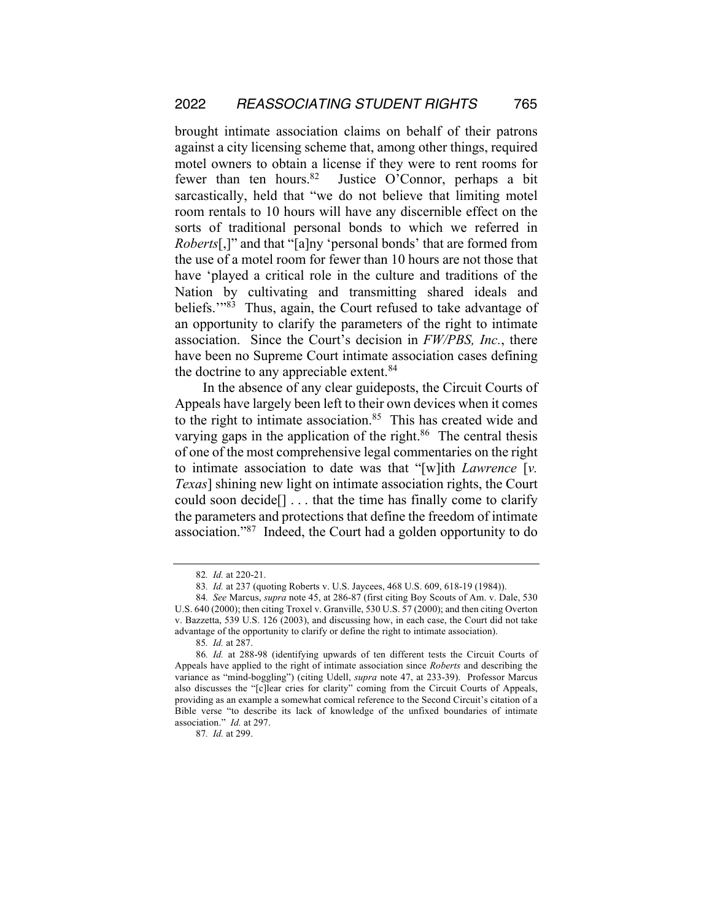brought intimate association claims on behalf of their patrons against a city licensing scheme that, among other things, required motel owners to obtain a license if they were to rent rooms for fewer than ten hours. <sup>82</sup> Justice O'Connor, perhaps a bit sarcastically, held that "we do not believe that limiting motel room rentals to 10 hours will have any discernible effect on the sorts of traditional personal bonds to which we referred in *Roberts*[,]" and that "[a]ny 'personal bonds' that are formed from the use of a motel room for fewer than 10 hours are not those that have 'played a critical role in the culture and traditions of the Nation by cultivating and transmitting shared ideals and beliefs."<sup>83</sup> Thus, again, the Court refused to take advantage of an opportunity to clarify the parameters of the right to intimate association. Since the Court's decision in *FW/PBS, Inc.*, there have been no Supreme Court intimate association cases defining the doctrine to any appreciable extent.<sup>84</sup>

In the absence of any clear guideposts, the Circuit Courts of Appeals have largely been left to their own devices when it comes to the right to intimate association.<sup>85</sup> This has created wide and varying gaps in the application of the right. $86$  The central thesis of one of the most comprehensive legal commentaries on the right to intimate association to date was that "[w]ith *Lawrence* [*v. Texas*] shining new light on intimate association rights, the Court could soon decide[] . . . that the time has finally come to clarify the parameters and protections that define the freedom of intimate association."87 Indeed, the Court had a golden opportunity to do

<sup>82</sup>*. Id.* at 220-21.

<sup>83</sup>*. Id.* at 237 (quoting Roberts v. U.S. Jaycees, 468 U.S. 609, 618-19 (1984)).

<sup>84</sup>*. See* Marcus, *supra* note 45, at 286-87 (first citing Boy Scouts of Am. v. Dale, 530 U.S. 640 (2000); then citing Troxel v. Granville, 530 U.S. 57 (2000); and then citing Overton v. Bazzetta, 539 U.S. 126 (2003), and discussing how, in each case, the Court did not take advantage of the opportunity to clarify or define the right to intimate association).

<sup>85</sup>*. Id.* at 287.

<sup>86</sup>*. Id.* at 288-98 (identifying upwards of ten different tests the Circuit Courts of Appeals have applied to the right of intimate association since *Roberts* and describing the variance as "mind-boggling") (citing Udell, *supra* note 47, at 233-39). Professor Marcus also discusses the "[c]lear cries for clarity" coming from the Circuit Courts of Appeals, providing as an example a somewhat comical reference to the Second Circuit's citation of a Bible verse "to describe its lack of knowledge of the unfixed boundaries of intimate association." *Id.* at 297.

<sup>87</sup>*. Id.* at 299.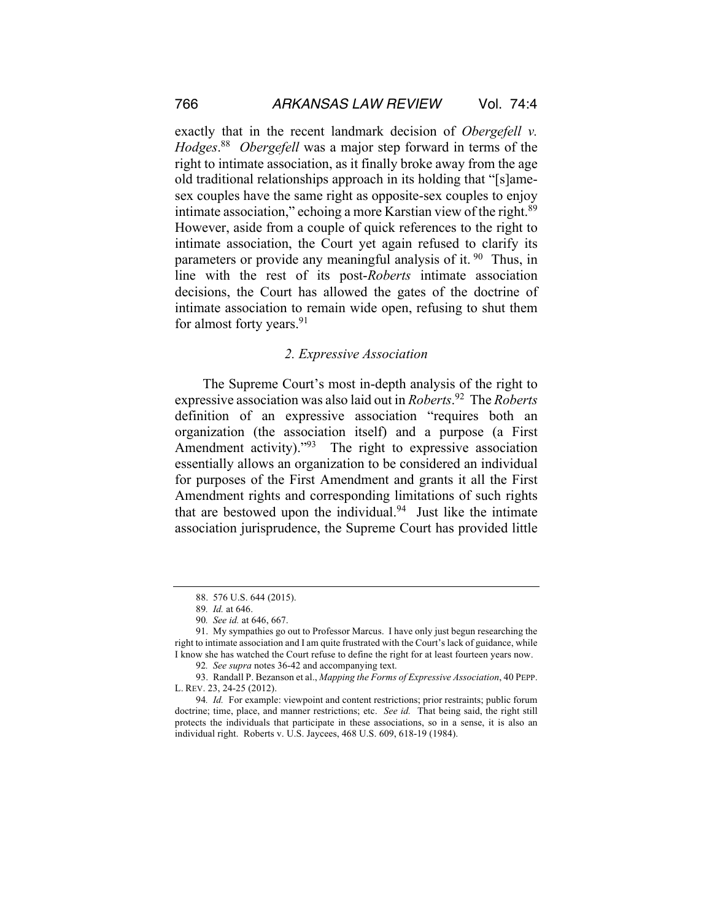exactly that in the recent landmark decision of *Obergefell v. Hodges*. 88 *Obergefell* was a major step forward in terms of the right to intimate association, as it finally broke away from the age old traditional relationships approach in its holding that "[s]amesex couples have the same right as opposite-sex couples to enjoy intimate association," echoing a more Karstian view of the right.<sup>89</sup> However, aside from a couple of quick references to the right to intimate association, the Court yet again refused to clarify its parameters or provide any meaningful analysis of it.<sup>90</sup> Thus, in line with the rest of its post-*Roberts* intimate association decisions, the Court has allowed the gates of the doctrine of intimate association to remain wide open, refusing to shut them for almost forty years.<sup>91</sup>

#### *2. Expressive Association*

The Supreme Court's most in-depth analysis of the right to expressive association was also laid out in *Roberts*. 92 The *Roberts*  definition of an expressive association "requires both an organization (the association itself) and a purpose (a First Amendment activity)."<sup>93</sup> The right to expressive association essentially allows an organization to be considered an individual for purposes of the First Amendment and grants it all the First Amendment rights and corresponding limitations of such rights that are bestowed upon the individual. $94$  Just like the intimate association jurisprudence, the Supreme Court has provided little

<sup>88.</sup> 576 U.S. 644 (2015).

<sup>89</sup>*. Id.* at 646.

<sup>90</sup>*. See id.* at 646, 667.

<sup>91.</sup> My sympathies go out to Professor Marcus. I have only just begun researching the right to intimate association and I am quite frustrated with the Court's lack of guidance, while I know she has watched the Court refuse to define the right for at least fourteen years now.

<sup>92</sup>*. See supra* notes 36-42 and accompanying text.

<sup>93.</sup> Randall P. Bezanson et al., *Mapping the Forms of Expressive Association*, 40 PEPP. L. REV. 23, 24-25 (2012).

<sup>94</sup>*. Id.* For example: viewpoint and content restrictions; prior restraints; public forum doctrine; time, place, and manner restrictions; etc. *See id.* That being said, the right still protects the individuals that participate in these associations, so in a sense, it is also an individual right. Roberts v. U.S. Jaycees, 468 U.S. 609, 618-19 (1984).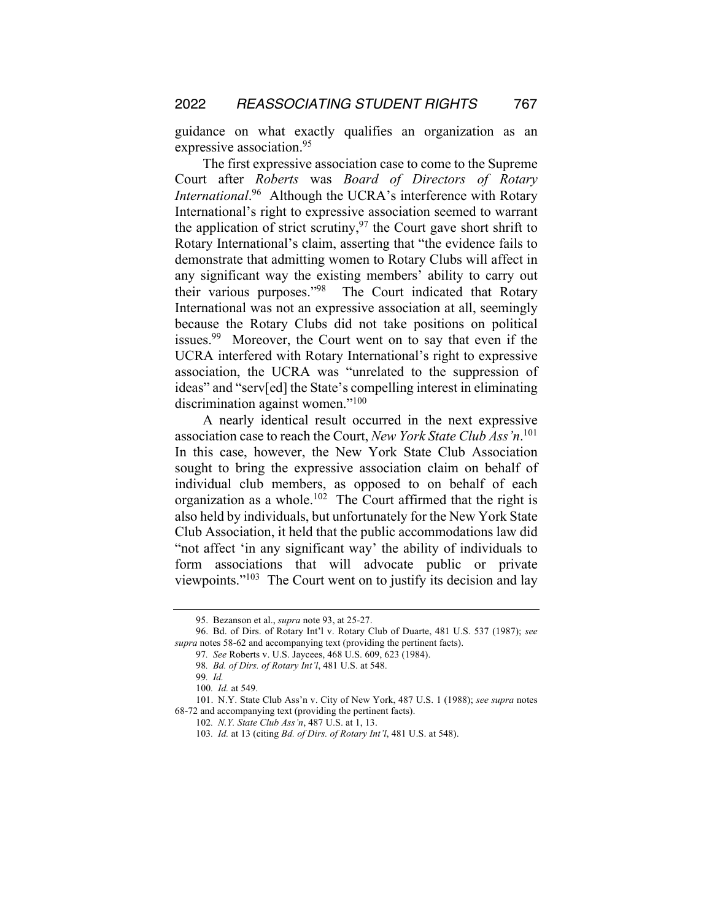guidance on what exactly qualifies an organization as an expressive association.<sup>95</sup>

The first expressive association case to come to the Supreme Court after *Roberts* was *Board of Directors of Rotary International*. 96 Although the UCRA's interference with Rotary International's right to expressive association seemed to warrant the application of strict scrutiny,  $97$  the Court gave short shrift to Rotary International's claim, asserting that "the evidence fails to demonstrate that admitting women to Rotary Clubs will affect in any significant way the existing members' ability to carry out their various purposes."98 The Court indicated that Rotary International was not an expressive association at all, seemingly because the Rotary Clubs did not take positions on political issues.<sup>99</sup> Moreover, the Court went on to say that even if the UCRA interfered with Rotary International's right to expressive association, the UCRA was "unrelated to the suppression of ideas" and "serv[ed] the State's compelling interest in eliminating discrimination against women."<sup>100</sup>

A nearly identical result occurred in the next expressive association case to reach the Court, *New York State Club Ass'n*. 101 In this case, however, the New York State Club Association sought to bring the expressive association claim on behalf of individual club members, as opposed to on behalf of each organization as a whole.<sup>102</sup> The Court affirmed that the right is also held by individuals, but unfortunately for the New York State Club Association, it held that the public accommodations law did "not affect 'in any significant way' the ability of individuals to form associations that will advocate public or private viewpoints."103 The Court went on to justify its decision and lay

<sup>95.</sup> Bezanson et al., *supra* note 93, at 25-27.

<sup>96.</sup> Bd. of Dirs. of Rotary Int'l v. Rotary Club of Duarte, 481 U.S. 537 (1987); *see supra* notes 58-62 and accompanying text (providing the pertinent facts).

<sup>97</sup>*. See* Roberts v. U.S. Jaycees, 468 U.S. 609, 623 (1984).

<sup>98</sup>*. Bd. of Dirs. of Rotary Int'l*, 481 U.S. at 548.

<sup>99</sup>*. Id.*

<sup>100</sup>*. Id.* at 549.

<sup>101.</sup> N.Y. State Club Ass'n v. City of New York, 487 U.S. 1 (1988); *see supra* notes 68-72 and accompanying text (providing the pertinent facts).

<sup>102</sup>*. N.Y. State Club Ass'n*, 487 U.S. at 1, 13.

<sup>103</sup>*. Id.* at 13 (citing *Bd. of Dirs. of Rotary Int'l*, 481 U.S. at 548).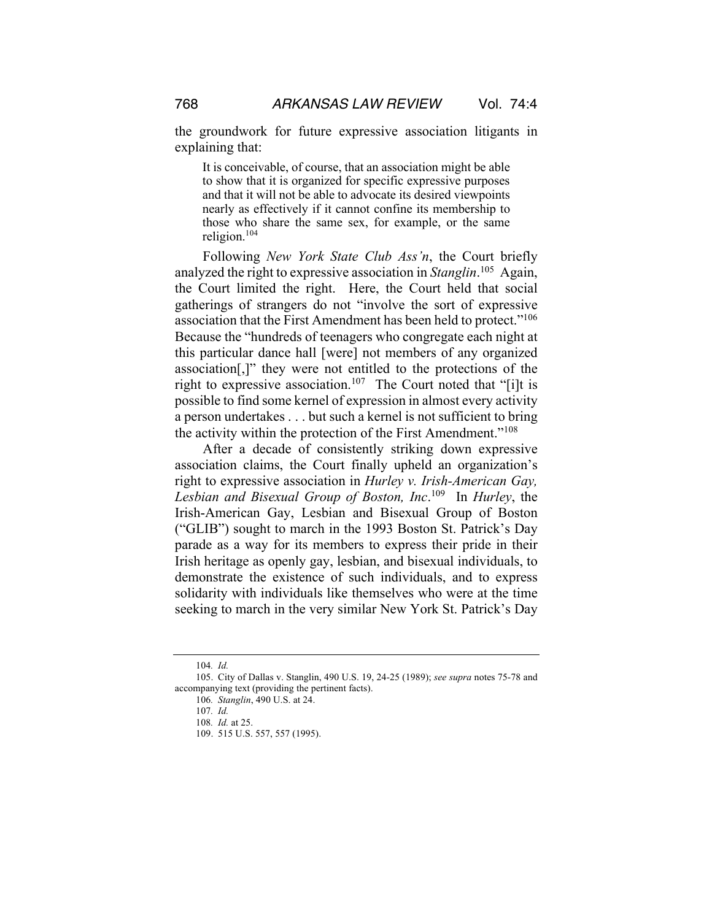the groundwork for future expressive association litigants in explaining that:

It is conceivable, of course, that an association might be able to show that it is organized for specific expressive purposes and that it will not be able to advocate its desired viewpoints nearly as effectively if it cannot confine its membership to those who share the same sex, for example, or the same religion.<sup>104</sup>

Following *New York State Club Ass'n*, the Court briefly analyzed the right to expressive association in *Stanglin*. 105 Again, the Court limited the right. Here, the Court held that social gatherings of strangers do not "involve the sort of expressive association that the First Amendment has been held to protect."106 Because the "hundreds of teenagers who congregate each night at this particular dance hall [were] not members of any organized association[,]" they were not entitled to the protections of the right to expressive association.<sup>107</sup> The Court noted that "[i]t is possible to find some kernel of expression in almost every activity a person undertakes . . . but such a kernel is not sufficient to bring the activity within the protection of the First Amendment."108

After a decade of consistently striking down expressive association claims, the Court finally upheld an organization's right to expressive association in *Hurley v. Irish-American Gay, Lesbian and Bisexual Group of Boston, Inc*. 109 In *Hurley*, the Irish-American Gay, Lesbian and Bisexual Group of Boston ("GLIB") sought to march in the 1993 Boston St. Patrick's Day parade as a way for its members to express their pride in their Irish heritage as openly gay, lesbian, and bisexual individuals, to demonstrate the existence of such individuals, and to express solidarity with individuals like themselves who were at the time seeking to march in the very similar New York St. Patrick's Day

<sup>104</sup>*. Id.*

<sup>105.</sup> City of Dallas v. Stanglin, 490 U.S. 19, 24-25 (1989); *see supra* notes 75-78 and accompanying text (providing the pertinent facts).

<sup>106</sup>*. Stanglin*, 490 U.S. at 24.

<sup>107</sup>*. Id.*

<sup>108</sup>*. Id.* at 25.

<sup>109.</sup> 515 U.S. 557, 557 (1995).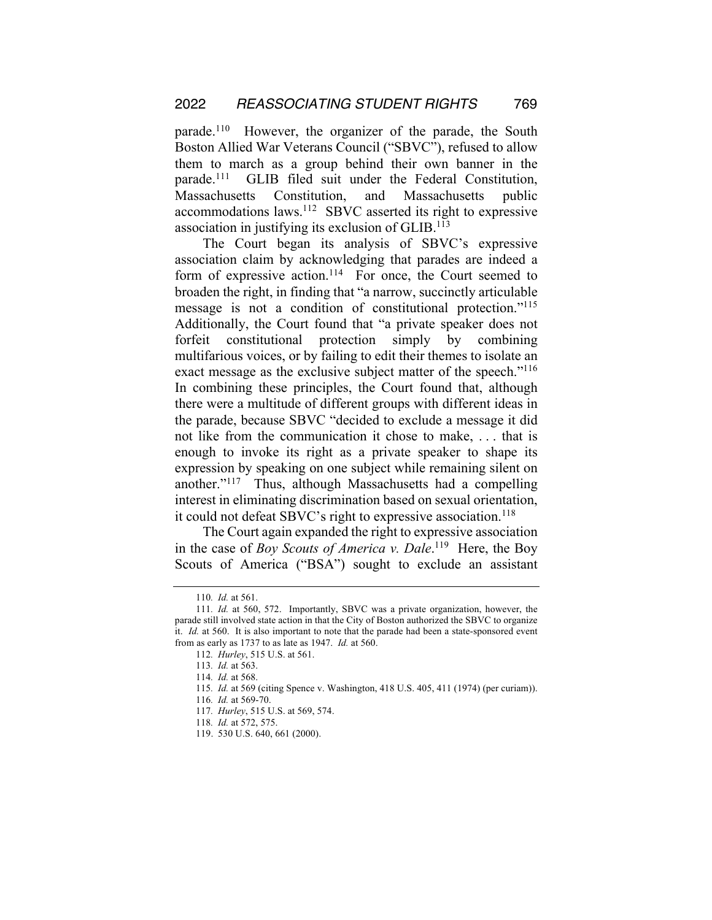parade.110 However, the organizer of the parade, the South Boston Allied War Veterans Council ("SBVC"), refused to allow them to march as a group behind their own banner in the parade.111 GLIB filed suit under the Federal Constitution, Massachusetts Constitution, and Massachusetts public accommodations laws.112 SBVC asserted its right to expressive association in justifying its exclusion of GLIB.<sup>113</sup>

The Court began its analysis of SBVC's expressive association claim by acknowledging that parades are indeed a form of expressive action.<sup>114</sup> For once, the Court seemed to broaden the right, in finding that "a narrow, succinctly articulable message is not a condition of constitutional protection."115 Additionally, the Court found that "a private speaker does not forfeit constitutional protection simply by combining multifarious voices, or by failing to edit their themes to isolate an exact message as the exclusive subject matter of the speech."<sup>116</sup> In combining these principles, the Court found that, although there were a multitude of different groups with different ideas in the parade, because SBVC "decided to exclude a message it did not like from the communication it chose to make, . . . that is enough to invoke its right as a private speaker to shape its expression by speaking on one subject while remaining silent on another."117 Thus, although Massachusetts had a compelling interest in eliminating discrimination based on sexual orientation, it could not defeat SBVC's right to expressive association.<sup>118</sup>

The Court again expanded the right to expressive association in the case of *Boy Scouts of America v. Dale*.<sup>119</sup> Here, the Boy Scouts of America ("BSA") sought to exclude an assistant

<sup>110</sup>*. Id.* at 561.

<sup>111</sup>*. Id.* at 560, 572. Importantly, SBVC was a private organization, however, the parade still involved state action in that the City of Boston authorized the SBVC to organize it. *Id.* at 560. It is also important to note that the parade had been a state-sponsored event from as early as 1737 to as late as 1947. *Id.* at 560.

<sup>112</sup>*. Hurley*, 515 U.S. at 561.

<sup>113</sup>*. Id.* at 563.

<sup>114</sup>*. Id.* at 568.

<sup>115</sup>*. Id.* at 569 (citing Spence v. Washington, 418 U.S. 405, 411 (1974) (per curiam)).

<sup>116</sup>*. Id.* at 569-70.

<sup>117</sup>*. Hurley*, 515 U.S. at 569, 574.

<sup>118</sup>*. Id.* at 572, 575.

<sup>119.</sup> 530 U.S. 640, 661 (2000).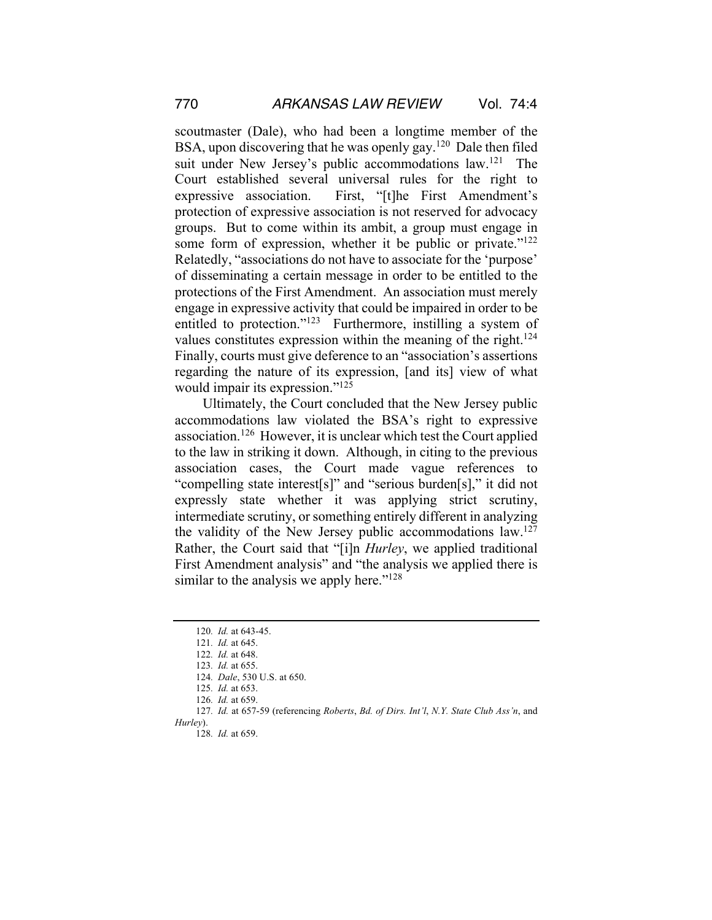scoutmaster (Dale), who had been a longtime member of the BSA, upon discovering that he was openly gay.<sup>120</sup> Dale then filed suit under New Jersey's public accommodations law.<sup>121</sup> The Court established several universal rules for the right to expressive association. First, "[t]he First Amendment's protection of expressive association is not reserved for advocacy groups. But to come within its ambit, a group must engage in some form of expression, whether it be public or private."<sup>122</sup> Relatedly, "associations do not have to associate for the 'purpose' of disseminating a certain message in order to be entitled to the protections of the First Amendment. An association must merely engage in expressive activity that could be impaired in order to be entitled to protection."<sup>123</sup> Furthermore, instilling a system of values constitutes expression within the meaning of the right.<sup>124</sup> Finally, courts must give deference to an "association's assertions regarding the nature of its expression, [and its] view of what would impair its expression."125

Ultimately, the Court concluded that the New Jersey public accommodations law violated the BSA's right to expressive association.126 However, it is unclear which test the Court applied to the law in striking it down. Although, in citing to the previous association cases, the Court made vague references to "compelling state interest[s]" and "serious burden[s]," it did not expressly state whether it was applying strict scrutiny, intermediate scrutiny, or something entirely different in analyzing the validity of the New Jersey public accommodations  $law<sup>127</sup>$ Rather, the Court said that "[i]n *Hurley*, we applied traditional First Amendment analysis" and "the analysis we applied there is similar to the analysis we apply here."<sup>128</sup>

<sup>120</sup>*. Id.* at 643-45.

<sup>121</sup>*. Id.* at 645.

<sup>122</sup>*. Id.* at 648.

<sup>123</sup>*. Id.* at 655.

<sup>124</sup>*. Dale*, 530 U.S. at 650.

<sup>125</sup>*. Id.* at 653.

<sup>126</sup>*. Id.* at 659.

<sup>127</sup>*. Id.* at 657-59 (referencing *Roberts*, *Bd. of Dirs. Int'l*, *N.Y. State Club Ass'n*, and *Hurley*).

<sup>128</sup>*. Id.* at 659.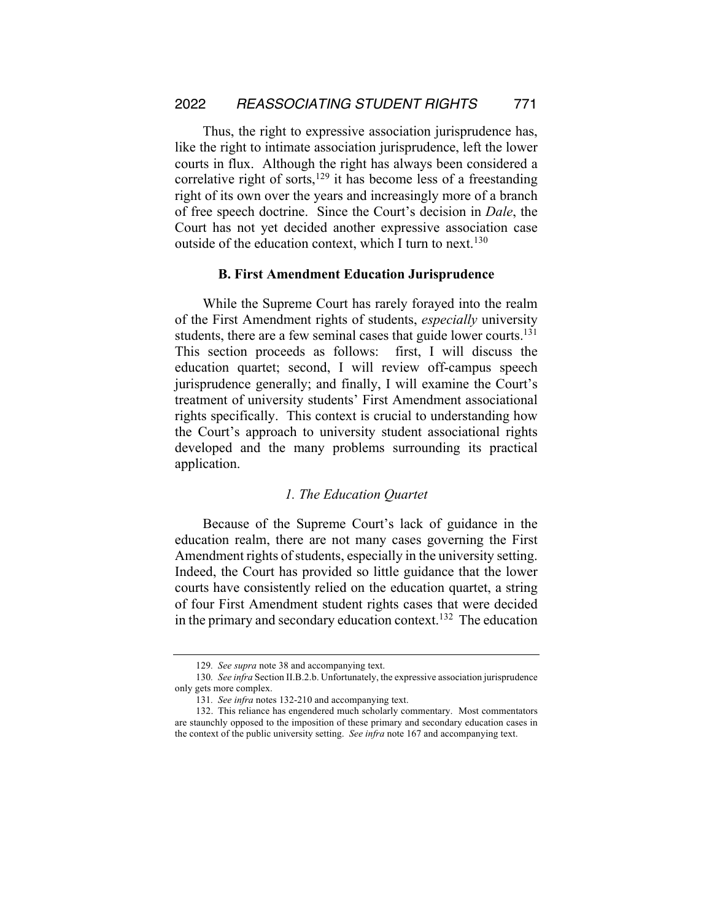Thus, the right to expressive association jurisprudence has, like the right to intimate association jurisprudence, left the lower courts in flux. Although the right has always been considered a correlative right of sorts, $129$  it has become less of a freestanding right of its own over the years and increasingly more of a branch of free speech doctrine. Since the Court's decision in *Dale*, the Court has not yet decided another expressive association case outside of the education context, which I turn to next.<sup>130</sup>

#### **B. First Amendment Education Jurisprudence**

While the Supreme Court has rarely forayed into the realm of the First Amendment rights of students, *especially* university students, there are a few seminal cases that guide lower courts.<sup>131</sup> This section proceeds as follows: first, I will discuss the education quartet; second, I will review off-campus speech jurisprudence generally; and finally, I will examine the Court's treatment of university students' First Amendment associational rights specifically. This context is crucial to understanding how the Court's approach to university student associational rights developed and the many problems surrounding its practical application.

#### *1. The Education Quartet*

Because of the Supreme Court's lack of guidance in the education realm, there are not many cases governing the First Amendment rights of students, especially in the university setting. Indeed, the Court has provided so little guidance that the lower courts have consistently relied on the education quartet, a string of four First Amendment student rights cases that were decided in the primary and secondary education context.<sup>132</sup> The education

<sup>129</sup>*. See supra* note 38 and accompanying text.

<sup>130</sup>*. See infra* Section II.B.2.b. Unfortunately, the expressive association jurisprudence only gets more complex.

<sup>131</sup>*. See infra* notes 132-210 and accompanying text.

<sup>132.</sup> This reliance has engendered much scholarly commentary. Most commentators are staunchly opposed to the imposition of these primary and secondary education cases in the context of the public university setting. *See infra* note 167 and accompanying text.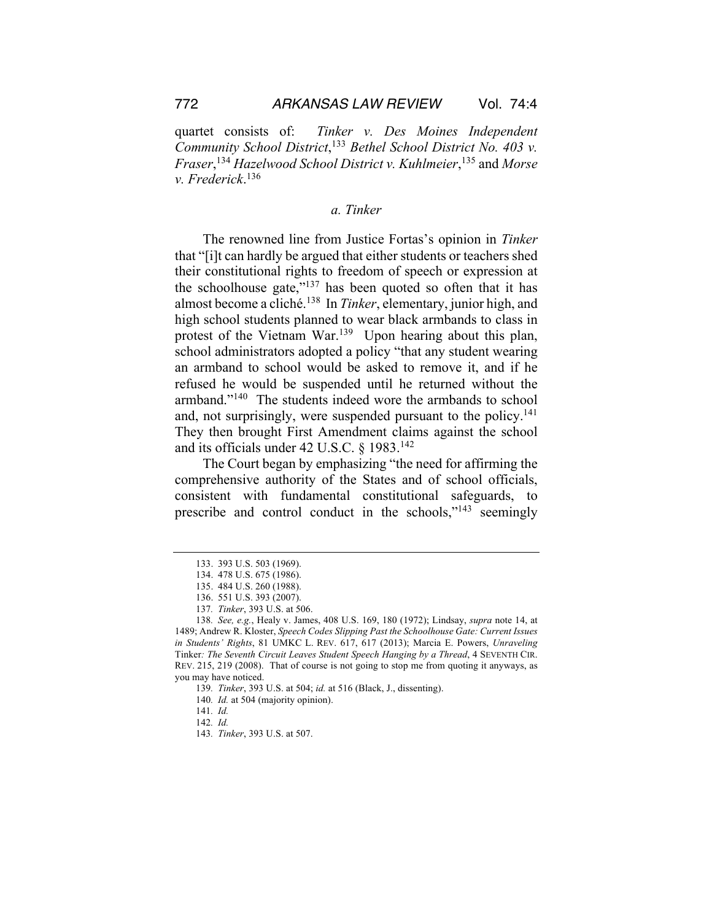quartet consists of: *Tinker v. Des Moines Independent Community School District*, <sup>133</sup> *Bethel School District No. 403 v. Fraser*, <sup>134</sup> *Hazelwood School District v. Kuhlmeier*, <sup>135</sup> and *Morse v. Frederick*. 136

## *a. Tinker*

The renowned line from Justice Fortas's opinion in *Tinker*  that "[i]t can hardly be argued that either students or teachers shed their constitutional rights to freedom of speech or expression at the schoolhouse gate," $137$  has been quoted so often that it has almost become a cliché.138 In *Tinker*, elementary, junior high, and high school students planned to wear black armbands to class in protest of the Vietnam War.<sup>139</sup> Upon hearing about this plan, school administrators adopted a policy "that any student wearing an armband to school would be asked to remove it, and if he refused he would be suspended until he returned without the armband."140 The students indeed wore the armbands to school and, not surprisingly, were suspended pursuant to the policy.<sup>141</sup> They then brought First Amendment claims against the school and its officials under 42 U.S.C. § 1983.142

The Court began by emphasizing "the need for affirming the comprehensive authority of the States and of school officials, consistent with fundamental constitutional safeguards, to prescribe and control conduct in the schools,"143 seemingly

<sup>133.</sup> 393 U.S. 503 (1969).

<sup>134.</sup> 478 U.S. 675 (1986).

<sup>135.</sup> 484 U.S. 260 (1988).

<sup>136.</sup> 551 U.S. 393 (2007).

<sup>137</sup>*. Tinker*, 393 U.S. at 506.

<sup>138</sup>*. See, e.g.*, Healy v. James, 408 U.S. 169, 180 (1972); Lindsay, *supra* note 14, at 1489; Andrew R. Kloster, *Speech Codes Slipping Past the Schoolhouse Gate: Current Issues in Students' Rights*, 81 UMKC L. REV. 617, 617 (2013); Marcia E. Powers, *Unraveling* Tinker*: The Seventh Circuit Leaves Student Speech Hanging by a Thread*, 4 SEVENTH CIR. REV. 215, 219 (2008). That of course is not going to stop me from quoting it anyways, as you may have noticed.

<sup>139</sup>*. Tinker*, 393 U.S. at 504; *id.* at 516 (Black, J., dissenting).

<sup>140</sup>*. Id.* at 504 (majority opinion).

<sup>141</sup>*. Id.*

<sup>142</sup>*. Id.*

<sup>143</sup>*. Tinker*, 393 U.S. at 507.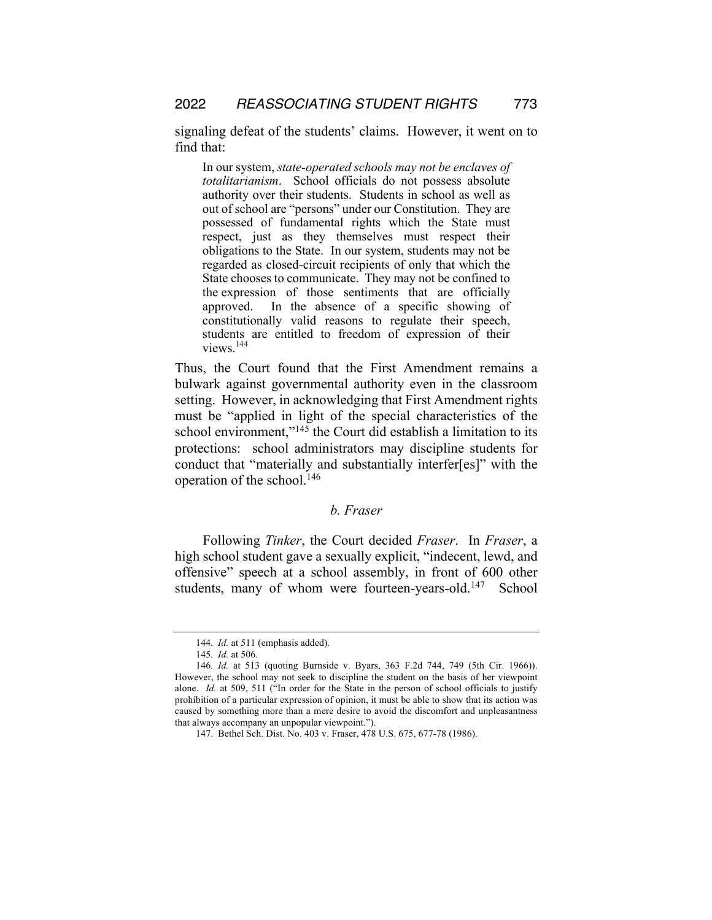signaling defeat of the students' claims. However, it went on to find that:

In our system, *state-operated schools may not be enclaves of totalitarianism*. School officials do not possess absolute authority over their students. Students in school as well as out of school are "persons" under our Constitution. They are possessed of fundamental rights which the State must respect, just as they themselves must respect their obligations to the State. In our system, students may not be regarded as closed-circuit recipients of only that which the State chooses to communicate. They may not be confined to the expression of those sentiments that are officially approved. In the absence of a specific showing of constitutionally valid reasons to regulate their speech, students are entitled to freedom of expression of their views.144

Thus, the Court found that the First Amendment remains a bulwark against governmental authority even in the classroom setting. However, in acknowledging that First Amendment rights must be "applied in light of the special characteristics of the school environment,"<sup>145</sup> the Court did establish a limitation to its protections: school administrators may discipline students for conduct that "materially and substantially interfer[es]" with the operation of the school.146

## *b. Fraser*

Following *Tinker*, the Court decided *Fraser*. In *Fraser*, a high school student gave a sexually explicit, "indecent, lewd, and offensive" speech at a school assembly, in front of 600 other students, many of whom were fourteen-years-old.<sup>147</sup> School

<sup>144</sup>*. Id.* at 511 (emphasis added).

<sup>145</sup>*. Id.* at 506.

<sup>146</sup>*. Id.* at 513 (quoting Burnside v. Byars, 363 F.2d 744, 749 (5th Cir. 1966)). However, the school may not seek to discipline the student on the basis of her viewpoint alone. *Id.* at 509, 511 ("In order for the State in the person of school officials to justify prohibition of a particular expression of opinion, it must be able to show that its action was caused by something more than a mere desire to avoid the discomfort and unpleasantness that always accompany an unpopular viewpoint.").

<sup>147.</sup> Bethel Sch. Dist. No. 403 v. Fraser, 478 U.S. 675, 677-78 (1986).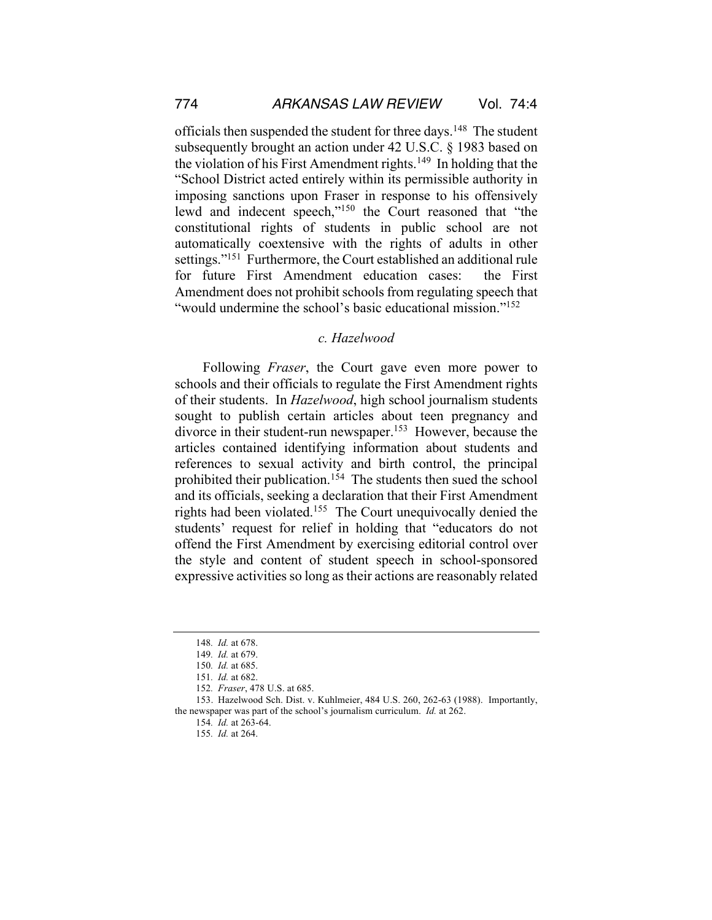officials then suspended the student for three days.<sup>148</sup> The student subsequently brought an action under 42 U.S.C. § 1983 based on the violation of his First Amendment rights.<sup>149</sup> In holding that the "School District acted entirely within its permissible authority in imposing sanctions upon Fraser in response to his offensively lewd and indecent speech,"150 the Court reasoned that "the constitutional rights of students in public school are not automatically coextensive with the rights of adults in other settings."<sup>151</sup> Furthermore, the Court established an additional rule for future First Amendment education cases: the First Amendment does not prohibit schools from regulating speech that "would undermine the school's basic educational mission."<sup>152</sup>

### *c. Hazelwood*

Following *Fraser*, the Court gave even more power to schools and their officials to regulate the First Amendment rights of their students. In *Hazelwood*, high school journalism students sought to publish certain articles about teen pregnancy and divorce in their student-run newspaper.<sup>153</sup> However, because the articles contained identifying information about students and references to sexual activity and birth control, the principal prohibited their publication.154 The students then sued the school and its officials, seeking a declaration that their First Amendment rights had been violated.155 The Court unequivocally denied the students' request for relief in holding that "educators do not offend the First Amendment by exercising editorial control over the style and content of student speech in school-sponsored expressive activities so long astheir actions are reasonably related

<sup>148</sup>*. Id.* at 678.

<sup>149</sup>*. Id.* at 679.

<sup>150</sup>*. Id.* at 685.

<sup>151</sup>*. Id.* at 682.

<sup>152</sup>*. Fraser*, 478 U.S. at 685.

<sup>153.</sup> Hazelwood Sch. Dist. v. Kuhlmeier, 484 U.S. 260, 262-63 (1988). Importantly, the newspaper was part of the school's journalism curriculum. *Id.* at 262.

<sup>154</sup>*. Id.* at 263-64.

<sup>155</sup>*. Id.* at 264.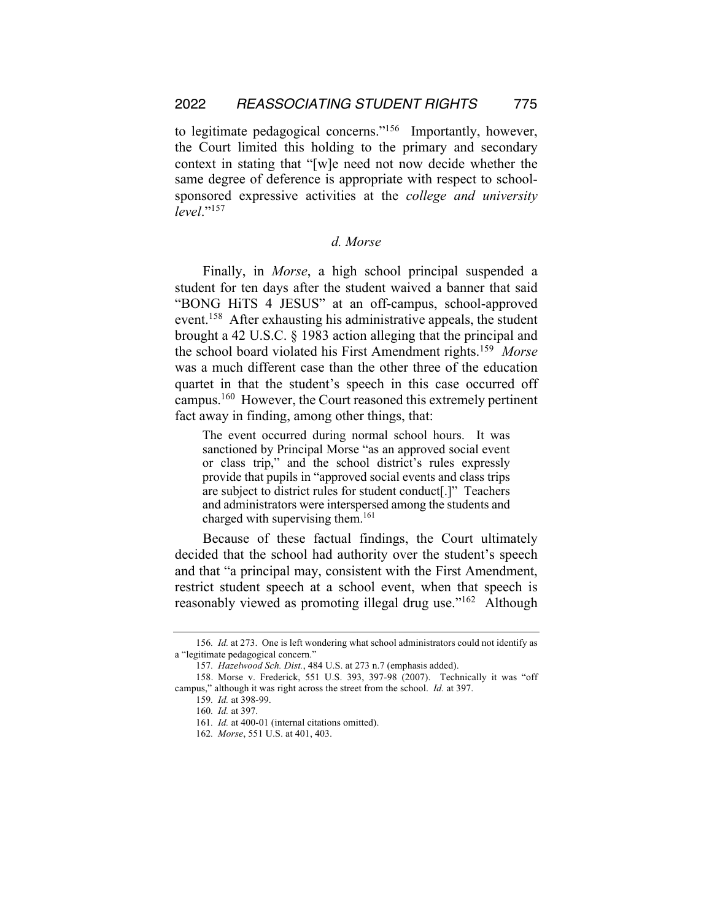to legitimate pedagogical concerns."156 Importantly, however, the Court limited this holding to the primary and secondary context in stating that "[w]e need not now decide whether the same degree of deference is appropriate with respect to schoolsponsored expressive activities at the *college and university level*."157

## *d. Morse*

Finally, in *Morse*, a high school principal suspended a student for ten days after the student waived a banner that said "BONG HiTS 4 JESUS" at an off-campus, school-approved event.<sup>158</sup> After exhausting his administrative appeals, the student brought a 42 U.S.C. § 1983 action alleging that the principal and the school board violated his First Amendment rights.159 *Morse* was a much different case than the other three of the education quartet in that the student's speech in this case occurred off campus.160 However, the Court reasoned this extremely pertinent fact away in finding, among other things, that:

The event occurred during normal school hours. It was sanctioned by Principal Morse "as an approved social event or class trip," and the school district's rules expressly provide that pupils in "approved social events and class trips are subject to district rules for student conduct[.]" Teachers and administrators were interspersed among the students and charged with supervising them.<sup>161</sup>

Because of these factual findings, the Court ultimately decided that the school had authority over the student's speech and that "a principal may, consistent with the First Amendment, restrict student speech at a school event, when that speech is reasonably viewed as promoting illegal drug use."162 Although

<sup>156</sup>*. Id.* at 273. One is left wondering what school administrators could not identify as a "legitimate pedagogical concern."

<sup>157</sup>*. Hazelwood Sch. Dist.*, 484 U.S. at 273 n.7 (emphasis added).

<sup>158.</sup> Morse v. Frederick, 551 U.S. 393, 397-98 (2007). Technically it was "off campus," although it was right across the street from the school. *Id.* at 397.

<sup>159</sup>*. Id.* at 398-99.

<sup>160</sup>*. Id.* at 397.

<sup>161</sup>*. Id.* at 400-01 (internal citations omitted).

<sup>162</sup>*. Morse*, 551 U.S. at 401, 403.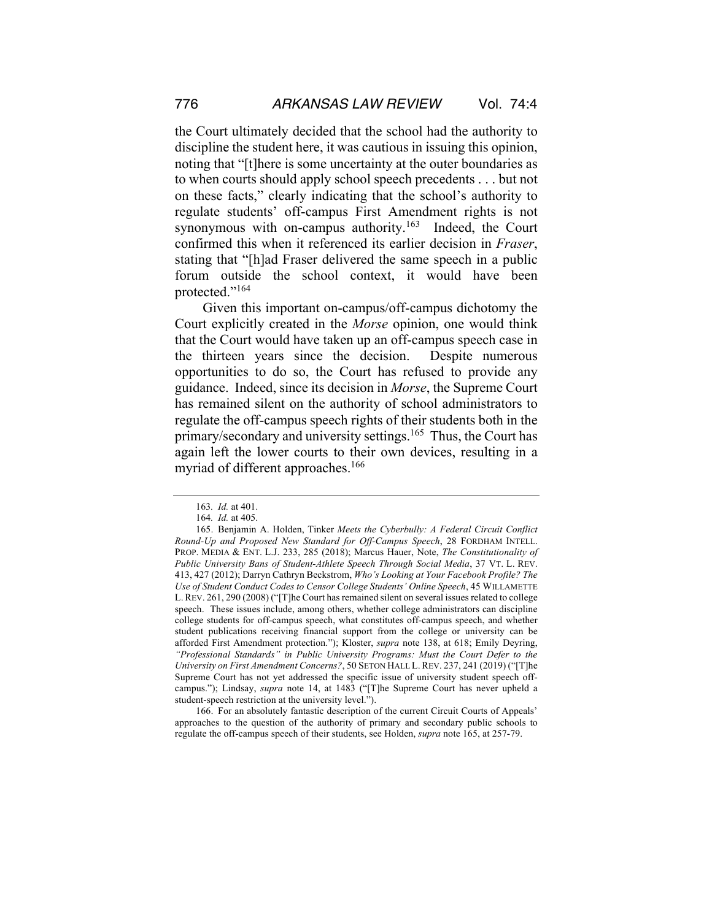the Court ultimately decided that the school had the authority to discipline the student here, it was cautious in issuing this opinion, noting that "[t]here is some uncertainty at the outer boundaries as to when courts should apply school speech precedents . . . but not on these facts," clearly indicating that the school's authority to regulate students' off-campus First Amendment rights is not synonymous with on-campus authority.<sup>163</sup> Indeed, the Court confirmed this when it referenced its earlier decision in *Fraser*, stating that "[h]ad Fraser delivered the same speech in a public forum outside the school context, it would have been protected."<sup>164</sup>

Given this important on-campus/off-campus dichotomy the Court explicitly created in the *Morse* opinion, one would think that the Court would have taken up an off-campus speech case in the thirteen years since the decision. Despite numerous opportunities to do so, the Court has refused to provide any guidance. Indeed, since its decision in *Morse*, the Supreme Court has remained silent on the authority of school administrators to regulate the off-campus speech rights of their students both in the primary/secondary and university settings.165 Thus, the Court has again left the lower courts to their own devices, resulting in a myriad of different approaches.<sup>166</sup>

166. For an absolutely fantastic description of the current Circuit Courts of Appeals' approaches to the question of the authority of primary and secondary public schools to regulate the off-campus speech of their students, see Holden, *supra* note 165, at 257-79.

<sup>163</sup>*. Id.* at 401.

<sup>164</sup>*. Id.* at 405.

<sup>165.</sup> Benjamin A. Holden, Tinker *Meets the Cyberbully: A Federal Circuit Conflict Round-Up and Proposed New Standard for Off-Campus Speech*, 28 FORDHAM INTELL. PROP. MEDIA & ENT. L.J. 233, 285 (2018); Marcus Hauer, Note, *The Constitutionality of Public University Bans of Student-Athlete Speech Through Social Media*, 37 VT. L. REV. 413, 427 (2012); Darryn Cathryn Beckstrom, *Who's Looking at Your Facebook Profile? The Use of Student Conduct Codes to Censor College Students' Online Speech*, 45 WILLAMETTE L.REV. 261, 290 (2008) ("[T]he Court has remained silent on several issues related to college speech. These issues include, among others, whether college administrators can discipline college students for off-campus speech, what constitutes off-campus speech, and whether student publications receiving financial support from the college or university can be afforded First Amendment protection."); Kloster, *supra* note 138, at 618; Emily Deyring, *"Professional Standards" in Public University Programs: Must the Court Defer to the University on First Amendment Concerns?*, 50 SETON HALL L.REV. 237, 241 (2019) ("[T]he Supreme Court has not yet addressed the specific issue of university student speech offcampus."); Lindsay, *supra* note 14, at 1483 ("[T]he Supreme Court has never upheld a student-speech restriction at the university level.").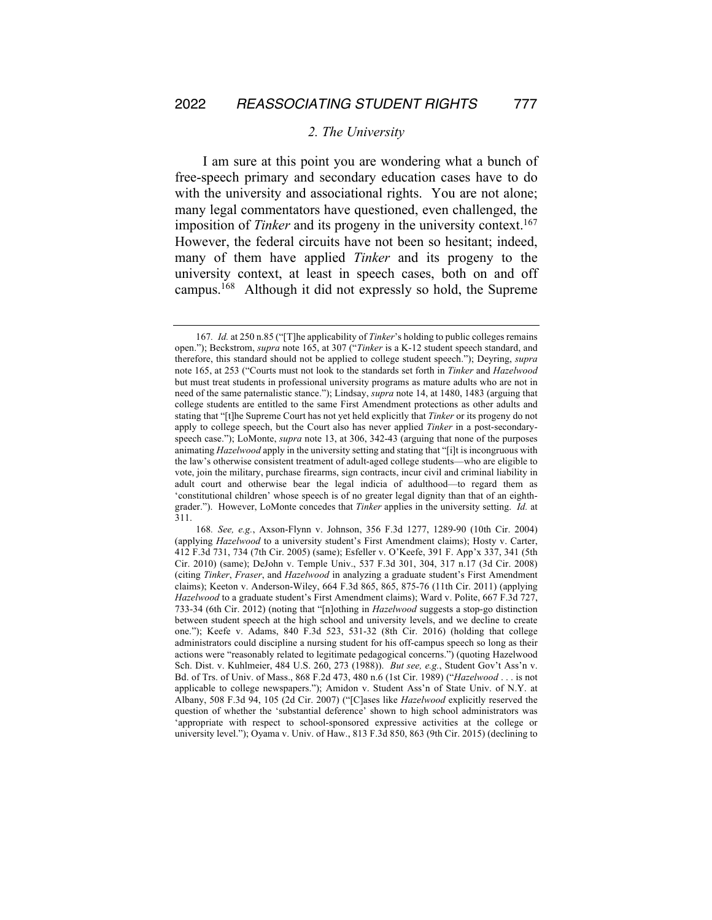#### *2. The University*

I am sure at this point you are wondering what a bunch of free-speech primary and secondary education cases have to do with the university and associational rights. You are not alone; many legal commentators have questioned, even challenged, the imposition of *Tinker* and its progeny in the university context.<sup>167</sup> However, the federal circuits have not been so hesitant; indeed, many of them have applied *Tinker* and its progeny to the university context, at least in speech cases, both on and off campus.168 Although it did not expressly so hold, the Supreme

<sup>167</sup>*. Id.* at 250 n.85 ("[T]he applicability of *Tinker*'s holding to public colleges remains open."); Beckstrom, *supra* note 165, at 307 ("*Tinker* is a K-12 student speech standard, and therefore, this standard should not be applied to college student speech."); Deyring, *supra* note 165, at 253 ("Courts must not look to the standards set forth in *Tinker* and *Hazelwood* but must treat students in professional university programs as mature adults who are not in need of the same paternalistic stance."); Lindsay, *supra* note 14, at 1480, 1483 (arguing that college students are entitled to the same First Amendment protections as other adults and stating that "[t]he Supreme Court has not yet held explicitly that *Tinker* or its progeny do not apply to college speech, but the Court also has never applied *Tinker* in a post-secondaryspeech case."); LoMonte, *supra* note 13, at 306, 342-43 (arguing that none of the purposes animating *Hazelwood* apply in the university setting and stating that "[i]t is incongruous with the law's otherwise consistent treatment of adult-aged college students—who are eligible to vote, join the military, purchase firearms, sign contracts, incur civil and criminal liability in adult court and otherwise bear the legal indicia of adulthood—to regard them as 'constitutional children' whose speech is of no greater legal dignity than that of an eighthgrader."). However, LoMonte concedes that *Tinker* applies in the university setting. *Id.* at 311.

<sup>168</sup>*. See, e.g.*, Axson-Flynn v. Johnson, 356 F.3d 1277, 1289-90 (10th Cir. 2004) (applying *Hazelwood* to a university student's First Amendment claims); Hosty v. Carter, 412 F.3d 731, 734 (7th Cir. 2005) (same); Esfeller v. O'Keefe, 391 F. App'x 337, 341 (5th Cir. 2010) (same); DeJohn v. Temple Univ., 537 F.3d 301, 304, 317 n.17 (3d Cir. 2008) (citing *Tinker*, *Fraser*, and *Hazelwood* in analyzing a graduate student's First Amendment claims); Keeton v. Anderson-Wiley, 664 F.3d 865, 865, 875-76 (11th Cir. 2011) (applying *Hazelwood* to a graduate student's First Amendment claims); Ward v. Polite, 667 F.3d 727, 733-34 (6th Cir. 2012) (noting that "[n]othing in *Hazelwood* suggests a stop-go distinction between student speech at the high school and university levels, and we decline to create one."); Keefe v. Adams, 840 F.3d 523, 531-32 (8th Cir. 2016) (holding that college administrators could discipline a nursing student for his off-campus speech so long as their actions were "reasonably related to legitimate pedagogical concerns.") (quoting Hazelwood Sch. Dist. v. Kuhlmeier, 484 U.S. 260, 273 (1988)). *But see, e.g.*, Student Gov't Ass'n v. Bd. of Trs. of Univ. of Mass., 868 F.2d 473, 480 n.6 (1st Cir. 1989) ("*Hazelwood* . . . is not applicable to college newspapers."); Amidon v. Student Ass'n of State Univ. of N.Y. at Albany, 508 F.3d 94, 105 (2d Cir. 2007) ("[C]ases like *Hazelwood* explicitly reserved the question of whether the 'substantial deference' shown to high school administrators was 'appropriate with respect to school-sponsored expressive activities at the college or university level."); Oyama v. Univ. of Haw., 813 F.3d 850, 863 (9th Cir. 2015) (declining to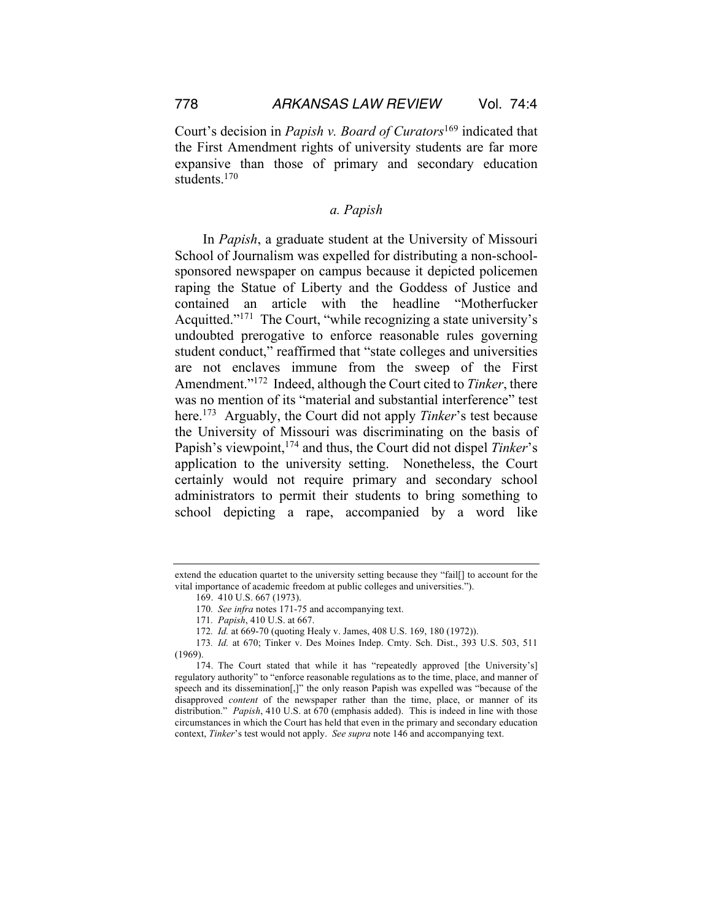Court's decision in *Papish v. Board of Curators*<sup>169</sup> indicated that the First Amendment rights of university students are far more expansive than those of primary and secondary education students.<sup>170</sup>

## *a. Papish*

In *Papish*, a graduate student at the University of Missouri School of Journalism was expelled for distributing a non-schoolsponsored newspaper on campus because it depicted policemen raping the Statue of Liberty and the Goddess of Justice and contained an article with the headline "Motherfucker Acquitted."<sup>171</sup> The Court, "while recognizing a state university's undoubted prerogative to enforce reasonable rules governing student conduct," reaffirmed that "state colleges and universities are not enclaves immune from the sweep of the First Amendment."172 Indeed, although the Court cited to *Tinker*, there was no mention of its "material and substantial interference" test here.173 Arguably, the Court did not apply *Tinker*'s test because the University of Missouri was discriminating on the basis of Papish's viewpoint,174 and thus, the Court did not dispel *Tinker*'s application to the university setting. Nonetheless, the Court certainly would not require primary and secondary school administrators to permit their students to bring something to school depicting a rape, accompanied by a word like

extend the education quartet to the university setting because they "fail[] to account for the vital importance of academic freedom at public colleges and universities.").

<sup>169.</sup> 410 U.S. 667 (1973).

<sup>170</sup>*. See infra* notes 171-75 and accompanying text.

<sup>171</sup>*. Papish*, 410 U.S. at 667.

<sup>172</sup>*. Id.* at 669-70 (quoting Healy v. James, 408 U.S. 169, 180 (1972)).

<sup>173</sup>*. Id.* at 670; Tinker v. Des Moines Indep. Cmty. Sch. Dist., 393 U.S. 503, 511 (1969).

<sup>174.</sup> The Court stated that while it has "repeatedly approved [the University's] regulatory authority" to "enforce reasonable regulations as to the time, place, and manner of speech and its dissemination[,]" the only reason Papish was expelled was "because of the disapproved *content* of the newspaper rather than the time, place, or manner of its distribution." *Papish*, 410 U.S. at 670 (emphasis added). This is indeed in line with those circumstances in which the Court has held that even in the primary and secondary education context, *Tinker*'s test would not apply. *See supra* note 146 and accompanying text.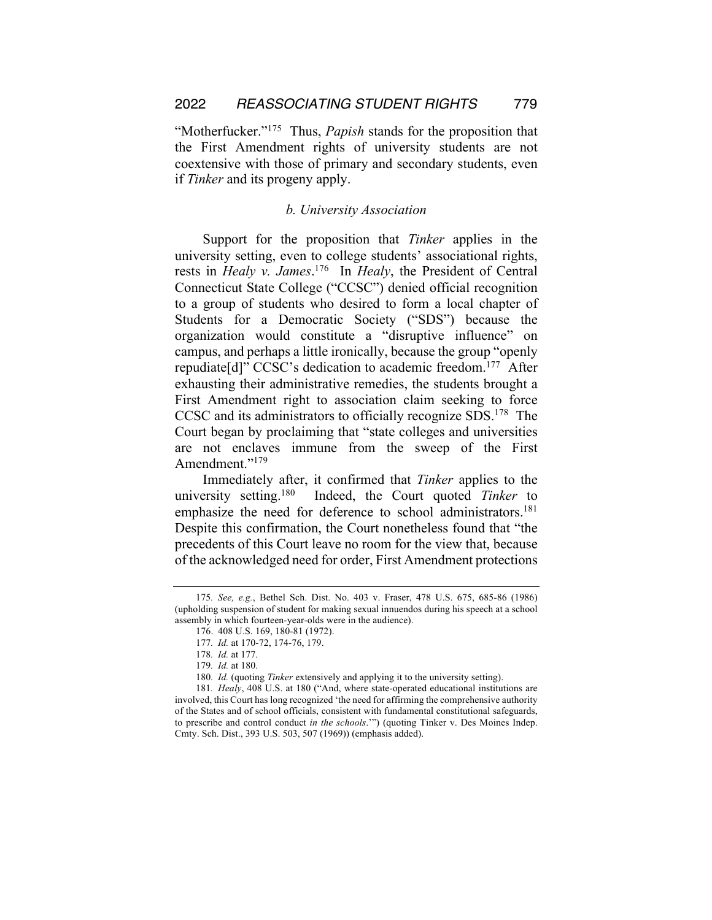"Motherfucker."175 Thus, *Papish* stands for the proposition that the First Amendment rights of university students are not coextensive with those of primary and secondary students, even if *Tinker* and its progeny apply.

## *b. University Association*

Support for the proposition that *Tinker* applies in the university setting, even to college students' associational rights, rests in *Healy v. James*. 176 In *Healy*, the President of Central Connecticut State College ("CCSC") denied official recognition to a group of students who desired to form a local chapter of Students for a Democratic Society ("SDS") because the organization would constitute a "disruptive influence" on campus, and perhaps a little ironically, because the group "openly repudiate[d]" CCSC's dedication to academic freedom.177 After exhausting their administrative remedies, the students brought a First Amendment right to association claim seeking to force CCSC and its administrators to officially recognize SDS.178 The Court began by proclaiming that "state colleges and universities are not enclaves immune from the sweep of the First Amendment."<sup>179</sup>

Immediately after, it confirmed that *Tinker* applies to the university setting.180 Indeed, the Court quoted *Tinker* to emphasize the need for deference to school administrators.<sup>181</sup> Despite this confirmation, the Court nonetheless found that "the precedents of this Court leave no room for the view that, because of the acknowledged need for order, First Amendment protections

<sup>175</sup>*. See, e.g.*, Bethel Sch. Dist. No. 403 v. Fraser, 478 U.S. 675, 685-86 (1986) (upholding suspension of student for making sexual innuendos during his speech at a school assembly in which fourteen-year-olds were in the audience).

<sup>176.</sup> 408 U.S. 169, 180-81 (1972).

<sup>177</sup>*. Id.* at 170-72, 174-76, 179.

<sup>178</sup>*. Id.* at 177.

<sup>179</sup>*. Id.* at 180.

<sup>180</sup>*. Id.* (quoting *Tinker* extensively and applying it to the university setting).

<sup>181</sup>*. Healy*, 408 U.S. at 180 ("And, where state-operated educational institutions are involved, this Court has long recognized 'the need for affirming the comprehensive authority of the States and of school officials, consistent with fundamental constitutional safeguards, to prescribe and control conduct *in the schools*.'") (quoting Tinker v. Des Moines Indep. Cmty. Sch. Dist., 393 U.S. 503, 507 (1969)) (emphasis added).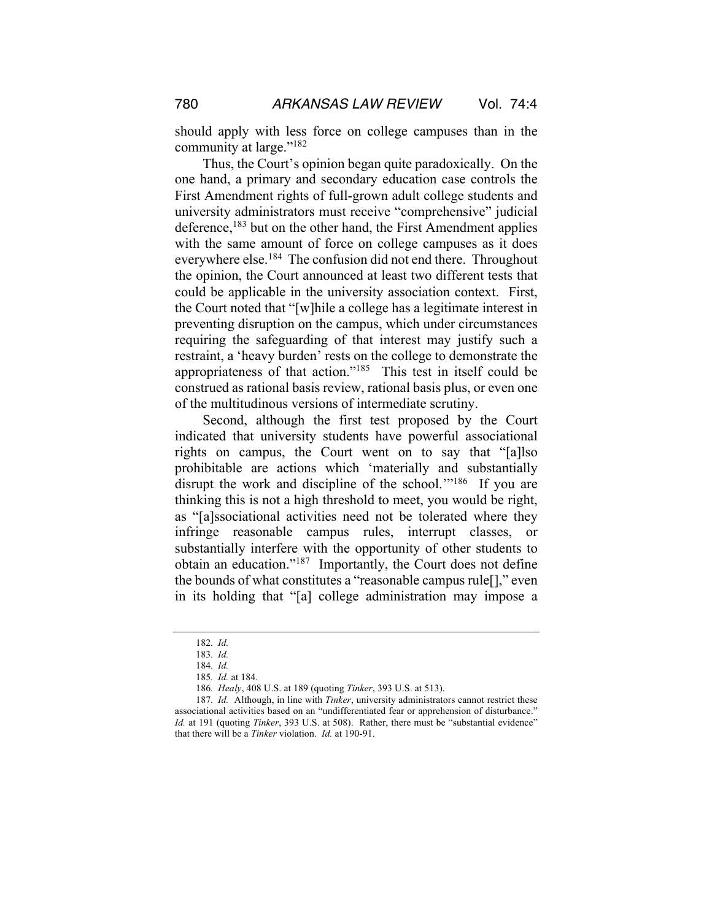should apply with less force on college campuses than in the community at large."182

Thus, the Court's opinion began quite paradoxically. On the one hand, a primary and secondary education case controls the First Amendment rights of full-grown adult college students and university administrators must receive "comprehensive" judicial deference,<sup>183</sup> but on the other hand, the First Amendment applies with the same amount of force on college campuses as it does everywhere else.<sup>184</sup> The confusion did not end there. Throughout the opinion, the Court announced at least two different tests that could be applicable in the university association context. First, the Court noted that "[w]hile a college has a legitimate interest in preventing disruption on the campus, which under circumstances requiring the safeguarding of that interest may justify such a restraint, a 'heavy burden' rests on the college to demonstrate the appropriateness of that action."185 This test in itself could be construed as rational basis review, rational basis plus, or even one of the multitudinous versions of intermediate scrutiny.

Second, although the first test proposed by the Court indicated that university students have powerful associational rights on campus, the Court went on to say that "[a]lso prohibitable are actions which 'materially and substantially disrupt the work and discipline of the school."<sup>186</sup> If you are thinking this is not a high threshold to meet, you would be right, as "[a]ssociational activities need not be tolerated where they infringe reasonable campus rules, interrupt classes, or substantially interfere with the opportunity of other students to obtain an education."187 Importantly, the Court does not define the bounds of what constitutes a "reasonable campus rule[]," even in its holding that "[a] college administration may impose a

<sup>182</sup>*. Id.*

<sup>183</sup>*. Id.*

<sup>184</sup>*. Id.* 

<sup>185</sup>*. Id.* at 184.

<sup>186</sup>*. Healy*, 408 U.S. at 189 (quoting *Tinker*, 393 U.S. at 513).

<sup>187</sup>*. Id.* Although, in line with *Tinker*, university administrators cannot restrict these associational activities based on an "undifferentiated fear or apprehension of disturbance." *Id.* at 191 (quoting *Tinker*, 393 U.S. at 508). Rather, there must be "substantial evidence" that there will be a *Tinker* violation. *Id.* at 190-91.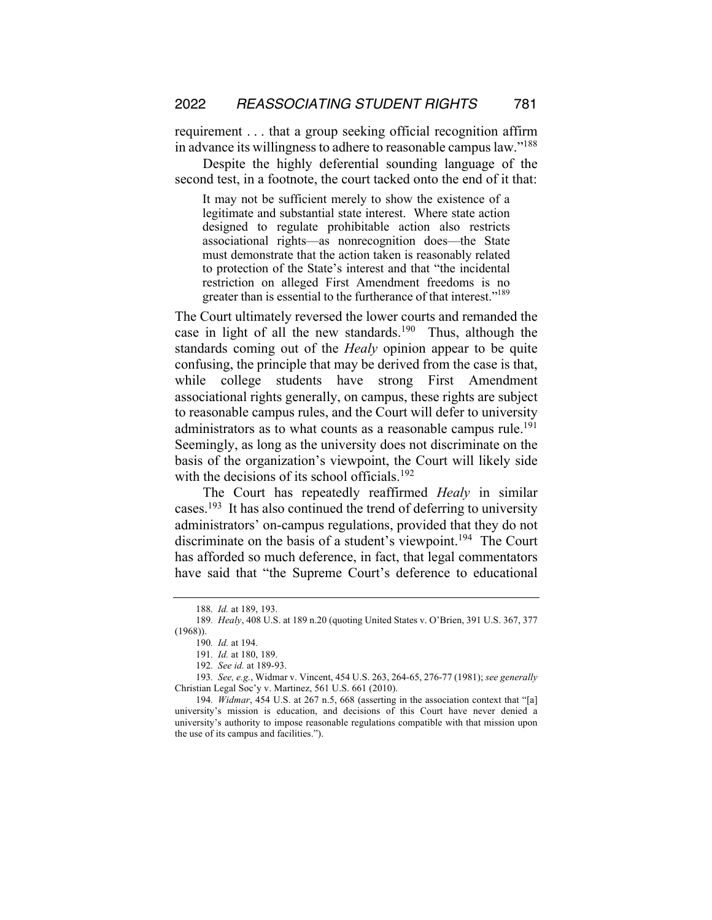requirement . . . that a group seeking official recognition affirm in advance its willingness to adhere to reasonable campus law."188

Despite the highly deferential sounding language of the second test, in a footnote, the court tacked onto the end of it that:

It may not be sufficient merely to show the existence of a legitimate and substantial state interest. Where state action designed to regulate prohibitable action also restricts associational rights—as nonrecognition does—the State must demonstrate that the action taken is reasonably related to protection of the State's interest and that "the incidental restriction on alleged First Amendment freedoms is no greater than is essential to the furtherance of that interest."<sup>189</sup>

The Court ultimately reversed the lower courts and remanded the case in light of all the new standards.<sup>190</sup> Thus, although the standards coming out of the *Healy* opinion appear to be quite confusing, the principle that may be derived from the case is that, while college students have strong First Amendment associational rights generally, on campus, these rights are subject to reasonable campus rules, and the Court will defer to university administrators as to what counts as a reasonable campus rule.<sup>191</sup> Seemingly, as long as the university does not discriminate on the basis of the organization's viewpoint, the Court will likely side with the decisions of its school officials.<sup>192</sup>

The Court has repeatedly reaffirmed *Healy* in similar cases.<sup>193</sup> It has also continued the trend of deferring to university administrators' on-campus regulations, provided that they do not discriminate on the basis of a student's viewpoint.<sup>194</sup> The Court has afforded so much deference, in fact, that legal commentators have said that "the Supreme Court's deference to educational

<sup>188</sup>*. Id.* at 189, 193.

<sup>189</sup>*. Healy*, 408 U.S. at 189 n.20 (quoting United States v. O'Brien, 391 U.S. 367, 377 (1968)).

<sup>190</sup>*. Id.* at 194.

<sup>191</sup>*. Id.* at 180, 189.

<sup>192</sup>*. See id.* at 189-93.

<sup>193</sup>*. See, e.g.*, Widmar v. Vincent, 454 U.S. 263, 264-65, 276-77 (1981); *see generally*  Christian Legal Soc'y v. Martinez, 561 U.S. 661 (2010).

<sup>194</sup>*. Widmar*, 454 U.S. at 267 n.5, 668 (asserting in the association context that "[a] university's mission is education, and decisions of this Court have never denied a university's authority to impose reasonable regulations compatible with that mission upon the use of its campus and facilities.").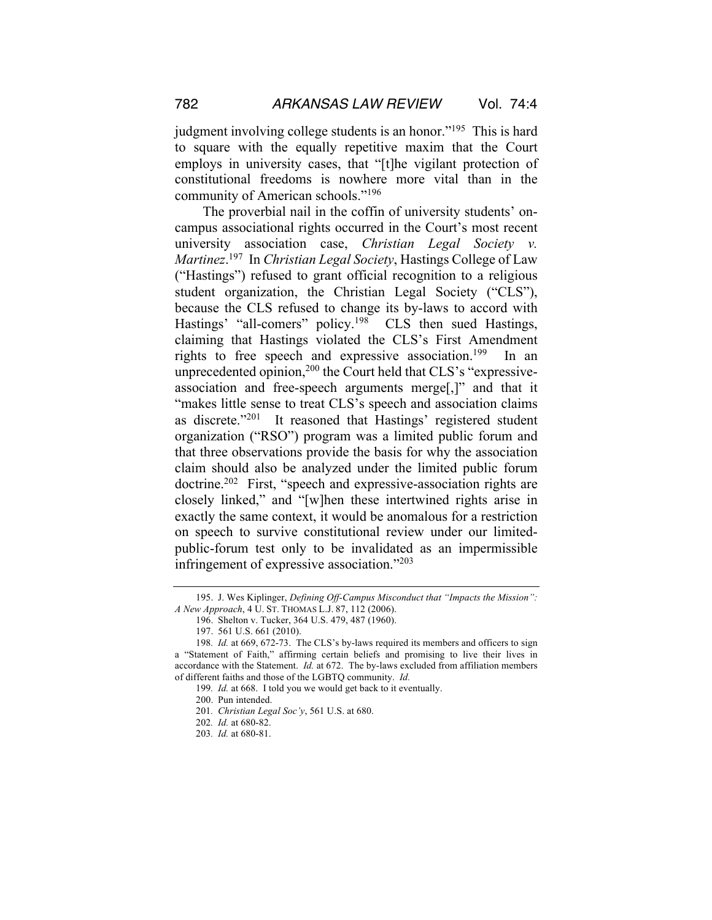judgment involving college students is an honor."<sup>195</sup> This is hard to square with the equally repetitive maxim that the Court employs in university cases, that "[t]he vigilant protection of constitutional freedoms is nowhere more vital than in the community of American schools."196

The proverbial nail in the coffin of university students' oncampus associational rights occurred in the Court's most recent university association case, *Christian Legal Society v. Martinez*. 197 In *Christian Legal Society*, Hastings College of Law ("Hastings") refused to grant official recognition to a religious student organization, the Christian Legal Society ("CLS"), because the CLS refused to change its by-laws to accord with Hastings' "all-comers" policy.<sup>198</sup> CLS then sued Hastings, claiming that Hastings violated the CLS's First Amendment rights to free speech and expressive association.<sup>199</sup> In an unprecedented opinion, $200$  the Court held that CLS's "expressiveassociation and free-speech arguments merge[,]" and that it "makes little sense to treat CLS's speech and association claims as discrete."201 It reasoned that Hastings' registered student organization ("RSO") program was a limited public forum and that three observations provide the basis for why the association claim should also be analyzed under the limited public forum doctrine.<sup>202</sup> First, "speech and expressive-association rights are closely linked," and "[w]hen these intertwined rights arise in exactly the same context, it would be anomalous for a restriction on speech to survive constitutional review under our limitedpublic-forum test only to be invalidated as an impermissible infringement of expressive association."203

<sup>195.</sup> J. Wes Kiplinger, *Defining Off-Campus Misconduct that "Impacts the Mission": A New Approach*, 4 U. ST. THOMAS L.J. 87, 112 (2006).

<sup>196.</sup> Shelton v. Tucker, 364 U.S. 479, 487 (1960).

<sup>197.</sup> 561 U.S. 661 (2010).

<sup>198</sup>*. Id.* at 669, 672-73. The CLS's by-laws required its members and officers to sign a "Statement of Faith," affirming certain beliefs and promising to live their lives in accordance with the Statement. *Id.* at 672. The by-laws excluded from affiliation members of different faiths and those of the LGBTQ community. *Id.* 

<sup>199</sup>*. Id.* at 668. I told you we would get back to it eventually.

<sup>200.</sup> Pun intended.

<sup>201</sup>*. Christian Legal Soc'y*, 561 U.S. at 680.

<sup>202</sup>*. Id.* at 680-82.

<sup>203</sup>*. Id.* at 680-81.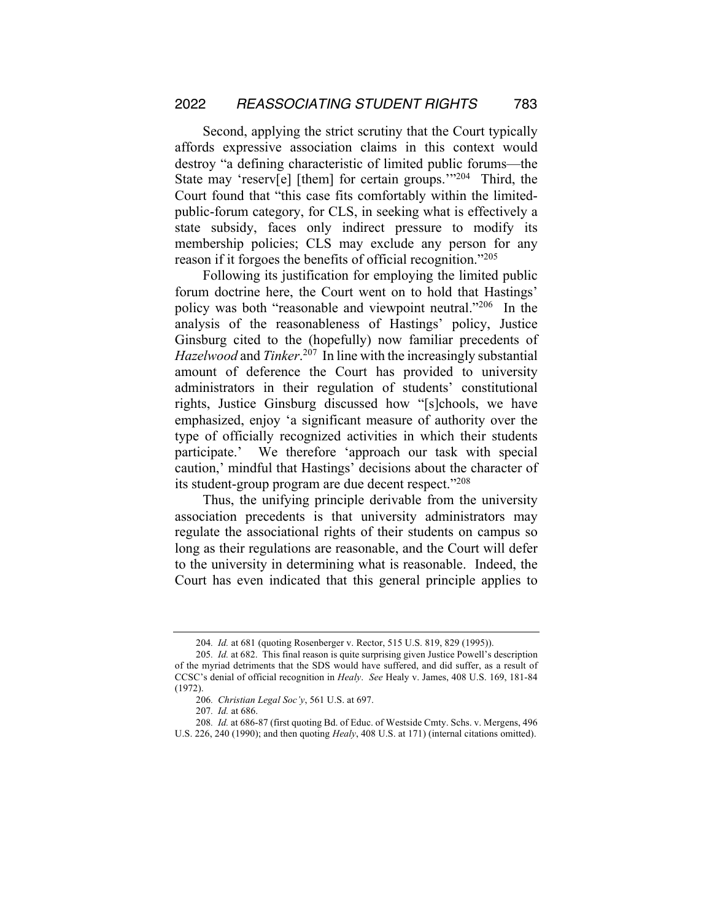Second, applying the strict scrutiny that the Court typically affords expressive association claims in this context would destroy "a defining characteristic of limited public forums—the State may 'reserv[e] [them] for certain groups.'"204 Third, the Court found that "this case fits comfortably within the limitedpublic-forum category, for CLS, in seeking what is effectively a state subsidy, faces only indirect pressure to modify its membership policies; CLS may exclude any person for any reason if it forgoes the benefits of official recognition."205

Following its justification for employing the limited public forum doctrine here, the Court went on to hold that Hastings' policy was both "reasonable and viewpoint neutral."206 In the analysis of the reasonableness of Hastings' policy, Justice Ginsburg cited to the (hopefully) now familiar precedents of *Hazelwood* and *Tinker*. 207 In line with the increasingly substantial amount of deference the Court has provided to university administrators in their regulation of students' constitutional rights, Justice Ginsburg discussed how "[s]chools, we have emphasized, enjoy 'a significant measure of authority over the type of officially recognized activities in which their students participate.' We therefore 'approach our task with special caution,' mindful that Hastings' decisions about the character of its student-group program are due decent respect."208

Thus, the unifying principle derivable from the university association precedents is that university administrators may regulate the associational rights of their students on campus so long as their regulations are reasonable, and the Court will defer to the university in determining what is reasonable. Indeed, the Court has even indicated that this general principle applies to

<sup>204</sup>*. Id.* at 681 (quoting Rosenberger v. Rector, 515 U.S. 819, 829 (1995)).

<sup>205</sup>*. Id.* at 682. This final reason is quite surprising given Justice Powell's description of the myriad detriments that the SDS would have suffered, and did suffer, as a result of CCSC's denial of official recognition in *Healy*. *See* Healy v. James, 408 U.S. 169, 181-84 (1972).

<sup>206</sup>*. Christian Legal Soc'y*, 561 U.S. at 697.

<sup>207</sup>*. Id.* at 686.

<sup>208</sup>*. Id.* at 686-87 (first quoting Bd. of Educ. of Westside Cmty. Schs. v. Mergens, 496 U.S. 226, 240 (1990); and then quoting *Healy*, 408 U.S. at 171) (internal citations omitted).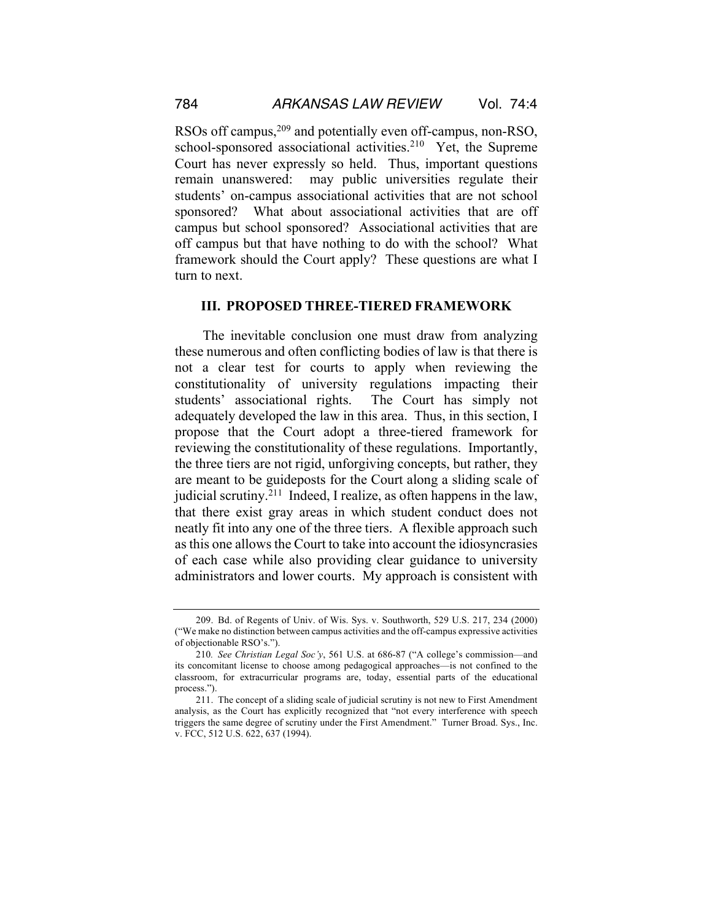RSOs off campus,<sup>209</sup> and potentially even off-campus, non-RSO, school-sponsored associational activities.<sup>210</sup> Yet, the Supreme Court has never expressly so held. Thus, important questions remain unanswered: may public universities regulate their students' on-campus associational activities that are not school sponsored? What about associational activities that are off campus but school sponsored? Associational activities that are off campus but that have nothing to do with the school? What framework should the Court apply? These questions are what I turn to next.

#### **III. PROPOSED THREE-TIERED FRAMEWORK**

The inevitable conclusion one must draw from analyzing these numerous and often conflicting bodies of law is that there is not a clear test for courts to apply when reviewing the constitutionality of university regulations impacting their students' associational rights. The Court has simply not adequately developed the law in this area. Thus, in this section, I propose that the Court adopt a three-tiered framework for reviewing the constitutionality of these regulations. Importantly, the three tiers are not rigid, unforgiving concepts, but rather, they are meant to be guideposts for the Court along a sliding scale of judicial scrutiny.211 Indeed, I realize, as often happens in the law, that there exist gray areas in which student conduct does not neatly fit into any one of the three tiers. A flexible approach such as this one allows the Court to take into account the idiosyncrasies of each case while also providing clear guidance to university administrators and lower courts. My approach is consistent with

<sup>209.</sup> Bd. of Regents of Univ. of Wis. Sys. v. Southworth, 529 U.S. 217, 234 (2000) ("We make no distinction between campus activities and the off-campus expressive activities of objectionable RSO's.").

<sup>210</sup>*. See Christian Legal Soc'y*, 561 U.S. at 686-87 ("A college's commission—and its concomitant license to choose among pedagogical approaches—is not confined to the classroom, for extracurricular programs are, today, essential parts of the educational process.").

<sup>211.</sup> The concept of a sliding scale of judicial scrutiny is not new to First Amendment analysis, as the Court has explicitly recognized that "not every interference with speech triggers the same degree of scrutiny under the First Amendment." Turner Broad. Sys., Inc. v. FCC, 512 U.S. 622, 637 (1994).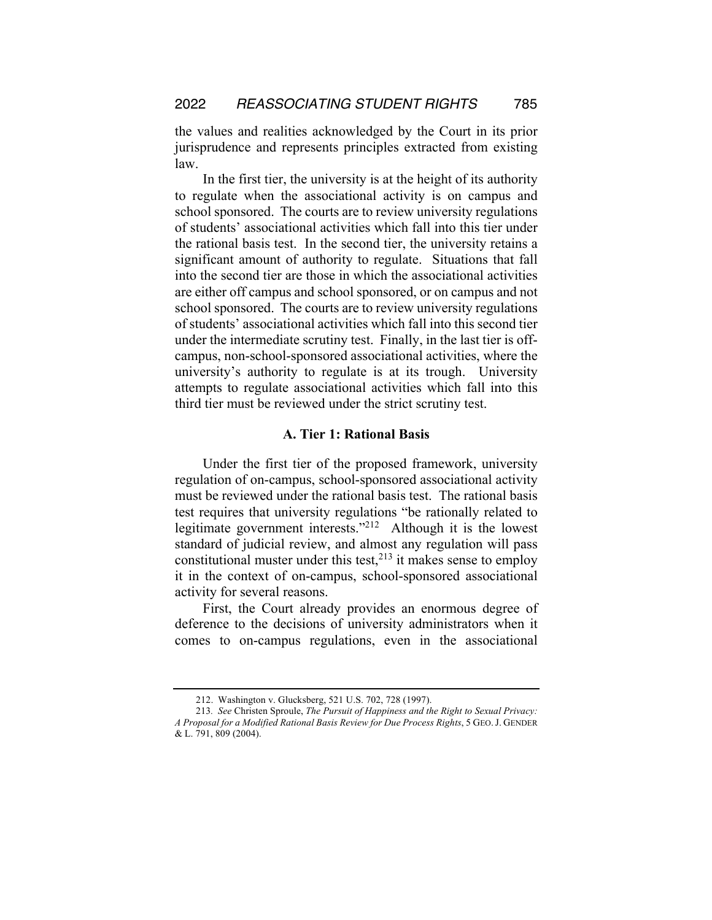the values and realities acknowledged by the Court in its prior jurisprudence and represents principles extracted from existing law.

In the first tier, the university is at the height of its authority to regulate when the associational activity is on campus and school sponsored. The courts are to review university regulations of students' associational activities which fall into this tier under the rational basis test. In the second tier, the university retains a significant amount of authority to regulate. Situations that fall into the second tier are those in which the associational activities are either off campus and school sponsored, or on campus and not school sponsored. The courts are to review university regulations of students' associational activities which fall into this second tier under the intermediate scrutiny test. Finally, in the last tier is offcampus, non-school-sponsored associational activities, where the university's authority to regulate is at its trough. University attempts to regulate associational activities which fall into this third tier must be reviewed under the strict scrutiny test.

## **A. Tier 1: Rational Basis**

Under the first tier of the proposed framework, university regulation of on-campus, school-sponsored associational activity must be reviewed under the rational basis test. The rational basis test requires that university regulations "be rationally related to legitimate government interests."212 Although it is the lowest standard of judicial review, and almost any regulation will pass constitutional muster under this test,  $2^{13}$  it makes sense to employ it in the context of on-campus, school-sponsored associational activity for several reasons.

First, the Court already provides an enormous degree of deference to the decisions of university administrators when it comes to on-campus regulations, even in the associational

<sup>212.</sup> Washington v. Glucksberg, 521 U.S. 702, 728 (1997).

<sup>213</sup>*. See* Christen Sproule, *The Pursuit of Happiness and the Right to Sexual Privacy: A Proposal for a Modified Rational Basis Review for Due Process Rights*, 5 GEO.J. GENDER & L. 791, 809 (2004).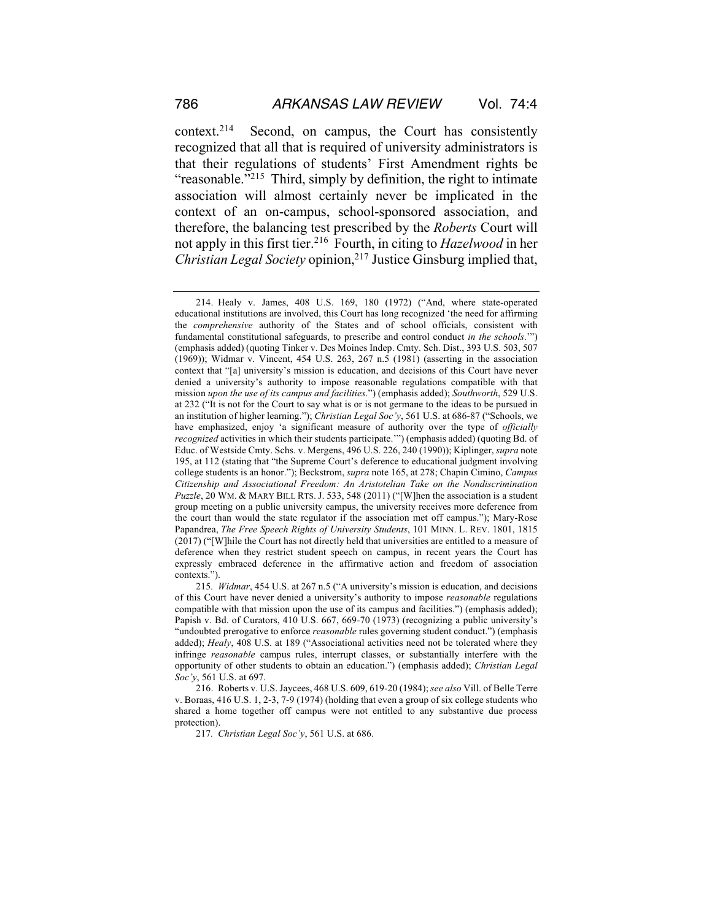context.214 Second, on campus, the Court has consistently recognized that all that is required of university administrators is that their regulations of students' First Amendment rights be "reasonable."<sup>215</sup> Third, simply by definition, the right to intimate association will almost certainly never be implicated in the context of an on-campus, school-sponsored association, and therefore, the balancing test prescribed by the *Roberts* Court will not apply in this first tier.216 Fourth, in citing to *Hazelwood* in her *Christian Legal Society* opinion,<sup>217</sup> Justice Ginsburg implied that,

217*. Christian Legal Soc'y*, 561 U.S. at 686.

<sup>214.</sup> Healy v. James, 408 U.S. 169, 180 (1972) ("And, where state-operated educational institutions are involved, this Court has long recognized 'the need for affirming the *comprehensive* authority of the States and of school officials, consistent with fundamental constitutional safeguards, to prescribe and control conduct *in the schools*.'") (emphasis added) (quoting Tinker v. Des Moines Indep. Cmty. Sch. Dist., 393 U.S. 503, 507 (1969)); Widmar v. Vincent, 454 U.S. 263, 267 n.5 (1981) (asserting in the association context that "[a] university's mission is education, and decisions of this Court have never denied a university's authority to impose reasonable regulations compatible with that mission *upon the use of its campus and facilities*.") (emphasis added); *Southworth*, 529 U.S. at 232 ("It is not for the Court to say what is or is not germane to the ideas to be pursued in an institution of higher learning."); *Christian Legal Soc'y*, 561 U.S. at 686-87 ("Schools, we have emphasized, enjoy 'a significant measure of authority over the type of *officially recognized* activities in which their students participate.'") (emphasis added) (quoting Bd. of Educ. of Westside Cmty. Schs. v. Mergens, 496 U.S. 226, 240 (1990)); Kiplinger, *supra* note 195, at 112 (stating that "the Supreme Court's deference to educational judgment involving college students is an honor."); Beckstrom, *supra* note 165, at 278; Chapin Cimino, *Campus Citizenship and Associational Freedom: An Aristotelian Take on the Nondiscrimination Puzzle*, 20 WM. & MARY BILL RTS. J. 533, 548 (2011) ("[W]hen the association is a student group meeting on a public university campus, the university receives more deference from the court than would the state regulator if the association met off campus."); Mary-Rose Papandrea, *The Free Speech Rights of University Students*, 101 MINN. L. REV. 1801, 1815 (2017) ("[W]hile the Court has not directly held that universities are entitled to a measure of deference when they restrict student speech on campus, in recent years the Court has expressly embraced deference in the affirmative action and freedom of association contexts.").

<sup>215</sup>*. Widmar*, 454 U.S. at 267 n.5 ("A university's mission is education, and decisions of this Court have never denied a university's authority to impose *reasonable* regulations compatible with that mission upon the use of its campus and facilities.") (emphasis added); Papish v. Bd. of Curators, 410 U.S. 667, 669-70 (1973) (recognizing a public university's "undoubted prerogative to enforce *reasonable* rules governing student conduct.") (emphasis added); *Healy*, 408 U.S. at 189 ("Associational activities need not be tolerated where they infringe *reasonable* campus rules, interrupt classes, or substantially interfere with the opportunity of other students to obtain an education.") (emphasis added); *Christian Legal Soc'y*, 561 U.S. at 697.

<sup>216.</sup> Roberts v. U.S. Jaycees, 468 U.S. 609, 619-20 (1984); *see also* Vill. of Belle Terre v. Boraas, 416 U.S. 1, 2-3, 7-9 (1974) (holding that even a group of six college students who shared a home together off campus were not entitled to any substantive due process protection).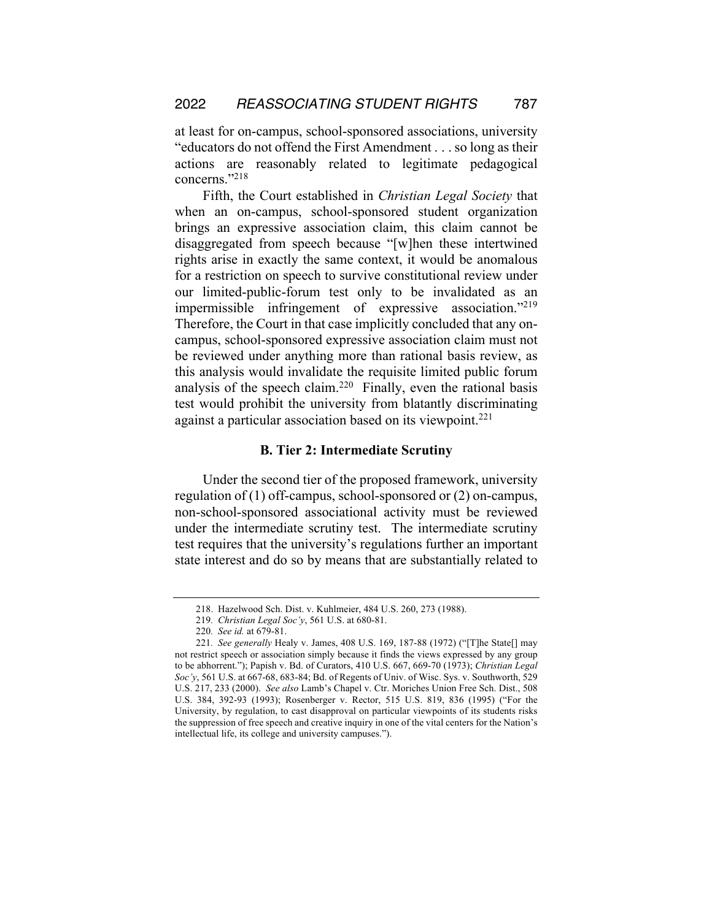at least for on-campus, school-sponsored associations, university "educators do not offend the First Amendment . . . so long as their actions are reasonably related to legitimate pedagogical concerns."218

Fifth, the Court established in *Christian Legal Society* that when an on-campus, school-sponsored student organization brings an expressive association claim, this claim cannot be disaggregated from speech because "[w]hen these intertwined rights arise in exactly the same context, it would be anomalous for a restriction on speech to survive constitutional review under our limited-public-forum test only to be invalidated as an impermissible infringement of expressive association."219 Therefore, the Court in that case implicitly concluded that any oncampus, school-sponsored expressive association claim must not be reviewed under anything more than rational basis review, as this analysis would invalidate the requisite limited public forum analysis of the speech claim.<sup>220</sup> Finally, even the rational basis test would prohibit the university from blatantly discriminating against a particular association based on its viewpoint.<sup>221</sup>

#### **B. Tier 2: Intermediate Scrutiny**

Under the second tier of the proposed framework, university regulation of (1) off-campus, school-sponsored or (2) on-campus, non-school-sponsored associational activity must be reviewed under the intermediate scrutiny test. The intermediate scrutiny test requires that the university's regulations further an important state interest and do so by means that are substantially related to

<sup>218.</sup> Hazelwood Sch. Dist. v. Kuhlmeier, 484 U.S. 260, 273 (1988).

<sup>219</sup>*. Christian Legal Soc'y*, 561 U.S. at 680-81.

<sup>220</sup>*. See id.* at 679-81.

<sup>221</sup>*. See generally* Healy v. James, 408 U.S. 169, 187-88 (1972) ("[T]he State[] may not restrict speech or association simply because it finds the views expressed by any group to be abhorrent."); Papish v. Bd. of Curators, 410 U.S. 667, 669-70 (1973); *Christian Legal Soc'y*, 561 U.S. at 667-68, 683-84; Bd. of Regents of Univ. of Wisc. Sys. v. Southworth, 529 U.S. 217, 233 (2000). *See also* Lamb's Chapel v. Ctr. Moriches Union Free Sch. Dist., 508 U.S. 384, 392-93 (1993); Rosenberger v. Rector, 515 U.S. 819, 836 (1995) ("For the University, by regulation, to cast disapproval on particular viewpoints of its students risks the suppression of free speech and creative inquiry in one of the vital centers for the Nation's intellectual life, its college and university campuses.").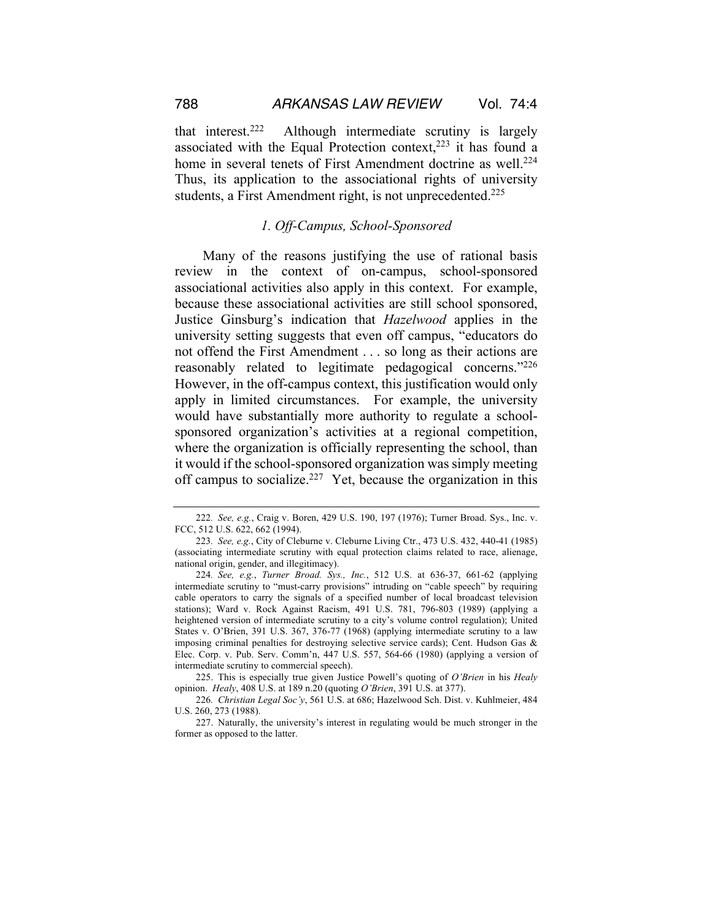that interest.222 Although intermediate scrutiny is largely associated with the Equal Protection context, $223$  it has found a home in several tenets of First Amendment doctrine as well.<sup>224</sup> Thus, its application to the associational rights of university students, a First Amendment right, is not unprecedented.<sup>225</sup>

## *1. Off-Campus, School-Sponsored*

Many of the reasons justifying the use of rational basis review in the context of on-campus, school-sponsored associational activities also apply in this context. For example, because these associational activities are still school sponsored, Justice Ginsburg's indication that *Hazelwood* applies in the university setting suggests that even off campus, "educators do not offend the First Amendment . . . so long as their actions are reasonably related to legitimate pedagogical concerns."226 However, in the off-campus context, this justification would only apply in limited circumstances. For example, the university would have substantially more authority to regulate a schoolsponsored organization's activities at a regional competition, where the organization is officially representing the school, than it would if the school-sponsored organization was simply meeting off campus to socialize.<sup>227</sup> Yet, because the organization in this

<sup>222</sup>*. See, e.g.*, Craig v. Boren, 429 U.S. 190, 197 (1976); Turner Broad. Sys., Inc. v. FCC, 512 U.S. 622, 662 (1994).

<sup>223</sup>*. See, e.g.*, City of Cleburne v. Cleburne Living Ctr., 473 U.S. 432, 440-41 (1985) (associating intermediate scrutiny with equal protection claims related to race, alienage, national origin, gender, and illegitimacy).

<sup>224</sup>*. See, e.g.*, *Turner Broad. Sys., Inc.*, 512 U.S. at 636-37, 661-62 (applying intermediate scrutiny to "must-carry provisions" intruding on "cable speech" by requiring cable operators to carry the signals of a specified number of local broadcast television stations); Ward v. Rock Against Racism, 491 U.S. 781, 796-803 (1989) (applying a heightened version of intermediate scrutiny to a city's volume control regulation); United States v. O'Brien, 391 U.S. 367, 376-77 (1968) (applying intermediate scrutiny to a law imposing criminal penalties for destroying selective service cards); Cent. Hudson Gas & Elec. Corp. v. Pub. Serv. Comm'n, 447 U.S. 557, 564-66 (1980) (applying a version of intermediate scrutiny to commercial speech).

<sup>225.</sup> This is especially true given Justice Powell's quoting of *O'Brien* in his *Healy* opinion. *Healy*, 408 U.S. at 189 n.20 (quoting *O'Brien*, 391 U.S. at 377).

<sup>226</sup>*. Christian Legal Soc'y*, 561 U.S. at 686; Hazelwood Sch. Dist. v. Kuhlmeier, 484 U.S. 260, 273 (1988).

<sup>227.</sup> Naturally, the university's interest in regulating would be much stronger in the former as opposed to the latter.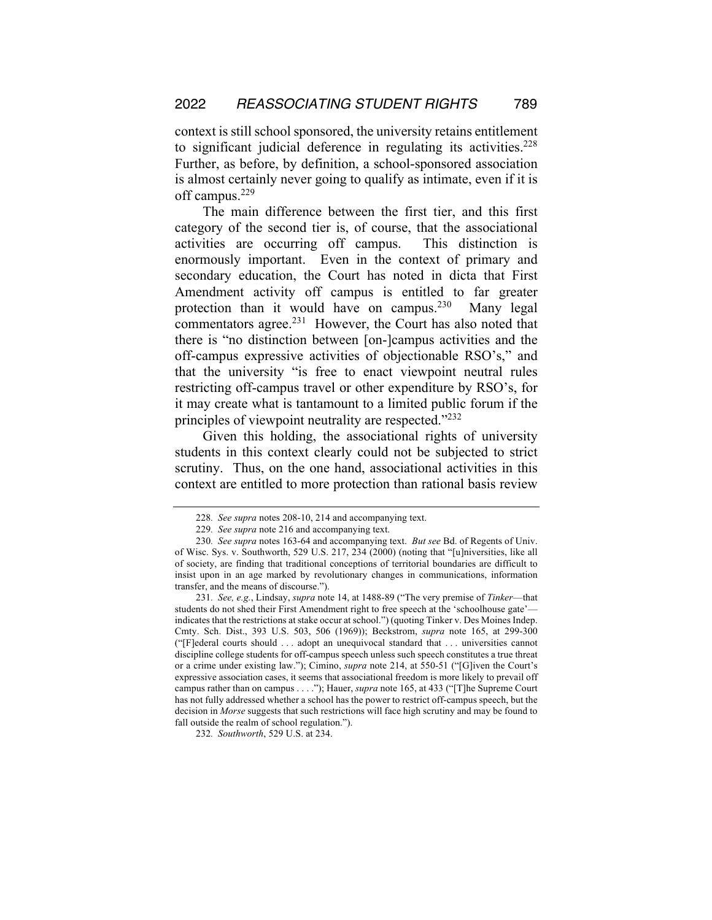context is still school sponsored, the university retains entitlement to significant judicial deference in regulating its activities.<sup>228</sup> Further, as before, by definition, a school-sponsored association is almost certainly never going to qualify as intimate, even if it is off campus.229

The main difference between the first tier, and this first category of the second tier is, of course, that the associational activities are occurring off campus. This distinction is enormously important. Even in the context of primary and secondary education, the Court has noted in dicta that First Amendment activity off campus is entitled to far greater protection than it would have on campus.<sup>230</sup> Many legal commentators agree.<sup>231</sup> However, the Court has also noted that there is "no distinction between [on-]campus activities and the off-campus expressive activities of objectionable RSO's," and that the university "is free to enact viewpoint neutral rules restricting off-campus travel or other expenditure by RSO's, for it may create what is tantamount to a limited public forum if the principles of viewpoint neutrality are respected."232

Given this holding, the associational rights of university students in this context clearly could not be subjected to strict scrutiny. Thus, on the one hand, associational activities in this context are entitled to more protection than rational basis review

<sup>228</sup>*. See supra* notes 208-10, 214 and accompanying text.

<sup>229</sup>*. See supra* note 216 and accompanying text.

<sup>230</sup>*. See supra* notes 163-64 and accompanying text. *But see* Bd. of Regents of Univ. of Wisc. Sys. v. Southworth, 529 U.S. 217, 234 (2000) (noting that "[u]niversities, like all of society, are finding that traditional conceptions of territorial boundaries are difficult to insist upon in an age marked by revolutionary changes in communications, information transfer, and the means of discourse.").

<sup>231</sup>*. See, e.g.*, Lindsay, *supra* note 14, at 1488-89 ("The very premise of *Tinker*—that students do not shed their First Amendment right to free speech at the 'schoolhouse gate' indicates that the restrictions at stake occur at school.") (quoting Tinker v. Des Moines Indep. Cmty. Sch. Dist., 393 U.S. 503, 506 (1969)); Beckstrom, *supra* note 165, at 299-300 ("[F]ederal courts should . . . adopt an unequivocal standard that . . . universities cannot discipline college students for off-campus speech unless such speech constitutes a true threat or a crime under existing law."); Cimino, *supra* note 214, at 550-51 ("[G]iven the Court's expressive association cases, it seems that associational freedom is more likely to prevail off campus rather than on campus . . . ."); Hauer, *supra* note 165, at 433 ("[T]he Supreme Court has not fully addressed whether a school has the power to restrict off-campus speech, but the decision in *Morse* suggests that such restrictions will face high scrutiny and may be found to fall outside the realm of school regulation.").

<sup>232</sup>*. Southworth*, 529 U.S. at 234.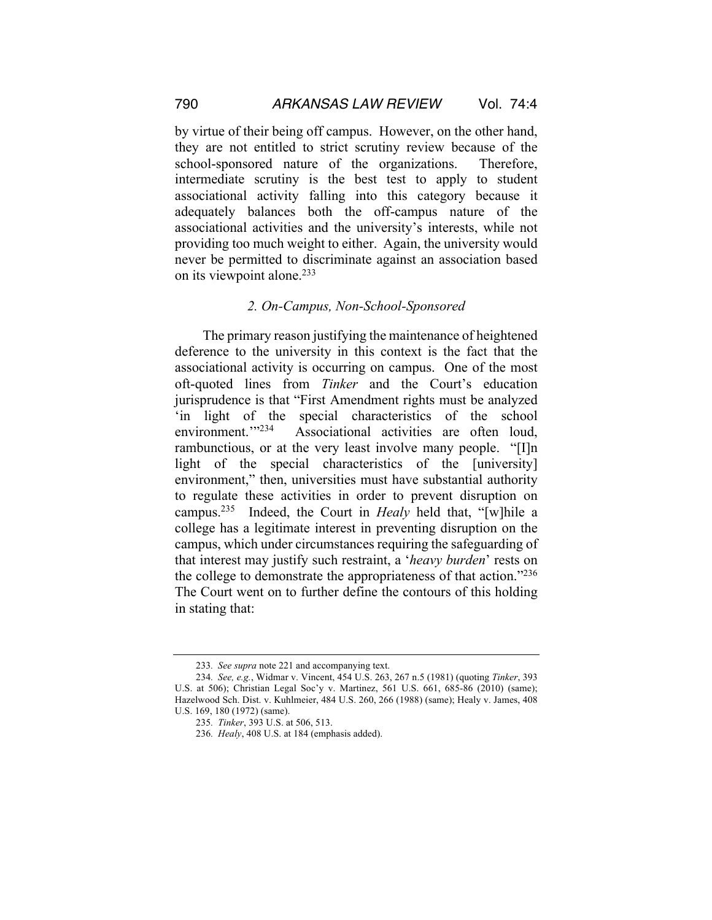by virtue of their being off campus. However, on the other hand, they are not entitled to strict scrutiny review because of the school-sponsored nature of the organizations. Therefore, intermediate scrutiny is the best test to apply to student associational activity falling into this category because it adequately balances both the off-campus nature of the associational activities and the university's interests, while not providing too much weight to either. Again, the university would never be permitted to discriminate against an association based on its viewpoint alone.<sup>233</sup>

#### *2. On-Campus, Non-School-Sponsored*

The primary reason justifying the maintenance of heightened deference to the university in this context is the fact that the associational activity is occurring on campus. One of the most oft-quoted lines from *Tinker* and the Court's education jurisprudence is that "First Amendment rights must be analyzed 'in light of the special characteristics of the school environment."<sup>234</sup> Associational activities are often loud, rambunctious, or at the very least involve many people. "[I]n light of the special characteristics of the [university] environment," then, universities must have substantial authority to regulate these activities in order to prevent disruption on campus.235 Indeed, the Court in *Healy* held that, "[w]hile a college has a legitimate interest in preventing disruption on the campus, which under circumstances requiring the safeguarding of that interest may justify such restraint, a '*heavy burden*' rests on the college to demonstrate the appropriateness of that action."236 The Court went on to further define the contours of this holding in stating that:

<sup>233</sup>*. See supra* note 221 and accompanying text.

<sup>234</sup>*. See, e.g.*, Widmar v. Vincent, 454 U.S. 263, 267 n.5 (1981) (quoting *Tinker*, 393 U.S. at 506); Christian Legal Soc'y v. Martinez, 561 U.S. 661, 685-86 (2010) (same); Hazelwood Sch. Dist. v. Kuhlmeier, 484 U.S. 260, 266 (1988) (same); Healy v. James, 408 U.S. 169, 180 (1972) (same).

<sup>235</sup>*. Tinker*, 393 U.S. at 506, 513.

<sup>236</sup>*. Healy*, 408 U.S. at 184 (emphasis added).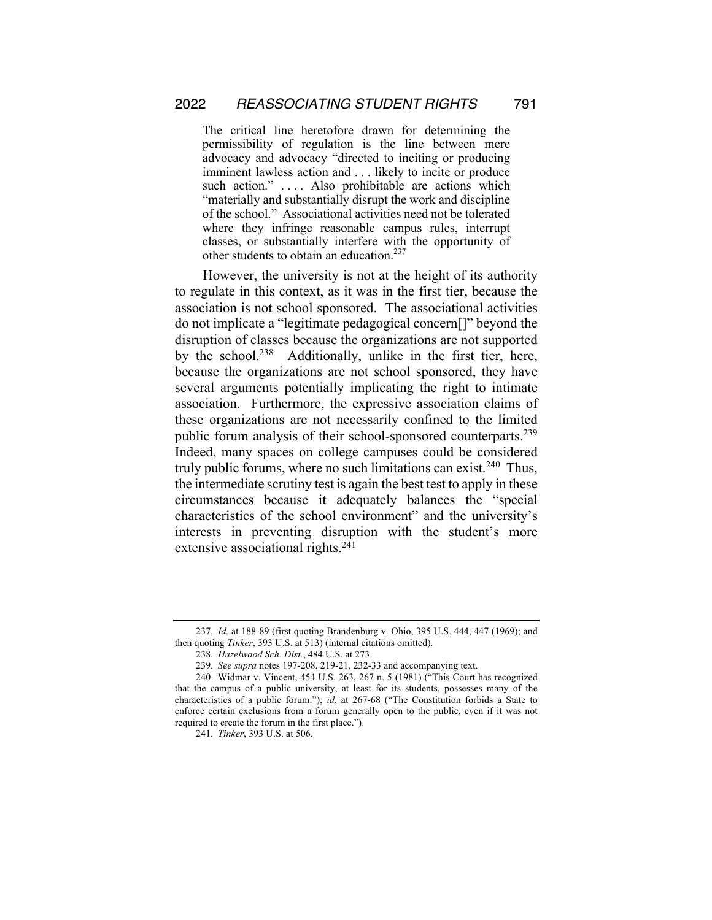The critical line heretofore drawn for determining the permissibility of regulation is the line between mere advocacy and advocacy "directed to inciting or producing imminent lawless action and . . . likely to incite or produce such action." .... Also prohibitable are actions which "materially and substantially disrupt the work and discipline of the school." Associational activities need not be tolerated where they infringe reasonable campus rules, interrupt classes, or substantially interfere with the opportunity of other students to obtain an education.<sup>237</sup>

However, the university is not at the height of its authority to regulate in this context, as it was in the first tier, because the association is not school sponsored. The associational activities do not implicate a "legitimate pedagogical concern[]" beyond the disruption of classes because the organizations are not supported by the school.<sup>238</sup> Additionally, unlike in the first tier, here, because the organizations are not school sponsored, they have several arguments potentially implicating the right to intimate association. Furthermore, the expressive association claims of these organizations are not necessarily confined to the limited public forum analysis of their school-sponsored counterparts.<sup>239</sup> Indeed, many spaces on college campuses could be considered truly public forums, where no such limitations can exist.<sup>240</sup> Thus, the intermediate scrutiny test is again the best test to apply in these circumstances because it adequately balances the "special characteristics of the school environment" and the university's interests in preventing disruption with the student's more extensive associational rights. 241

<sup>237</sup>*. Id.* at 188-89 (first quoting Brandenburg v. Ohio, 395 U.S. 444, 447 (1969); and then quoting *Tinker*, 393 U.S. at 513) (internal citations omitted).

<sup>238</sup>*. Hazelwood Sch. Dist.*, 484 U.S. at 273.

<sup>239</sup>*. See supra* notes 197-208, 219-21, 232-33 and accompanying text.

<sup>240.</sup> Widmar v. Vincent, 454 U.S. 263, 267 n. 5 (1981) ("This Court has recognized that the campus of a public university, at least for its students, possesses many of the characteristics of a public forum."); *id.* at 267-68 ("The Constitution forbids a State to enforce certain exclusions from a forum generally open to the public, even if it was not required to create the forum in the first place.").

<sup>241</sup>*. Tinker*, 393 U.S. at 506.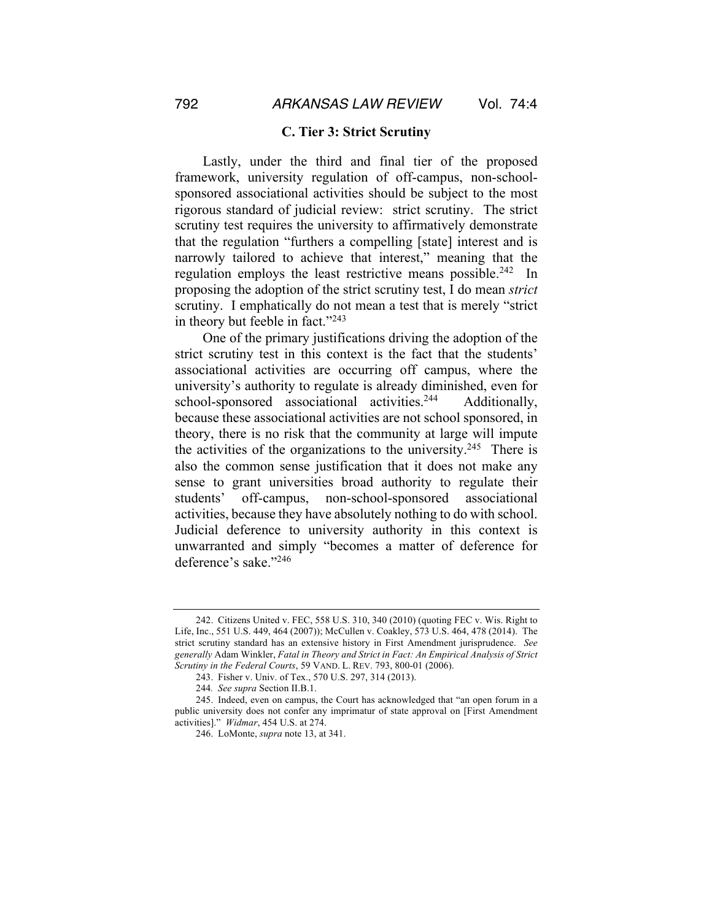#### **C. Tier 3: Strict Scrutiny**

Lastly, under the third and final tier of the proposed framework, university regulation of off-campus, non-schoolsponsored associational activities should be subject to the most rigorous standard of judicial review: strict scrutiny. The strict scrutiny test requires the university to affirmatively demonstrate that the regulation "furthers a compelling [state] interest and is narrowly tailored to achieve that interest," meaning that the regulation employs the least restrictive means possible.<sup>242</sup> In proposing the adoption of the strict scrutiny test, I do mean *strict*  scrutiny. I emphatically do not mean a test that is merely "strict in theory but feeble in fact."<sup>243</sup>

One of the primary justifications driving the adoption of the strict scrutiny test in this context is the fact that the students' associational activities are occurring off campus, where the university's authority to regulate is already diminished, even for school-sponsored associational activities.<sup>244</sup> Additionally, because these associational activities are not school sponsored, in theory, there is no risk that the community at large will impute the activities of the organizations to the university.<sup>245</sup> There is also the common sense justification that it does not make any sense to grant universities broad authority to regulate their students' off-campus, non-school-sponsored associational activities, because they have absolutely nothing to do with school. Judicial deference to university authority in this context is unwarranted and simply "becomes a matter of deference for deference's sake."246

<sup>242.</sup> Citizens United v. FEC, 558 U.S. 310, 340 (2010) (quoting FEC v. Wis. Right to Life, Inc., 551 U.S. 449, 464 (2007)); McCullen v. Coakley, 573 U.S. 464, 478 (2014). The strict scrutiny standard has an extensive history in First Amendment jurisprudence. *See generally* Adam Winkler, *Fatal in Theory and Strict in Fact: An Empirical Analysis of Strict Scrutiny in the Federal Courts*, 59 VAND. L. REV. 793, 800-01 (2006).

<sup>243.</sup> Fisher v. Univ. of Tex., 570 U.S. 297, 314 (2013).

<sup>244</sup>*. See supra* Section II.B.1.

<sup>245.</sup> Indeed, even on campus, the Court has acknowledged that "an open forum in a public university does not confer any imprimatur of state approval on [First Amendment activities]." *Widmar*, 454 U.S. at 274.

<sup>246.</sup> LoMonte, *supra* note 13, at 341.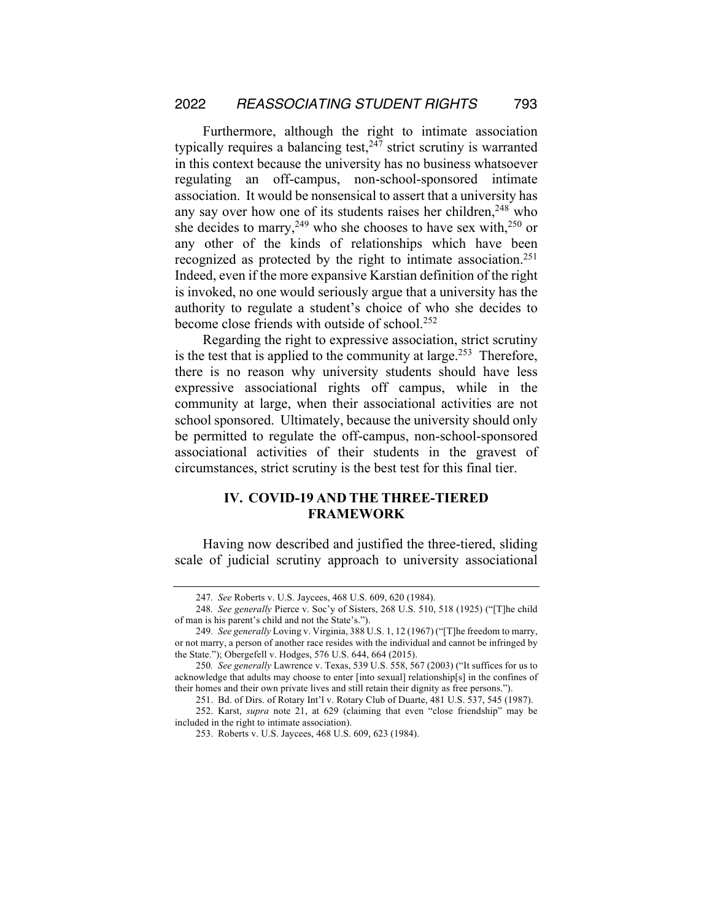Furthermore, although the right to intimate association typically requires a balancing test,  $247$  strict scrutiny is warranted in this context because the university has no business whatsoever regulating an off-campus, non-school-sponsored intimate association. It would be nonsensical to assert that a university has any say over how one of its students raises her children, $248$  who she decides to marry,<sup>249</sup> who she chooses to have sex with,<sup>250</sup> or any other of the kinds of relationships which have been recognized as protected by the right to intimate association.<sup>251</sup> Indeed, even if the more expansive Karstian definition of the right is invoked, no one would seriously argue that a university has the authority to regulate a student's choice of who she decides to become close friends with outside of school.252

Regarding the right to expressive association, strict scrutiny is the test that is applied to the community at large.<sup>253</sup> Therefore, there is no reason why university students should have less expressive associational rights off campus, while in the community at large, when their associational activities are not school sponsored. Ultimately, because the university should only be permitted to regulate the off-campus, non-school-sponsored associational activities of their students in the gravest of circumstances, strict scrutiny is the best test for this final tier.

## **IV. COVID-19 AND THE THREE-TIERED FRAMEWORK**

Having now described and justified the three-tiered, sliding scale of judicial scrutiny approach to university associational

<sup>247</sup>*. See* Roberts v. U.S. Jaycees, 468 U.S. 609, 620 (1984).

<sup>248</sup>*. See generally* Pierce v. Soc'y of Sisters, 268 U.S. 510, 518 (1925) ("[T]he child of man is his parent's child and not the State's.").

<sup>249</sup>*. See generally* Loving v. Virginia, 388 U.S. 1, 12 (1967) ("[T]he freedom to marry, or not marry, a person of another race resides with the individual and cannot be infringed by the State."); Obergefell v. Hodges, 576 U.S. 644, 664 (2015).

<sup>250</sup>*. See generally* Lawrence v. Texas, 539 U.S. 558, 567 (2003) ("It suffices for us to acknowledge that adults may choose to enter [into sexual] relationship[s] in the confines of their homes and their own private lives and still retain their dignity as free persons.").

<sup>251.</sup> Bd. of Dirs. of Rotary Int'l v. Rotary Club of Duarte, 481 U.S. 537, 545 (1987).

<sup>252.</sup> Karst, *supra* note 21, at 629 (claiming that even "close friendship" may be included in the right to intimate association).

<sup>253.</sup> Roberts v. U.S. Jaycees, 468 U.S. 609, 623 (1984).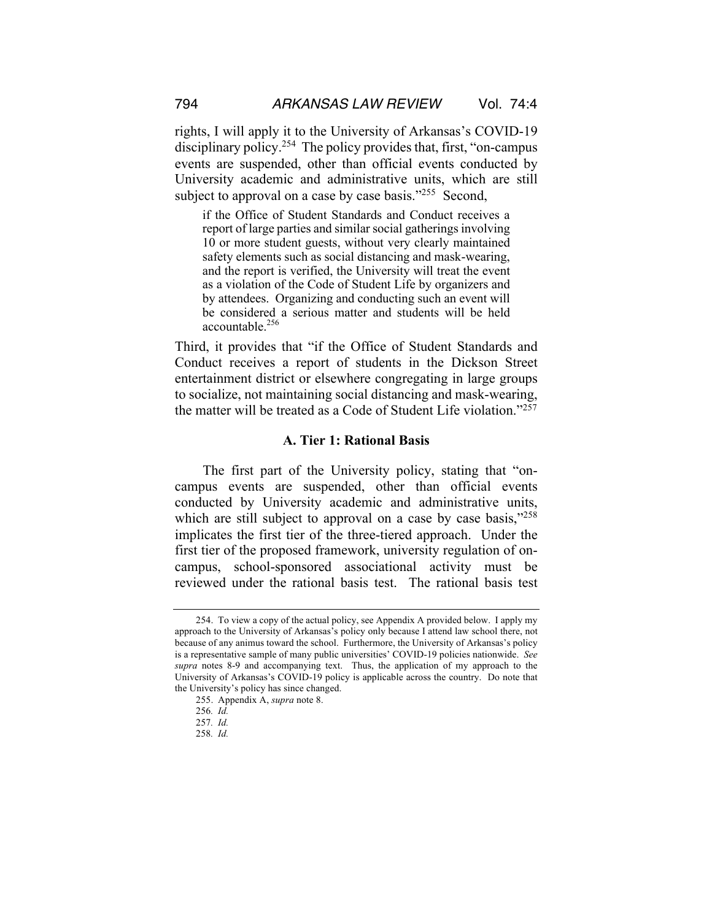rights, I will apply it to the University of Arkansas's COVID-19 disciplinary policy.<sup>254</sup> The policy provides that, first, "on-campus events are suspended, other than official events conducted by University academic and administrative units, which are still subject to approval on a case by case basis."<sup>255</sup> Second,

if the Office of Student Standards and Conduct receives a report of large parties and similar social gatherings involving 10 or more student guests, without very clearly maintained safety elements such as social distancing and mask-wearing, and the report is verified, the University will treat the event as a violation of the Code of Student Life by organizers and by attendees. Organizing and conducting such an event will be considered a serious matter and students will be held accountable.256

Third, it provides that "if the Office of Student Standards and Conduct receives a report of students in the Dickson Street entertainment district or elsewhere congregating in large groups to socialize, not maintaining social distancing and mask-wearing, the matter will be treated as a Code of Student Life violation."257

## **A. Tier 1: Rational Basis**

The first part of the University policy, stating that "oncampus events are suspended, other than official events conducted by University academic and administrative units, which are still subject to approval on a case by case basis,"<sup>258</sup> implicates the first tier of the three-tiered approach. Under the first tier of the proposed framework, university regulation of oncampus, school-sponsored associational activity must be reviewed under the rational basis test. The rational basis test

<sup>254.</sup> To view a copy of the actual policy, see Appendix A provided below. I apply my approach to the University of Arkansas's policy only because I attend law school there, not because of any animus toward the school. Furthermore, the University of Arkansas's policy is a representative sample of many public universities' COVID-19 policies nationwide. *See supra* notes 8-9 and accompanying text. Thus, the application of my approach to the University of Arkansas's COVID-19 policy is applicable across the country. Do note that the University's policy has since changed.

<sup>255.</sup> Appendix A, *supra* note 8.

<sup>256</sup>*. Id.*

<sup>257</sup>*. Id.* 

<sup>258</sup>*. Id.*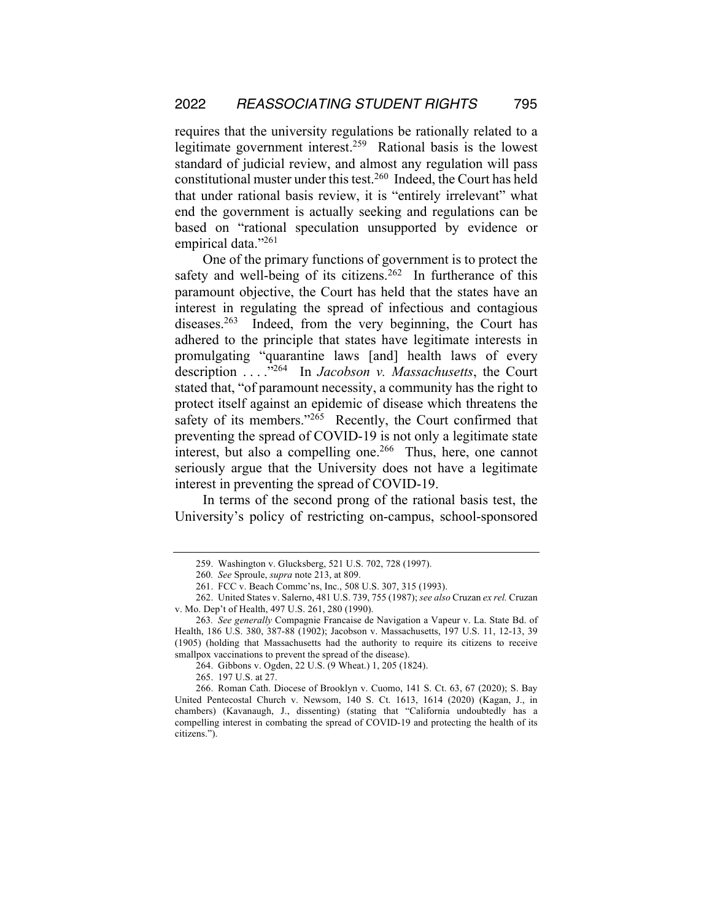requires that the university regulations be rationally related to a legitimate government interest.259 Rational basis is the lowest standard of judicial review, and almost any regulation will pass constitutional muster under this test.260 Indeed, the Court has held that under rational basis review, it is "entirely irrelevant" what end the government is actually seeking and regulations can be based on "rational speculation unsupported by evidence or empirical data."261

One of the primary functions of government is to protect the safety and well-being of its citizens.<sup>262</sup> In furtherance of this paramount objective, the Court has held that the states have an interest in regulating the spread of infectious and contagious diseases.<sup>263</sup> Indeed, from the very beginning, the Court has adhered to the principle that states have legitimate interests in promulgating "quarantine laws [and] health laws of every description . . . ."264 In *Jacobson v. Massachusetts*, the Court stated that, "of paramount necessity, a community has the right to protect itself against an epidemic of disease which threatens the safety of its members."<sup>265</sup> Recently, the Court confirmed that preventing the spread of COVID-19 is not only a legitimate state interest, but also a compelling one. $266$  Thus, here, one cannot seriously argue that the University does not have a legitimate interest in preventing the spread of COVID-19.

In terms of the second prong of the rational basis test, the University's policy of restricting on-campus, school-sponsored

<sup>259.</sup> Washington v. Glucksberg, 521 U.S. 702, 728 (1997).

<sup>260</sup>*. See* Sproule, *supra* note 213, at 809.

<sup>261.</sup> FCC v. Beach Commc'ns, Inc., 508 U.S. 307, 315 (1993).

<sup>262.</sup> United States v. Salerno, 481 U.S. 739, 755 (1987); *see also* Cruzan *ex rel.* Cruzan v. Mo. Dep't of Health, 497 U.S. 261, 280 (1990).

<sup>263</sup>*. See generally* Compagnie Francaise de Navigation a Vapeur v. La. State Bd. of Health, 186 U.S. 380, 387-88 (1902); Jacobson v. Massachusetts, 197 U.S. 11, 12-13, 39 (1905) (holding that Massachusetts had the authority to require its citizens to receive smallpox vaccinations to prevent the spread of the disease).

<sup>264.</sup> Gibbons v. Ogden, 22 U.S. (9 Wheat.) 1, 205 (1824).

<sup>265.</sup> 197 U.S. at 27.

<sup>266.</sup> Roman Cath. Diocese of Brooklyn v. Cuomo, 141 S. Ct. 63, 67 (2020); S. Bay United Pentecostal Church v. Newsom, 140 S. Ct. 1613, 1614 (2020) (Kagan, J., in chambers) (Kavanaugh, J., dissenting) (stating that "California undoubtedly has a compelling interest in combating the spread of COVID-19 and protecting the health of its citizens.").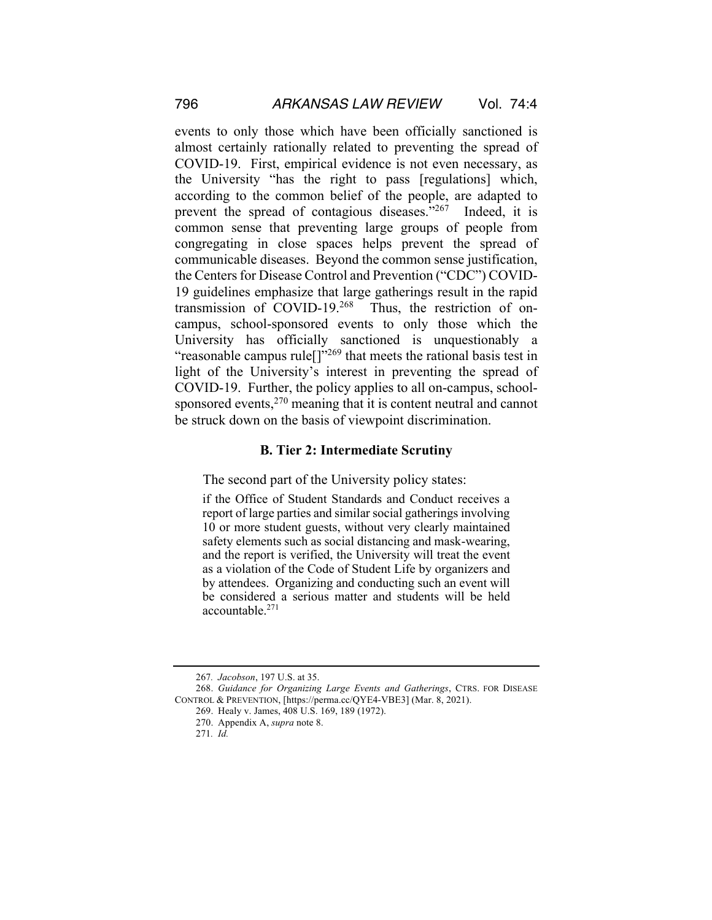events to only those which have been officially sanctioned is almost certainly rationally related to preventing the spread of COVID-19. First, empirical evidence is not even necessary, as the University "has the right to pass [regulations] which, according to the common belief of the people, are adapted to prevent the spread of contagious diseases."<sup>267</sup> Indeed, it is common sense that preventing large groups of people from congregating in close spaces helps prevent the spread of communicable diseases. Beyond the common sense justification, the Centers for Disease Control and Prevention ("CDC") COVID-19 guidelines emphasize that large gatherings result in the rapid transmission of COVID-19.268 Thus, the restriction of oncampus, school-sponsored events to only those which the University has officially sanctioned is unquestionably a "reasonable campus rule<sup>[]"269</sup> that meets the rational basis test in light of the University's interest in preventing the spread of COVID-19. Further, the policy applies to all on-campus, schoolsponsored events,<sup>270</sup> meaning that it is content neutral and cannot be struck down on the basis of viewpoint discrimination.

#### **B. Tier 2: Intermediate Scrutiny**

The second part of the University policy states:

if the Office of Student Standards and Conduct receives a report of large parties and similar social gatherings involving 10 or more student guests, without very clearly maintained safety elements such as social distancing and mask-wearing, and the report is verified, the University will treat the event as a violation of the Code of Student Life by organizers and by attendees. Organizing and conducting such an event will be considered a serious matter and students will be held  $\arccos$  accountable.<sup>271</sup>

<sup>267</sup>*. Jacobson*, 197 U.S. at 35.

<sup>268.</sup> *Guidance for Organizing Large Events and Gatherings*, CTRS. FOR DISEASE CONTROL & PREVENTION, [https://perma.cc/QYE4-VBE3] (Mar. 8, 2021).

<sup>269.</sup> Healy v. James, 408 U.S. 169, 189 (1972).

<sup>270.</sup> Appendix A, *supra* note 8.

<sup>271</sup>*. Id.*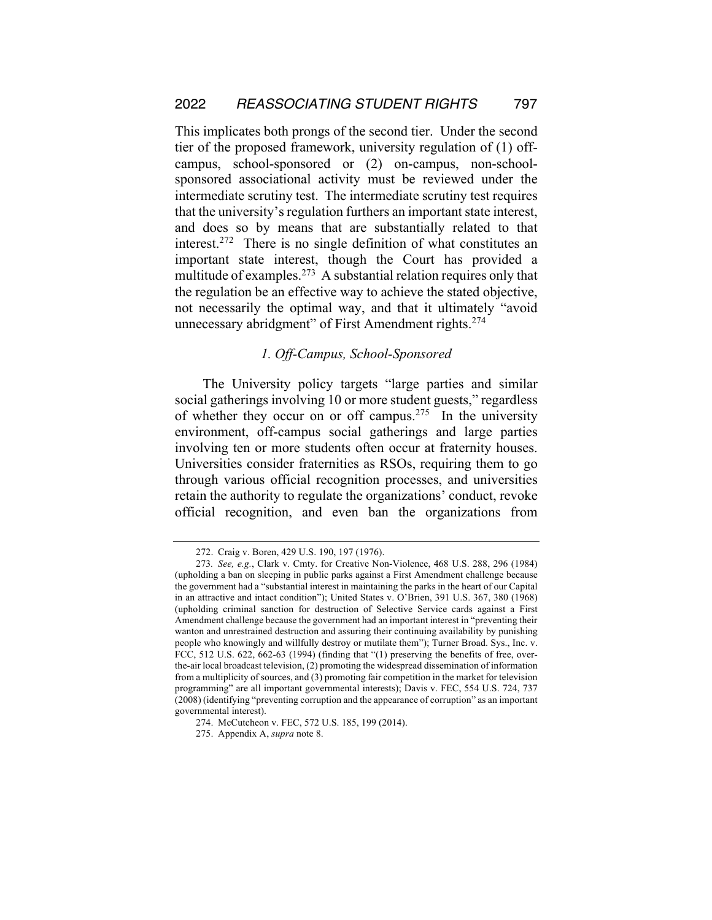This implicates both prongs of the second tier. Under the second tier of the proposed framework, university regulation of (1) offcampus, school-sponsored or (2) on-campus, non-schoolsponsored associational activity must be reviewed under the intermediate scrutiny test. The intermediate scrutiny test requires that the university's regulation furthers an important state interest, and does so by means that are substantially related to that interest.272 There is no single definition of what constitutes an important state interest, though the Court has provided a multitude of examples.<sup>273</sup> A substantial relation requires only that the regulation be an effective way to achieve the stated objective, not necessarily the optimal way, and that it ultimately "avoid unnecessary abridgment" of First Amendment rights.<sup>274</sup>

## *1. Off-Campus, School-Sponsored*

The University policy targets "large parties and similar social gatherings involving 10 or more student guests," regardless of whether they occur on or off campus.<sup>275</sup> In the university environment, off-campus social gatherings and large parties involving ten or more students often occur at fraternity houses. Universities consider fraternities as RSOs, requiring them to go through various official recognition processes, and universities retain the authority to regulate the organizations' conduct, revoke official recognition, and even ban the organizations from

<sup>272.</sup> Craig v. Boren, 429 U.S. 190, 197 (1976).

<sup>273</sup>*. See, e.g.*, Clark v. Cmty. for Creative Non-Violence, 468 U.S. 288, 296 (1984) (upholding a ban on sleeping in public parks against a First Amendment challenge because the government had a "substantial interest in maintaining the parks in the heart of our Capital in an attractive and intact condition"); United States v. O'Brien, 391 U.S. 367, 380 (1968) (upholding criminal sanction for destruction of Selective Service cards against a First Amendment challenge because the government had an important interest in "preventing their wanton and unrestrained destruction and assuring their continuing availability by punishing people who knowingly and willfully destroy or mutilate them"); Turner Broad. Sys., Inc. v. FCC, 512 U.S. 622, 662-63 (1994) (finding that "(1) preserving the benefits of free, overthe-air local broadcast television, (2) promoting the widespread dissemination of information from a multiplicity of sources, and (3) promoting fair competition in the market for television programming" are all important governmental interests); Davis v. FEC, 554 U.S. 724, 737 (2008) (identifying "preventing corruption and the appearance of corruption" as an important governmental interest).

<sup>274.</sup> McCutcheon v. FEC, 572 U.S. 185, 199 (2014).

<sup>275.</sup> Appendix A, *supra* note 8.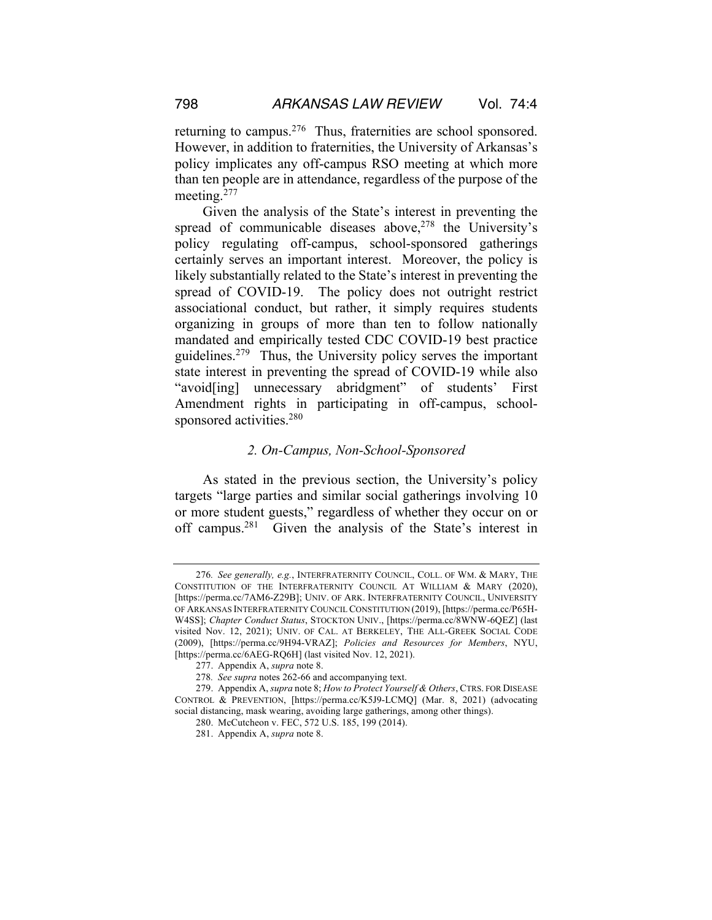returning to campus.<sup>276</sup> Thus, fraternities are school sponsored. However, in addition to fraternities, the University of Arkansas's policy implicates any off-campus RSO meeting at which more than ten people are in attendance, regardless of the purpose of the meeting.<sup>277</sup>

Given the analysis of the State's interest in preventing the spread of communicable diseases above, $278$  the University's policy regulating off-campus, school-sponsored gatherings certainly serves an important interest. Moreover, the policy is likely substantially related to the State's interest in preventing the spread of COVID-19. The policy does not outright restrict associational conduct, but rather, it simply requires students organizing in groups of more than ten to follow nationally mandated and empirically tested CDC COVID-19 best practice guidelines.279 Thus, the University policy serves the important state interest in preventing the spread of COVID-19 while also "avoid[ing] unnecessary abridgment" of students' First Amendment rights in participating in off-campus, schoolsponsored activities.<sup>280</sup>

#### *2. On-Campus, Non-School-Sponsored*

As stated in the previous section, the University's policy targets "large parties and similar social gatherings involving 10 or more student guests," regardless of whether they occur on or off campus.281 Given the analysis of the State's interest in

<sup>276</sup>*. See generally, e.g.*, INTERFRATERNITY COUNCIL, COLL. OF WM. & MARY, THE CONSTITUTION OF THE INTERFRATERNITY COUNCIL AT WILLIAM & MARY (2020), [https://perma.cc/7AM6-Z29B]; UNIV. OF ARK. INTERFRATERNITY COUNCIL, UNIVERSITY OF ARKANSAS INTERFRATERNITY COUNCIL CONSTITUTION (2019), [https://perma.cc/P65H-W4SS]; *Chapter Conduct Status*, STOCKTON UNIV., [https://perma.cc/8WNW-6QEZ] (last visited Nov. 12, 2021); UNIV. OF CAL. AT BERKELEY, THE ALL-GREEK SOCIAL CODE (2009), [https://perma.cc/9H94-VRAZ]; *Policies and Resources for Members*, NYU, [https://perma.cc/6AEG-RQ6H] (last visited Nov. 12, 2021).

<sup>277.</sup> Appendix A, *supra* note 8.

<sup>278</sup>*. See supra* notes 262-66 and accompanying text.

<sup>279.</sup> Appendix A, *supra* note 8; *How to Protect Yourself & Others*, CTRS. FOR DISEASE CONTROL & PREVENTION, [https://perma.cc/K5J9-LCMQ] (Mar. 8, 2021) (advocating social distancing, mask wearing, avoiding large gatherings, among other things).

<sup>280.</sup> McCutcheon v. FEC, 572 U.S. 185, 199 (2014).

<sup>281.</sup> Appendix A, *supra* note 8.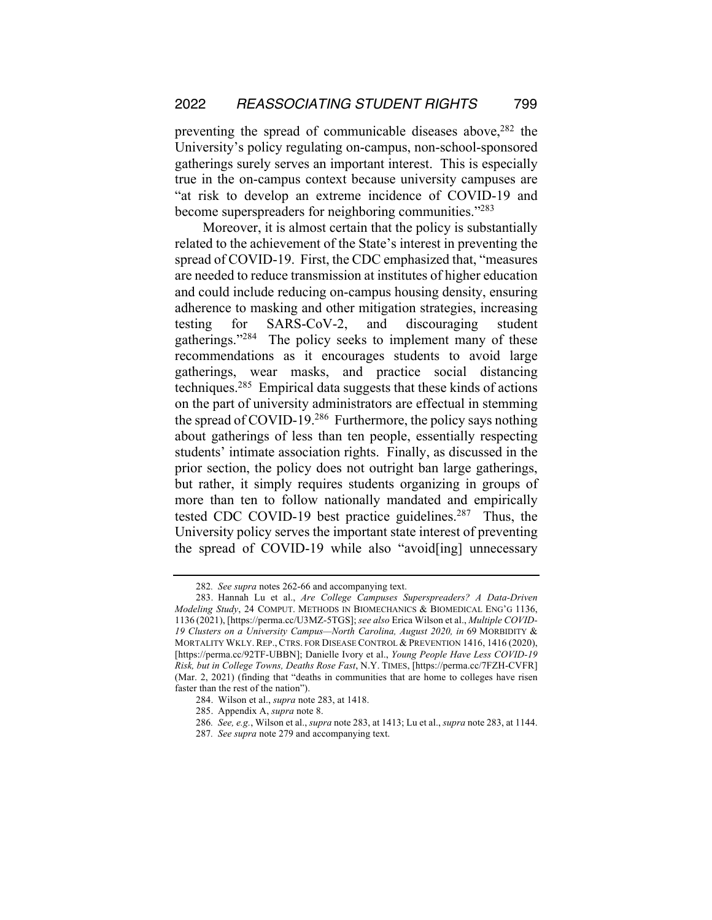preventing the spread of communicable diseases above,  $282$  the University's policy regulating on-campus, non-school-sponsored gatherings surely serves an important interest. This is especially true in the on-campus context because university campuses are "at risk to develop an extreme incidence of COVID-19 and become superspreaders for neighboring communities."283

Moreover, it is almost certain that the policy is substantially related to the achievement of the State's interest in preventing the spread of COVID-19. First, the CDC emphasized that, "measures are needed to reduce transmission at institutes of higher education and could include reducing on-campus housing density, ensuring adherence to masking and other mitigation strategies, increasing testing for SARS-CoV-2, and discouraging student gatherings."284 The policy seeks to implement many of these recommendations as it encourages students to avoid large gatherings, wear masks, and practice social distancing techniques.285 Empirical data suggests that these kinds of actions on the part of university administrators are effectual in stemming the spread of COVID-19.<sup>286</sup> Furthermore, the policy says nothing about gatherings of less than ten people, essentially respecting students' intimate association rights. Finally, as discussed in the prior section, the policy does not outright ban large gatherings, but rather, it simply requires students organizing in groups of more than ten to follow nationally mandated and empirically tested CDC COVID-19 best practice guidelines.<sup>287</sup> Thus, the University policy serves the important state interest of preventing the spread of COVID-19 while also "avoid[ing] unnecessary

<sup>282</sup>*. See supra* notes 262-66 and accompanying text.

<sup>283.</sup> Hannah Lu et al., *Are College Campuses Superspreaders? A Data-Driven Modeling Study*, 24 COMPUT. METHODS IN BIOMECHANICS & BIOMEDICAL ENG'G 1136, 1136 (2021), [https://perma.cc/U3MZ-5TGS]; *see also* Erica Wilson et al., *Multiple COVID-19 Clusters on a University Campus—North Carolina, August 2020, in* 69 MORBIDITY & MORTALITY WKLY. REP., CTRS. FOR DISEASE CONTROL & PREVENTION 1416, 1416 (2020), [https://perma.cc/92TF-UBBN]; Danielle Ivory et al., *Young People Have Less COVID-19 Risk, but in College Towns, Deaths Rose Fast*, N.Y. TIMES, [https://perma.cc/7FZH-CVFR] (Mar. 2, 2021) (finding that "deaths in communities that are home to colleges have risen faster than the rest of the nation").

<sup>284.</sup> Wilson et al., *supra* note 283, at 1418.

<sup>285.</sup> Appendix A, *supra* note 8.

<sup>286</sup>*. See, e.g.*, Wilson et al., *supra* note 283, at 1413; Lu et al., *supra* note 283, at 1144.

<sup>287</sup>*. See supra* note 279 and accompanying text.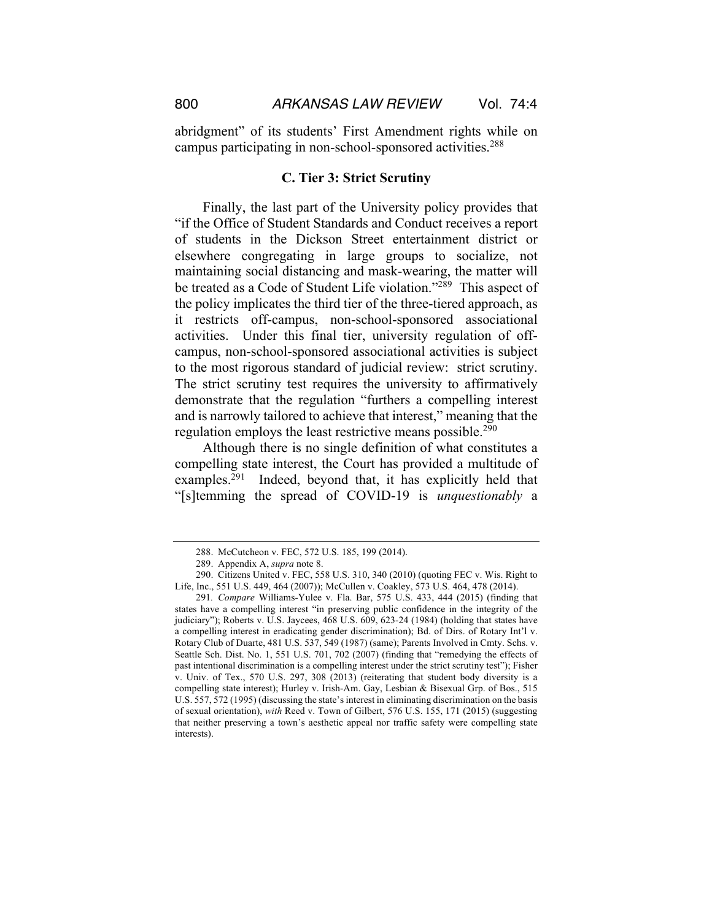abridgment" of its students' First Amendment rights while on campus participating in non-school-sponsored activities.288

#### **C. Tier 3: Strict Scrutiny**

Finally, the last part of the University policy provides that "if the Office of Student Standards and Conduct receives a report of students in the Dickson Street entertainment district or elsewhere congregating in large groups to socialize, not maintaining social distancing and mask-wearing, the matter will be treated as a Code of Student Life violation."<sup>289</sup> This aspect of the policy implicates the third tier of the three-tiered approach, as it restricts off-campus, non-school-sponsored associational activities. Under this final tier, university regulation of offcampus, non-school-sponsored associational activities is subject to the most rigorous standard of judicial review: strict scrutiny. The strict scrutiny test requires the university to affirmatively demonstrate that the regulation "furthers a compelling interest and is narrowly tailored to achieve that interest," meaning that the regulation employs the least restrictive means possible.<sup>290</sup>

Although there is no single definition of what constitutes a compelling state interest, the Court has provided a multitude of examples.<sup>291</sup> Indeed, beyond that, it has explicitly held that "[s]temming the spread of COVID-19 is *unquestionably* a

<sup>288.</sup> McCutcheon v. FEC, 572 U.S. 185, 199 (2014).

<sup>289.</sup> Appendix A, *supra* note 8.

<sup>290.</sup> Citizens United v. FEC, 558 U.S. 310, 340 (2010) (quoting FEC v. Wis. Right to Life, Inc., 551 U.S. 449, 464 (2007)); McCullen v. Coakley, 573 U.S. 464, 478 (2014).

<sup>291</sup>*. Compare* Williams-Yulee v. Fla. Bar, 575 U.S. 433, 444 (2015) (finding that states have a compelling interest "in preserving public confidence in the integrity of the judiciary"); Roberts v. U.S. Jaycees, 468 U.S. 609, 623-24 (1984) (holding that states have a compelling interest in eradicating gender discrimination); Bd. of Dirs. of Rotary Int'l v. Rotary Club of Duarte, 481 U.S. 537, 549 (1987) (same); Parents Involved in Cmty. Schs. v. Seattle Sch. Dist. No. 1, 551 U.S. 701, 702 (2007) (finding that "remedying the effects of past intentional discrimination is a compelling interest under the strict scrutiny test"); Fisher v. Univ. of Tex., 570 U.S. 297, 308 (2013) (reiterating that student body diversity is a compelling state interest); Hurley v. Irish-Am. Gay, Lesbian & Bisexual Grp. of Bos., 515 U.S. 557, 572 (1995) (discussing the state's interest in eliminating discrimination on the basis of sexual orientation), *with* Reed v. Town of Gilbert, 576 U.S. 155, 171 (2015) (suggesting that neither preserving a town's aesthetic appeal nor traffic safety were compelling state interests).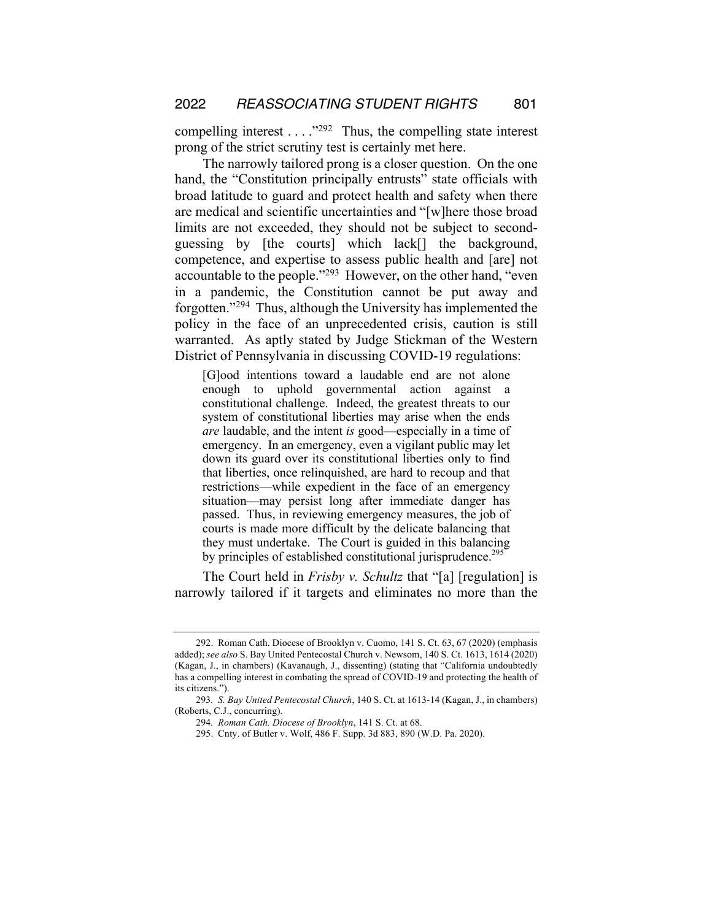compelling interest  $\dots$ ."<sup>292</sup> Thus, the compelling state interest prong of the strict scrutiny test is certainly met here.

The narrowly tailored prong is a closer question. On the one hand, the "Constitution principally entrusts" state officials with broad latitude to guard and protect health and safety when there are medical and scientific uncertainties and "[w]here those broad limits are not exceeded, they should not be subject to secondguessing by [the courts] which lack[] the background, competence, and expertise to assess public health and [are] not accountable to the people."293 However, on the other hand, "even in a pandemic, the Constitution cannot be put away and forgotten."294 Thus, although the University has implemented the policy in the face of an unprecedented crisis, caution is still warranted. As aptly stated by Judge Stickman of the Western District of Pennsylvania in discussing COVID-19 regulations:

[G]ood intentions toward a laudable end are not alone enough to uphold governmental action against a constitutional challenge. Indeed, the greatest threats to our system of constitutional liberties may arise when the ends *are* laudable, and the intent *is* good—especially in a time of emergency. In an emergency, even a vigilant public may let down its guard over its constitutional liberties only to find that liberties, once relinquished, are hard to recoup and that restrictions—while expedient in the face of an emergency situation—may persist long after immediate danger has passed. Thus, in reviewing emergency measures, the job of courts is made more difficult by the delicate balancing that they must undertake. The Court is guided in this balancing by principles of established constitutional jurisprudence.<sup>295</sup>

The Court held in *Frisby v. Schultz* that "[a] [regulation] is narrowly tailored if it targets and eliminates no more than the

<sup>292.</sup> Roman Cath. Diocese of Brooklyn v. Cuomo, 141 S. Ct. 63, 67 (2020) (emphasis added); *see also* S. Bay United Pentecostal Church v. Newsom, 140 S. Ct. 1613, 1614 (2020) (Kagan, J., in chambers) (Kavanaugh, J., dissenting) (stating that "California undoubtedly has a compelling interest in combating the spread of COVID-19 and protecting the health of its citizens.").

<sup>293</sup>*. S. Bay United Pentecostal Church*, 140 S. Ct. at 1613-14 (Kagan, J., in chambers) (Roberts, C.J., concurring).

<sup>294</sup>*. Roman Cath. Diocese of Brooklyn*, 141 S. Ct. at 68.

<sup>295.</sup> Cnty. of Butler v. Wolf, 486 F. Supp. 3d 883, 890 (W.D. Pa. 2020).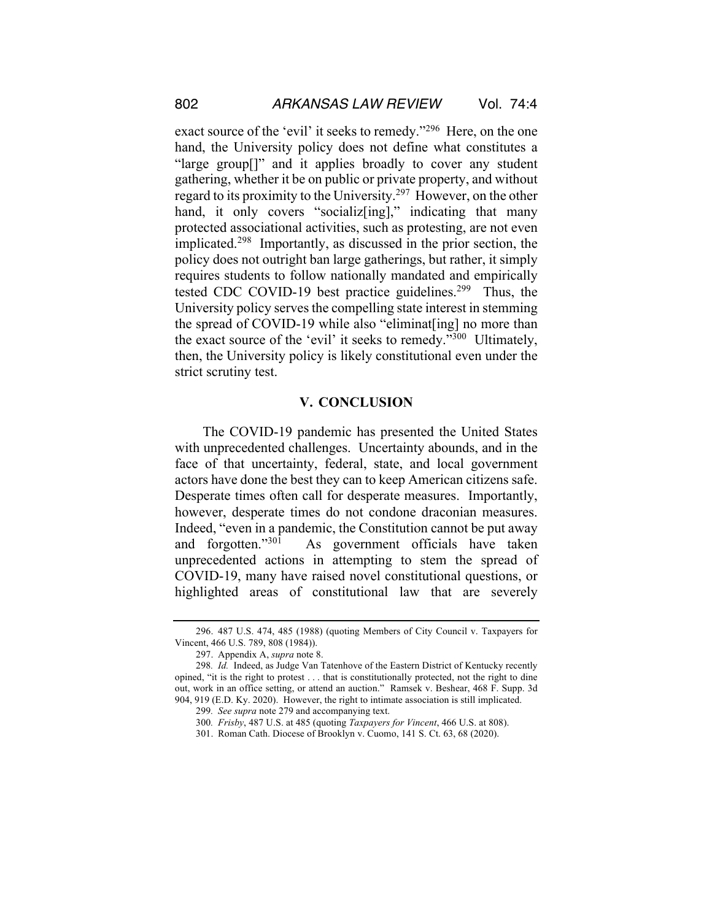exact source of the 'evil' it seeks to remedy."296 Here, on the one hand, the University policy does not define what constitutes a "large group[]" and it applies broadly to cover any student gathering, whether it be on public or private property, and without regard to its proximity to the University.297 However, on the other hand, it only covers "socializering]," indicating that many protected associational activities, such as protesting, are not even implicated.298 Importantly, as discussed in the prior section, the policy does not outright ban large gatherings, but rather, it simply requires students to follow nationally mandated and empirically tested CDC COVID-19 best practice guidelines.<sup>299</sup> Thus, the University policy serves the compelling state interest in stemming the spread of COVID-19 while also "eliminat[ing] no more than the exact source of the 'evil' it seeks to remedy."300 Ultimately, then, the University policy is likely constitutional even under the strict scrutiny test.

## **V. CONCLUSION**

The COVID-19 pandemic has presented the United States with unprecedented challenges. Uncertainty abounds, and in the face of that uncertainty, federal, state, and local government actors have done the best they can to keep American citizens safe. Desperate times often call for desperate measures. Importantly, however, desperate times do not condone draconian measures. Indeed, "even in a pandemic, the Constitution cannot be put away and forgotten."301 As government officials have taken unprecedented actions in attempting to stem the spread of COVID-19, many have raised novel constitutional questions, or highlighted areas of constitutional law that are severely

<sup>296.</sup> 487 U.S. 474, 485 (1988) (quoting Members of City Council v. Taxpayers for Vincent, 466 U.S. 789, 808 (1984)).

<sup>297.</sup> Appendix A, *supra* note 8.

<sup>298</sup>*. Id.* Indeed, as Judge Van Tatenhove of the Eastern District of Kentucky recently opined, "it is the right to protest . . . that is constitutionally protected, not the right to dine out, work in an office setting, or attend an auction." Ramsek v. Beshear, 468 F. Supp. 3d 904, 919 (E.D. Ky. 2020). However, the right to intimate association is still implicated.

<sup>299</sup>*. See supra* note 279 and accompanying text.

<sup>300</sup>*. Frisby*, 487 U.S. at 485 (quoting *Taxpayers for Vincent*, 466 U.S. at 808).

<sup>301.</sup> Roman Cath. Diocese of Brooklyn v. Cuomo, 141 S. Ct. 63, 68 (2020).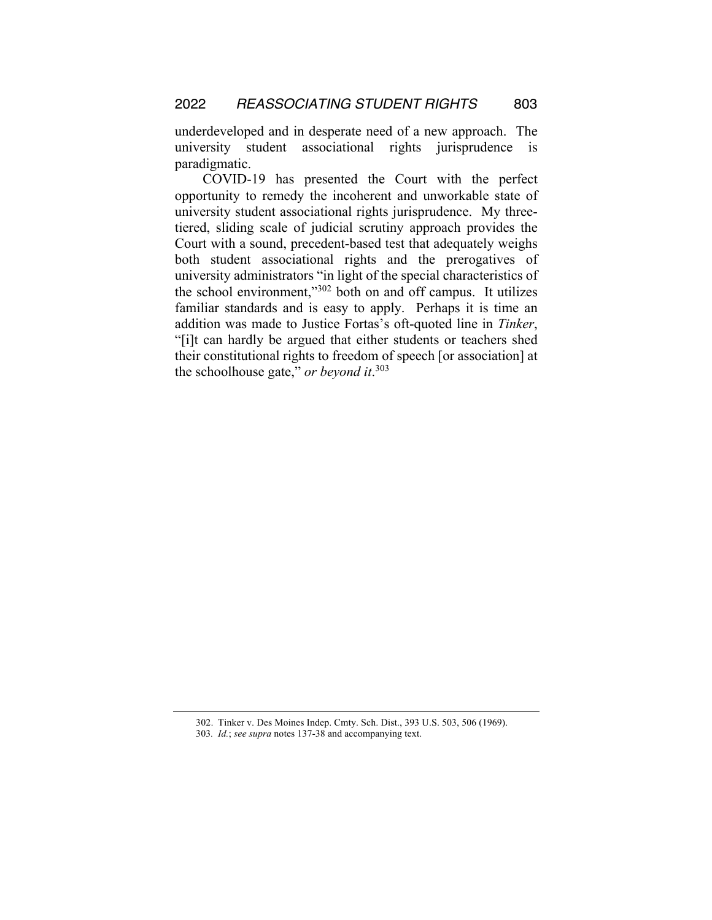underdeveloped and in desperate need of a new approach. The university student associational rights jurisprudence is paradigmatic.

COVID-19 has presented the Court with the perfect opportunity to remedy the incoherent and unworkable state of university student associational rights jurisprudence. My threetiered, sliding scale of judicial scrutiny approach provides the Court with a sound, precedent-based test that adequately weighs both student associational rights and the prerogatives of university administrators "in light of the special characteristics of the school environment,"302 both on and off campus. It utilizes familiar standards and is easy to apply. Perhaps it is time an addition was made to Justice Fortas's oft-quoted line in *Tinker*, "[i]t can hardly be argued that either students or teachers shed their constitutional rights to freedom of speech [or association] at the schoolhouse gate," *or beyond it*. 303

<sup>302.</sup> Tinker v. Des Moines Indep. Cmty. Sch. Dist., 393 U.S. 503, 506 (1969).

<sup>303</sup>*. Id.*; *see supra* notes 137-38 and accompanying text.